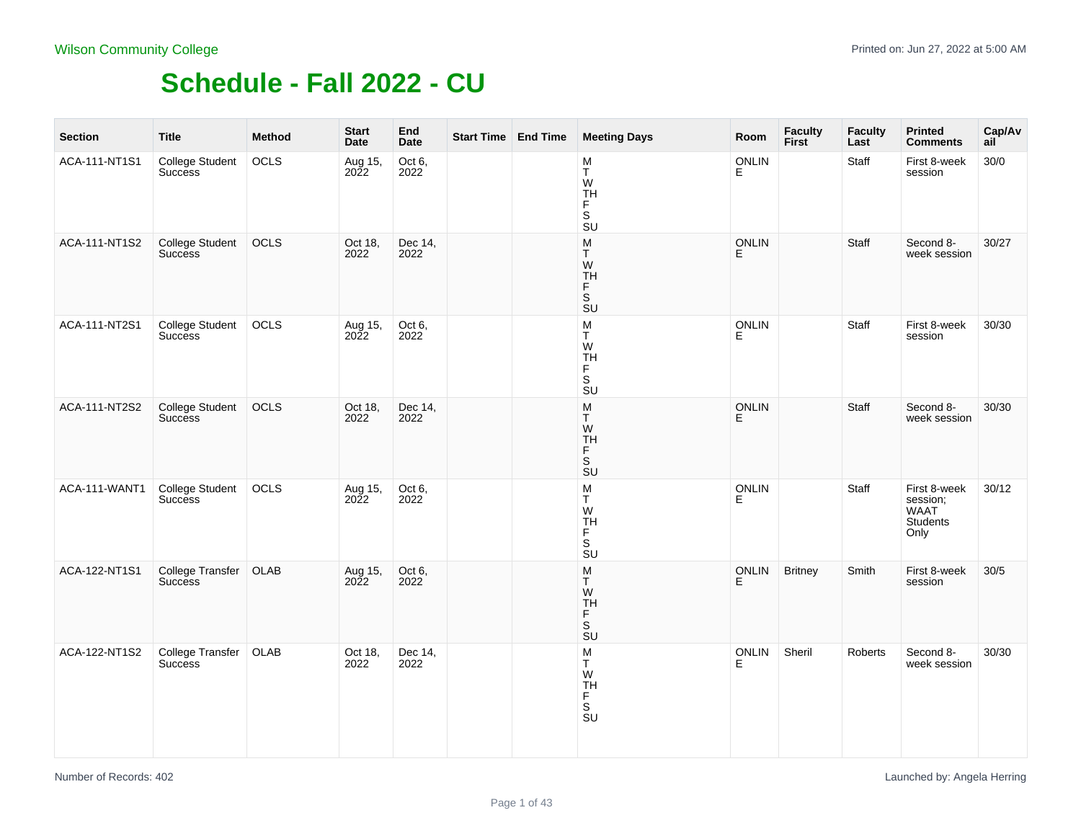| <b>Section</b> | <b>Title</b>                             | <b>Method</b> | <b>Start</b><br>Date | End<br>Date     | Start Time   End Time | <b>Meeting Days</b>                                                                            | Room              | Faculty<br>First | <b>Faculty</b><br>Last | <b>Printed</b><br><b>Comments</b>                    | Cap/Av<br>ail |
|----------------|------------------------------------------|---------------|----------------------|-----------------|-----------------------|------------------------------------------------------------------------------------------------|-------------------|------------------|------------------------|------------------------------------------------------|---------------|
| ACA-111-NT1S1  | College Student<br><b>Success</b>        | OCLS          | Aug 15,<br>2022      | Oct 6,<br>2022  |                       | M<br>T<br>W<br><b>TH</b><br>F.<br>$\mathsf S$<br>SU                                            | <b>ONLIN</b><br>Е |                  | Staff                  | First 8-week<br>session                              | 30/0          |
| ACA-111-NT1S2  | <b>College Student</b><br><b>Success</b> | OCLS          | Oct 18,<br>2022      | Dec 14,<br>2022 |                       | ${\sf M}$<br>Τ<br>W<br>TH<br>F<br>$\overline{\mathsf{s}}$<br>$\overline{\mathsf{S}}\mathsf{U}$ | <b>ONLIN</b><br>E |                  | Staff                  | Second 8-<br>week session                            | 30/27         |
| ACA-111-NT2S1  | College Student<br><b>Success</b>        | OCLS          | Aug 15,<br>2022      | Oct 6,<br>2022  |                       | $_{\rm T}^{\rm M}$<br>W<br><b>TH</b><br>$\bar{F}$<br>S<br>SU                                   | <b>ONLIN</b><br>E |                  | Staff                  | First 8-week<br>session                              | 30/30         |
| ACA-111-NT2S2  | <b>College Student</b><br><b>Success</b> | OCLS          | Oct 18,<br>2022      | Dec 14,<br>2022 |                       | ${\sf M}$<br>T<br>W<br>TH<br>F<br>$\overline{\mathsf{s}}$<br>SU                                | ONLIN<br>E        |                  | Staff                  | Second 8-<br>week session                            | 30/30         |
| ACA-111-WANT1  | <b>College Student</b><br><b>Success</b> | OCLS          | Aug 15,<br>2022      | Oct 6,<br>2022  |                       | $_{\rm T}^{\rm M}$<br>W<br><b>TH</b><br>F<br>S<br>$\overline{\mathsf{S}}\mathsf{U}$            | ONLIN<br>E        |                  | Staff                  | First 8-week<br>session;<br>WAAT<br>Students<br>Only | 30/12         |
| ACA-122-NT1S1  | College Transfer<br><b>Success</b>       | OLAB          | Aug 15,<br>2022      | Oct 6,<br>2022  |                       | M<br>T<br>W<br>TH<br>F<br>$\overline{\mathsf{s}}$<br>$\overline{\mathsf{S}}\mathsf{U}$         | <b>ONLIN</b><br>E | <b>Britney</b>   | Smith                  | First 8-week<br>session                              | 30/5          |
| ACA-122-NT1S2  | College Transfer<br><b>Success</b>       | OLAB          | Oct 18,<br>2022      | Dec 14,<br>2022 |                       | $\frac{\mathsf{M}}{\mathsf{T}}$<br>W<br>TH<br>F<br>S<br>SU                                     | <b>ONLIN</b><br>E | Sheril           | Roberts                | Second 8-<br>week session                            | 30/30         |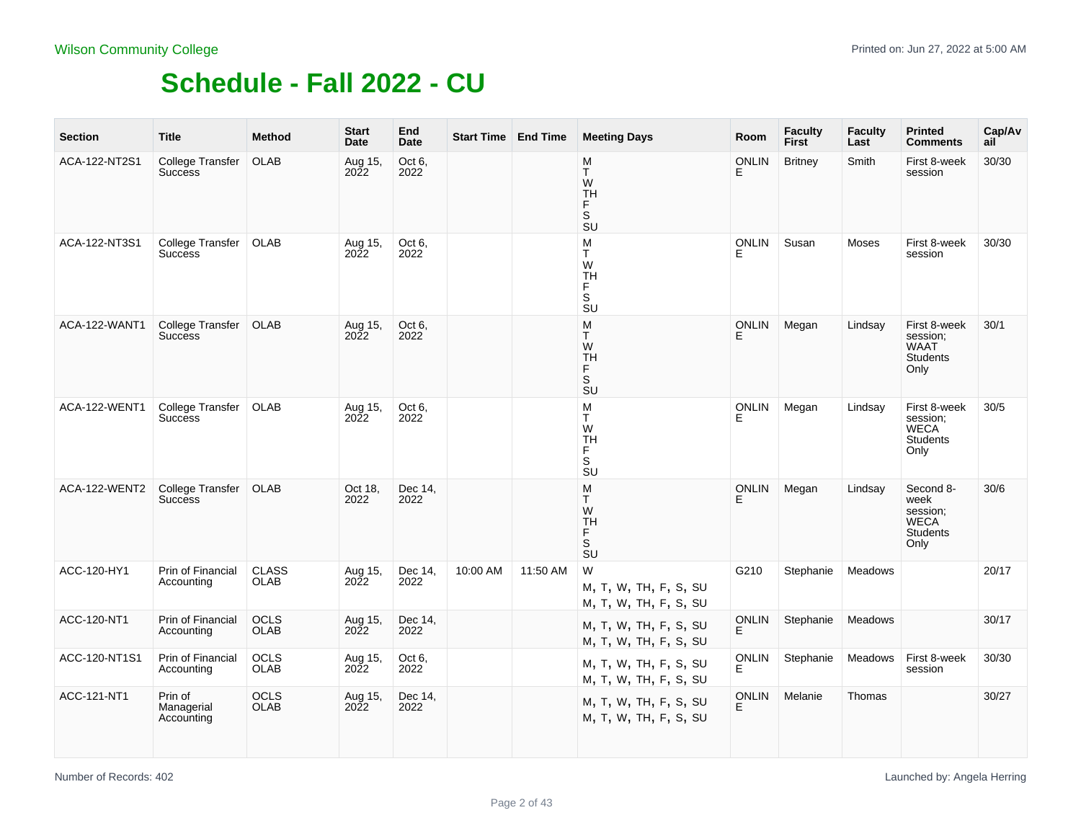| <b>Section</b> | <b>Title</b>                              | <b>Method</b>               | <b>Start</b><br>Date   | End<br>Date     | <b>Start Time   End Time</b> |          | <b>Meeting Days</b>                                 | Room              | <b>Faculty</b><br><b>First</b> | <b>Faculty</b><br>Last | <b>Printed</b><br><b>Comments</b>                                       | Cap/Av<br>ail |
|----------------|-------------------------------------------|-----------------------------|------------------------|-----------------|------------------------------|----------|-----------------------------------------------------|-------------------|--------------------------------|------------------------|-------------------------------------------------------------------------|---------------|
| ACA-122-NT2S1  | <b>College Transfer</b><br><b>Success</b> | OLAB                        | Aug 15,<br>2022        | Oct 6,<br>2022  |                              |          | M<br>T.<br>W<br><b>TH</b><br>F<br>S<br>SU           | <b>ONLIN</b><br>E | <b>Britney</b>                 | Smith                  | First 8-week<br>session                                                 | 30/30         |
| ACA-122-NT3S1  | College Transfer<br><b>Success</b>        | <b>OLAB</b>                 | Aug 15,<br>2022        | Oct 6,<br>2022  |                              |          | M<br>T.<br>W<br><b>TH</b><br>F.<br>S<br>SU          | <b>ONLIN</b><br>Е | Susan                          | Moses                  | First 8-week<br>session                                                 | 30/30         |
| ACA-122-WANT1  | <b>College Transfer</b><br><b>Success</b> | <b>OLAB</b>                 | Aug 15,<br><b>2022</b> | Oct 6.<br>2022  |                              |          | M<br>T.<br>W<br><b>TH</b><br>F.<br>S<br>SU          | <b>ONLIN</b>      | Megan                          | Lindsay                | First 8-week<br>session;<br>WAAT<br><b>Students</b><br>Only             | 30/1          |
| ACA-122-WENT1  | College Transfer<br><b>Success</b>        | <b>OLAB</b>                 | Aug 15,<br>2022        | Oct 6,<br>2022  |                              |          | M<br>T.<br>W<br><b>TH</b><br>F.<br>S<br>SU          | <b>ONLIN</b><br>E | Megan                          | Lindsay                | First 8-week<br>session;<br><b>WECA</b><br><b>Students</b><br>Only      | 30/5          |
| ACA-122-WENT2  | College Transfer<br><b>Success</b>        | <b>OLAB</b>                 | Oct 18,<br>2022        | Dec 14,<br>2022 |                              |          | M<br>T<br>W<br><b>TH</b><br>F<br>S<br>SU            | <b>ONLIN</b><br>Е | Megan                          | Lindsay                | Second 8-<br>week<br>session;<br><b>WECA</b><br><b>Students</b><br>Only | 30/6          |
| ACC-120-HY1    | Prin of Financial<br>Accounting           | <b>CLASS</b><br><b>OLAB</b> | Aug 15,<br>2022        | Dec 14,<br>2022 | 10:00 AM                     | 11:50 AM | W<br>M, T, W, TH, F, S, SU<br>M, T, W, TH, F, S, SU | G210              | Stephanie                      | Meadows                |                                                                         | 20/17         |
| ACC-120-NT1    | Prin of Financial<br>Accounting           | <b>OCLS</b><br><b>OLAB</b>  | Aug 15,<br>2022        | Dec 14,<br>2022 |                              |          | M, T, W, TH, F, S, SU<br>M, T, W, TH, F, S, SU      | <b>ONLIN</b><br>E | Stephanie                      | Meadows                |                                                                         | 30/17         |
| ACC-120-NT1S1  | Prin of Financial<br>Accounting           | <b>OCLS</b><br>OLAB         | Aug 15,<br>2022        | Oct 6,<br>2022  |                              |          | M, T, W, TH, F, S, SU<br>M, T, W, TH, F, S, SU      | <b>ONLIN</b><br>F | Stephanie                      | Meadows                | First 8-week<br>session                                                 | 30/30         |
| ACC-121-NT1    | Prin of<br>Managerial<br>Accounting       | <b>OCLS</b><br><b>OLAB</b>  | Aug 15,<br>2022        | Dec 14,<br>2022 |                              |          | M, T, W, TH, F, S, SU<br>M, T, W, TH, F, S, SU      | ONLIN<br>Ė.       | Melanie                        | Thomas                 |                                                                         | 30/27         |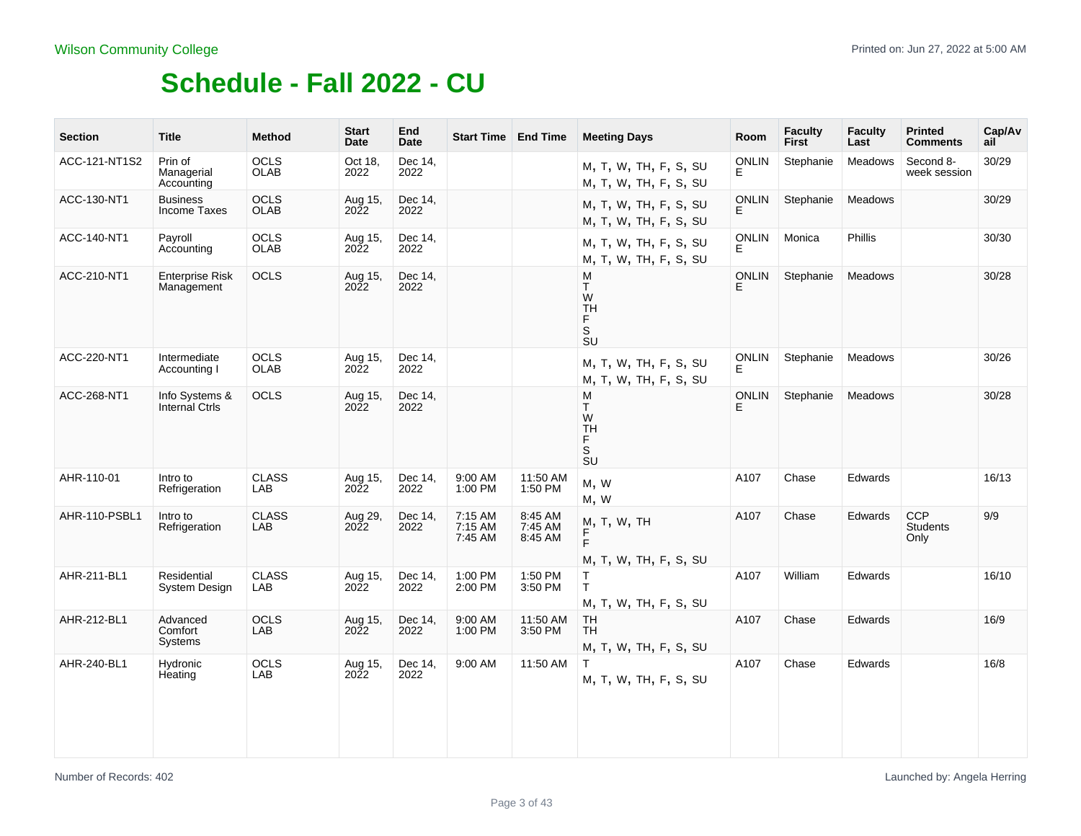| <b>Section</b> | <b>Title</b>                            | <b>Method</b>              | <b>Start</b><br>Date   | End<br>Date     | <b>Start Time End Time</b>    |                               | <b>Meeting Days</b>                                     | Room               | <b>Faculty</b><br>First | <b>Faculty</b><br>Last | <b>Printed</b><br><b>Comments</b>     | Cap/Av<br>ail |
|----------------|-----------------------------------------|----------------------------|------------------------|-----------------|-------------------------------|-------------------------------|---------------------------------------------------------|--------------------|-------------------------|------------------------|---------------------------------------|---------------|
| ACC-121-NT1S2  | Prin of<br>Managerial<br>Accounting     | <b>OCLS</b><br><b>OLAB</b> | Oct 18,<br>2022        | Dec 14,<br>2022 |                               |                               | M, T, W, TH, F, S, SU<br>M, T, W, TH, F, S, SU          | <b>ONLIN</b><br>E. | Stephanie               | <b>Meadows</b>         | Second 8-<br>week session             | 30/29         |
| ACC-130-NT1    | <b>Business</b><br>Income Taxes         | <b>OCLS</b><br><b>OLAB</b> | Aug 15,<br><b>2022</b> | Dec 14,<br>2022 |                               |                               | M, T, W, TH, F, S, SU<br>M, T, W, TH, F, S, SU          | <b>ONLIN</b><br>E  | Stephanie               | Meadows                |                                       | 30/29         |
| ACC-140-NT1    | Payroll<br>Accounting                   | <b>OCLS</b><br><b>OLAB</b> | Aug 15,<br>2022        | Dec 14.<br>2022 |                               |                               | M, T, W, TH, F, S, SU<br>M, T, W, TH, F, S, SU          | <b>ONLIN</b><br>E. | Monica                  | <b>Phillis</b>         |                                       | 30/30         |
| ACC-210-NT1    | <b>Enterprise Risk</b><br>Management    | <b>OCLS</b>                | Aug 15,<br><b>2022</b> | Dec 14,<br>2022 |                               |                               | M<br>T.<br>W<br><b>TH</b><br>F<br>S<br><b>SU</b>        | <b>ONLIN</b>       | Stephanie               | Meadows                |                                       | 30/28         |
| ACC-220-NT1    | Intermediate<br>Accounting I            | OCLS<br><b>OLAB</b>        | Aug 15,<br>2022        | Dec 14,<br>2022 |                               |                               | M, T, W, TH, F, S, SU<br>M, T, W, TH, F, S, SU          | <b>ONLIN</b><br>Е  | Stephanie               | Meadows                |                                       | 30/26         |
| ACC-268-NT1    | Info Systems &<br><b>Internal Ctrls</b> | <b>OCLS</b>                | Aug 15,<br><b>2022</b> | Dec 14,<br>2022 |                               |                               | M<br>T.<br>W<br><b>TH</b><br>F.<br>S<br>$\overline{S}U$ | <b>ONLIN</b><br>Е  | Stephanie               | Meadows                |                                       | 30/28         |
| AHR-110-01     | Intro to<br>Refrigeration               | <b>CLASS</b><br>LAB        | Aug 15,<br>2022        | Dec 14,<br>2022 | 9:00 AM<br>1:00 PM            | 11:50 AM<br>1:50 PM           | M, W<br>M, W                                            | A107               | Chase                   | <b>Edwards</b>         |                                       | 16/13         |
| AHR-110-PSBL1  | Intro to<br>Refrigeration               | <b>CLASS</b><br>LAB        | Aug 29,<br>2022        | Dec 14,<br>2022 | 7:15 AM<br>7:15 AM<br>7:45 AM | 8:45 AM<br>7:45 AM<br>8:45 AM | M, T, W, TH<br>F.<br>M, T, W, TH, F, S, SU              | A107               | Chase                   | <b>Edwards</b>         | <b>CCP</b><br><b>Students</b><br>Only | 9/9           |
| AHR-211-BL1    | Residential<br><b>System Design</b>     | <b>CLASS</b><br>LAB        | Aug 15,<br>2022        | Dec 14,<br>2022 | 1:00 PM<br>2:00 PM            | 1:50 PM<br>3:50 PM            | T<br>$\mathsf{T}$<br>M, T, W, TH, F, S, SU              | A107               | William                 | Edwards                |                                       | 16/10         |
| AHR-212-BL1    | Advanced<br>Comfort<br>Systems          | <b>OCLS</b><br><b>LAB</b>  | Aug 15,<br>2022        | Dec 14,<br>2022 | 9:00 AM<br>1:00 PM            | 11:50 AM<br>3:50 PM           | <b>TH</b><br><b>TH</b><br>M, T, W, TH, F, S, SU         | A107               | Chase                   | Edwards                |                                       | 16/9          |
| AHR-240-BL1    | Hydronic<br>Heating                     | OCLS<br>LAB                | Aug 15,<br>2022        | Dec 14,<br>2022 | 9:00 AM                       | 11:50 AM                      | T.<br>M, T, W, TH, F, S, SU                             | A107               | Chase                   | Edwards                |                                       | 16/8          |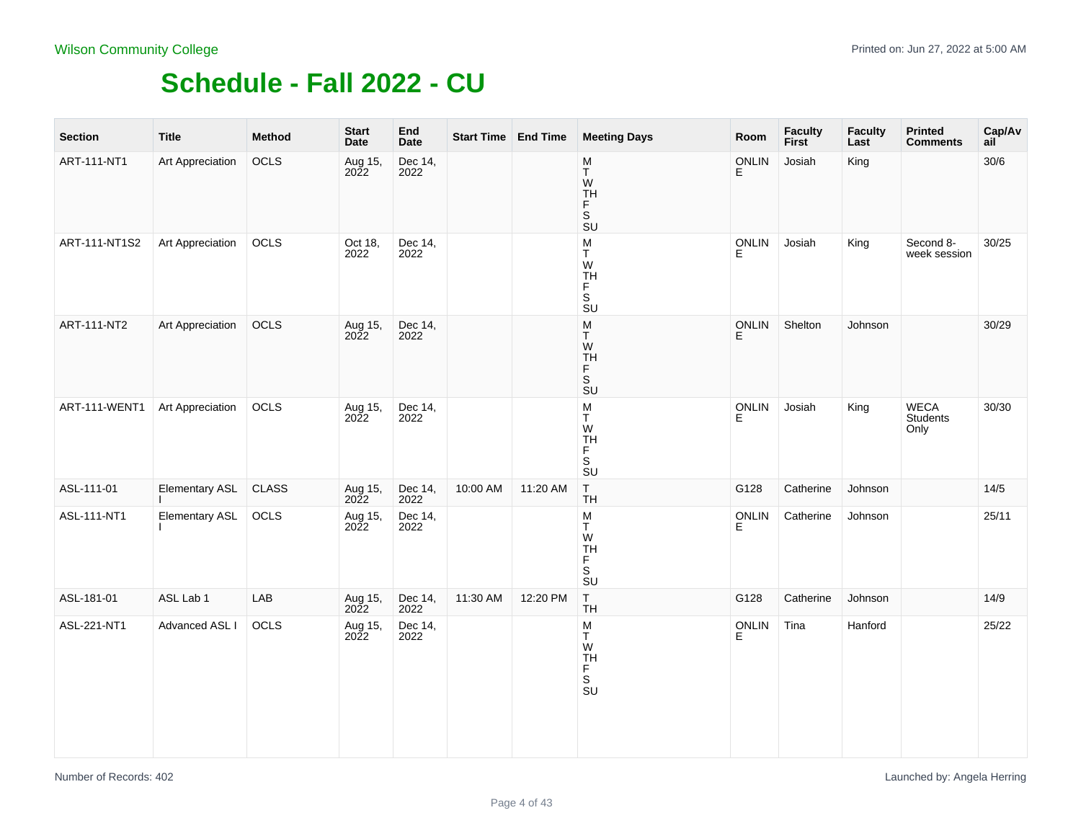| <b>Section</b> | <b>Title</b>          | <b>Method</b> | <b>Start</b><br>Date | End<br><b>Date</b> |          | Start Time End Time | <b>Meeting Days</b>                                                | Room       | Faculty<br>First | <b>Faculty</b><br>Last | <b>Printed</b><br><b>Comments</b> | Cap/Av<br>ail |
|----------------|-----------------------|---------------|----------------------|--------------------|----------|---------------------|--------------------------------------------------------------------|------------|------------------|------------------------|-----------------------------------|---------------|
| ART-111-NT1    | Art Appreciation      | OCLS          | Aug 15,<br>2022      | Dec 14,<br>2022    |          |                     | $\frac{\mathsf{M}}{\mathsf{T}}$<br>W<br>$\frac{TH}{F}$<br>S<br>SU  | ONLIN<br>E | Josiah           | King                   |                                   | $30/6$        |
| ART-111-NT1S2  | Art Appreciation      | OCLS          | Oct 18,<br>2022      | Dec 14,<br>2022    |          |                     | $_{\rm T}^{\rm M}$<br>W<br>TH<br>F<br>S<br>SU                      | ONLIN<br>E | Josiah           | King                   | Second 8-<br>week session         | 30/25         |
| ART-111-NT2    | Art Appreciation      | OCLS          | Aug 15,<br>2022      | Dec 14,<br>2022    |          |                     | $_{\rm T}^{\rm M}$<br>W<br>TH<br>F<br>S<br><b>SU</b>               | ONLIN<br>F | Shelton          | Johnson                |                                   | 30/29         |
| ART-111-WENT1  | Art Appreciation      | OCLS          | Aug 15,<br>2022      | Dec 14,<br>2022    |          |                     | $\frac{\mathsf{M}}{\mathsf{T}}$<br>W<br>TH<br>F<br>S<br>SU         | ONLIN<br>E | Josiah           | King                   | <b>WECA</b><br>Students<br>Only   | 30/30         |
| ASL-111-01     | <b>Elementary ASL</b> | <b>CLASS</b>  | Aug 15,<br>2022      | Dec 14,<br>2022    | 10:00 AM | 11:20 AM            | $T_{\text{H}}$                                                     | G128       | Catherine        | Johnson                |                                   | 14/5          |
| ASL-111-NT1    | <b>Elementary ASL</b> | OCLS          | Aug 15,<br>2022      | Dec 14,<br>2022    |          |                     | M<br>T<br>V<br>SU<br>SU                                            | ONLIN<br>E | Catherine        | Johnson                |                                   | 25/11         |
| ASL-181-01     | ASL Lab 1             | LAB           | Aug 15,<br>2022      | Dec 14,<br>2022    | 11:30 AM | 12:20 PM            | $T_{\text{H}}$                                                     | G128       | Catherine        | Johnson                |                                   | 14/9          |
| ASL-221-NT1    | Advanced ASL I        | OCLS          | Aug 15,<br>2022      | Dec 14,<br>2022    |          |                     | $\frac{\mathsf{M}}{\mathsf{T}}$<br>W<br><b>TH</b><br>F.<br>.<br>Su | ONLIN<br>E | Tina             | Hanford                |                                   | 25/22         |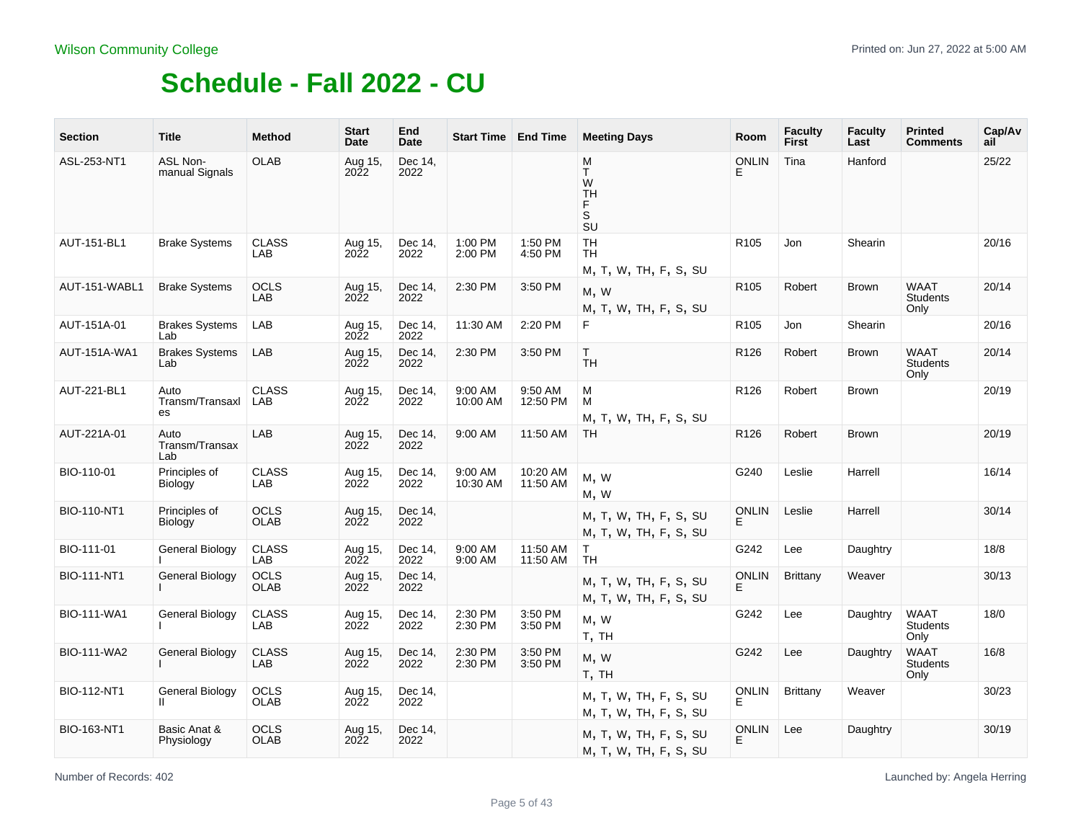| <b>Section</b>      | <b>Title</b>                      | <b>Method</b>              | <b>Start</b><br>Date   | End<br>Date     | <b>Start Time   End Time</b> |                      | <b>Meeting Days</b>                            | Room               | <b>Faculty</b><br><b>First</b> | <b>Faculty</b><br>Last | <b>Printed</b><br><b>Comments</b>      | Cap/Av<br>ail |
|---------------------|-----------------------------------|----------------------------|------------------------|-----------------|------------------------------|----------------------|------------------------------------------------|--------------------|--------------------------------|------------------------|----------------------------------------|---------------|
| ASL-253-NT1         | <b>ASL Non-</b><br>manual Signals | <b>OLAB</b>                | Aug 15,<br>2022        | Dec 14,<br>2022 |                              |                      | M<br>T.<br>W<br><b>TH</b><br>F<br>S<br>SU      | <b>ONLIN</b><br>E  | Tina                           | Hanford                |                                        | 25/22         |
| AUT-151-BL1         | <b>Brake Systems</b>              | <b>CLASS</b><br>LAB        | Aug 15,<br>2022        | Dec 14,<br>2022 | 1:00 PM<br>2:00 PM           | 1:50 PM<br>4:50 PM   | <b>TH</b><br>TH<br>M, T, W, TH, F, S, SU       | R <sub>105</sub>   | Jon                            | Shearin                |                                        | 20/16         |
| AUT-151-WABL1       | <b>Brake Systems</b>              | <b>OCLS</b><br>LAB         | Aug 15,<br>2022        | Dec 14,<br>2022 | 2:30 PM                      | 3:50 PM              | M, W<br>M, T, W, TH, F, S, SU                  | R <sub>105</sub>   | Robert                         | <b>Brown</b>           | <b>WAAT</b><br><b>Students</b><br>Only | 20/14         |
| AUT-151A-01         | <b>Brakes Systems</b><br>Lab      | LAB                        | Aug 15,<br>2022        | Dec 14,<br>2022 | 11:30 AM                     | 2:20 PM              | F.                                             | R <sub>105</sub>   | Jon                            | Shearin                |                                        | 20/16         |
| <b>AUT-151A-WA1</b> | <b>Brakes Systems</b><br>Lab      | LAB                        | Aug 15,<br>2022        | Dec 14,<br>2022 | 2:30 PM                      | 3:50 PM              | T.<br><b>TH</b>                                | R <sub>126</sub>   | Robert                         | <b>Brown</b>           | <b>WAAT</b><br><b>Students</b><br>Only | 20/14         |
| AUT-221-BL1         | Auto<br>Transm/Transaxl<br>es     | <b>CLASS</b><br>LAB        | Aug 15,<br>2022        | Dec 14,<br>2022 | 9:00 AM<br>10:00 AM          | 9:50 AM<br>12:50 PM  | M<br>M<br>M, T, W, TH, F, S, SU                | R <sub>126</sub>   | Robert                         | <b>Brown</b>           |                                        | 20/19         |
| AUT-221A-01         | Auto<br>Transm/Transax<br>Lab     | LAB                        | Aug 15,<br>2022        | Dec 14,<br>2022 | 9:00 AM                      | 11:50 AM             | <b>TH</b>                                      | R <sub>126</sub>   | Robert                         | <b>Brown</b>           |                                        | 20/19         |
| BIO-110-01          | Principles of<br><b>Biology</b>   | <b>CLASS</b><br>LAB        | Aug 15,<br>2022        | Dec 14,<br>2022 | 9:00 AM<br>10:30 AM          | 10:20 AM<br>11:50 AM | M, W<br>M, W                                   | G240               | Leslie                         | Harrell                |                                        | 16/14         |
| <b>BIO-110-NT1</b>  | Principles of<br><b>Biology</b>   | <b>OCLS</b><br><b>OLAB</b> | Aug 15,<br>2022        | Dec 14,<br>2022 |                              |                      | M, T, W, TH, F, S, SU<br>M, T, W, TH, F, S, SU | <b>ONLIN</b><br>E. | Leslie                         | Harrell                |                                        | 30/14         |
| BIO-111-01          | <b>General Biology</b>            | <b>CLASS</b><br>LAB        | Aug 15,<br>2022        | Dec 14.<br>2022 | 9:00 AM<br>9:00 AM           | 11:50 AM<br>11:50 AM | T.<br><b>TH</b>                                | G242               | Lee                            | Daughtry               |                                        | 18/8          |
| <b>BIO-111-NT1</b>  | <b>General Biology</b>            | <b>OCLS</b><br><b>OLAB</b> | Aug 15,<br><b>2022</b> | Dec 14,<br>2022 |                              |                      | M, T, W, TH, F, S, SU<br>M, T, W, TH, F, S, SU | <b>ONLIN</b><br>E  | Brittany                       | Weaver                 |                                        | 30/13         |
| <b>BIO-111-WA1</b>  | General Biology                   | <b>CLASS</b><br>LAB        | Aug 15,<br>2022        | Dec 14,<br>2022 | 2:30 PM<br>2:30 PM           | 3:50 PM<br>3:50 PM   | M, W<br>T, TH                                  | G242               | Lee                            | Daughtry               | <b>WAAT</b><br><b>Students</b><br>Only | 18/0          |
| <b>BIO-111-WA2</b>  | <b>General Biology</b>            | <b>CLASS</b><br>LAB        | Aug 15,<br>2022        | Dec 14,<br>2022 | 2:30 PM<br>2:30 PM           | 3:50 PM<br>3:50 PM   | M, W<br>T, TH                                  | G242               | Lee                            | Daughtry               | WAAT<br><b>Students</b><br>Only        | 16/8          |
| <b>BIO-112-NT1</b>  | General Biology<br>$\mathbf{H}$   | <b>OCLS</b><br><b>OLAB</b> | Aug 15,<br>2022        | Dec 14,<br>2022 |                              |                      | M, T, W, TH, F, S, SU<br>M, T, W, TH, F, S, SU | <b>ONLIN</b><br>E. | <b>Brittany</b>                | Weaver                 |                                        | 30/23         |
| <b>BIO-163-NT1</b>  | Basic Anat &<br>Physiology        | <b>OCLS</b><br><b>OLAB</b> | Aug 15,<br><b>2022</b> | Dec 14,<br>2022 |                              |                      | M, T, W, TH, F, S, SU<br>M, T, W, TH, F, S, SU | <b>ONLIN</b>       | Lee                            | Daughtry               |                                        | 30/19         |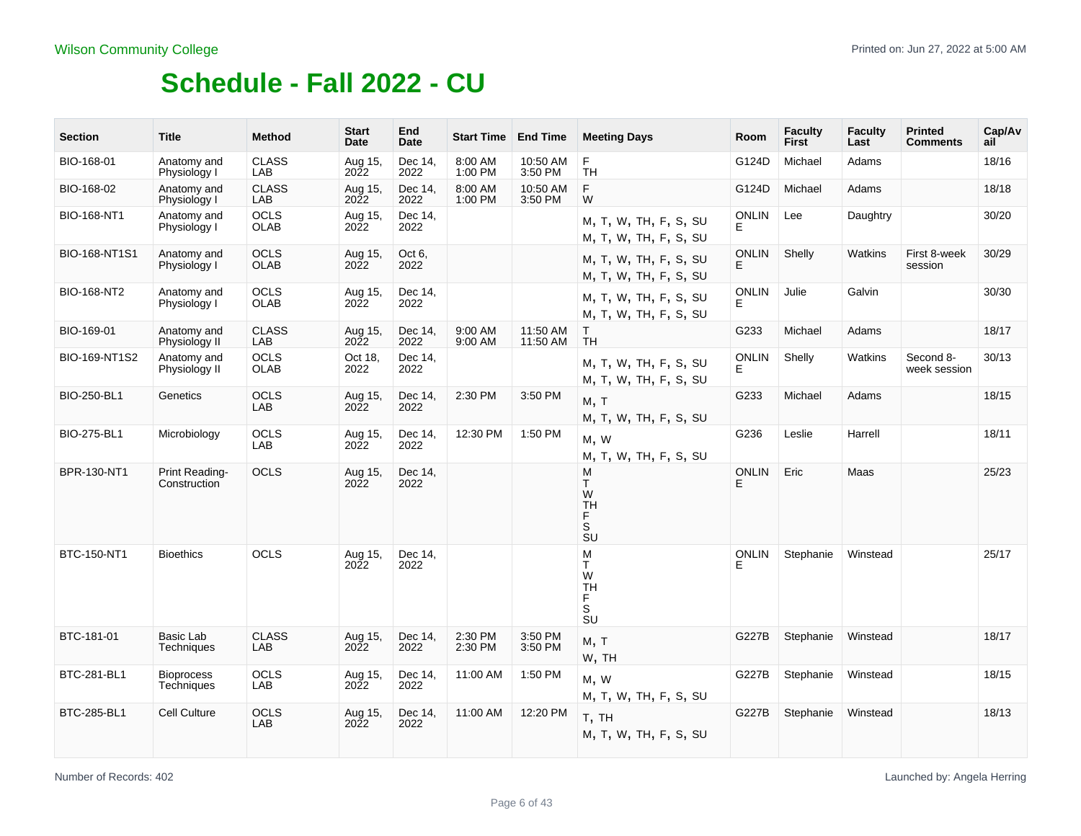| <b>Section</b>     | <b>Title</b>                    | <b>Method</b>              | <b>Start</b><br>Date    | End<br><b>Date</b> | <b>Start Time</b>  | <b>End Time</b>      | <b>Meeting Days</b>                                                               | <b>Room</b>        | <b>Faculty</b><br>First | <b>Faculty</b><br>Last | <b>Printed</b><br><b>Comments</b> | Cap/Av<br>ail |
|--------------------|---------------------------------|----------------------------|-------------------------|--------------------|--------------------|----------------------|-----------------------------------------------------------------------------------|--------------------|-------------------------|------------------------|-----------------------------------|---------------|
| BIO-168-01         | Anatomy and<br>Physiology I     | <b>CLASS</b><br>LAB        | Aug 15,<br>2022         | Dec 14,<br>2022    | 8:00 AM<br>1:00 PM | 10:50 AM<br>3:50 PM  | F<br><b>TH</b>                                                                    | G124D              | Michael                 | Adams                  |                                   | 18/16         |
| BIO-168-02         | Anatomy and<br>Physiology I     | <b>CLASS</b><br>LAB        | Aug 15,<br>2022         | Dec 14,<br>2022    | 8:00 AM<br>1:00 PM | 10:50 AM<br>3:50 PM  | F<br>W                                                                            | G124D              | Michael                 | Adams                  |                                   | 18/18         |
| BIO-168-NT1        | Anatomy and<br>Physiology I     | <b>OCLS</b><br><b>OLAB</b> | Aug 15,<br>2022         | Dec 14,<br>2022    |                    |                      | M, T, W, TH, F, S, SU<br>M, T, W, TH, F, S, SU                                    | <b>ONLIN</b><br>E. | Lee                     | Daughtry               |                                   | 30/20         |
| BIO-168-NT1S1      | Anatomy and<br>Physiology I     | <b>OCLS</b><br><b>OLAB</b> | Aug 15,<br>$20\bar{2}2$ | Oct 6.<br>2022     |                    |                      | M, T, W, TH, F, S, SU<br>M, T, W, TH, F, S, SU                                    | <b>ONLIN</b><br>F  | Shelly                  | Watkins                | First 8-week<br>session           | 30/29         |
| <b>BIO-168-NT2</b> | Anatomy and<br>Physiology I     | <b>OCLS</b><br><b>OLAB</b> | Aug 15,<br>2022         | Dec 14.<br>2022    |                    |                      | M, T, W, TH, F, S, SU<br>M, T, W, TH, F, S, SU                                    | <b>ONLIN</b><br>E  | Julie                   | Galvin                 |                                   | 30/30         |
| BIO-169-01         | Anatomy and<br>Physiology II    | <b>CLASS</b><br>LAB        | Aug 15,<br><b>2022</b>  | Dec 14,<br>2022    | 9:00 AM<br>9:00 AM | 11:50 AM<br>11:50 AM | T.<br><b>TH</b>                                                                   | G233               | Michael                 | Adams                  |                                   | 18/17         |
| BIO-169-NT1S2      | Anatomy and<br>Physiology II    | <b>OCLS</b><br><b>OLAB</b> | Oct 18,<br>2022         | Dec 14,<br>2022    |                    |                      | M, T, W, TH, F, S, SU<br>M, T, W, TH, F, S, SU                                    | <b>ONLIN</b><br>Е  | Shelly                  | Watkins                | Second 8-<br>week session         | 30/13         |
| <b>BIO-250-BL1</b> | Genetics                        | <b>OCLS</b><br>LAB         | Aug 15,<br><b>2022</b>  | Dec 14,<br>2022    | 2:30 PM            | 3:50 PM              | M, T<br>M, T, W, TH, F, S, SU                                                     | G233               | Michael                 | Adams                  |                                   | 18/15         |
| <b>BIO-275-BL1</b> | Microbiology                    | <b>OCLS</b><br>LAB         | Aug 15,<br><b>2022</b>  | Dec 14,<br>2022    | 12:30 PM           | 1:50 PM              | M, W<br>M, T, W, TH, F, S, SU                                                     | G236               | Leslie                  | Harrell                |                                   | 18/11         |
| BPR-130-NT1        | Print Reading-<br>Construction  | <b>OCLS</b>                | Aug 15,<br><b>2022</b>  | Dec 14,<br>2022    |                    |                      | M<br>T.<br>W<br><b>TH</b><br>F.<br>S<br>SU                                        | <b>ONLIN</b><br>E  | Eric                    | Maas                   |                                   | 25/23         |
| BTC-150-NT1        | <b>Bioethics</b>                | <b>OCLS</b>                | Aug 15,<br>2022         | Dec 14,<br>2022    |                    |                      | M<br>T<br>W<br><b>TH</b><br>F<br>$\mathbf S$<br>$\overline{\mathsf{S}}\mathsf{U}$ | <b>ONLIN</b>       | Stephanie               | Winstead               |                                   | 25/17         |
| BTC-181-01         | Basic Lab<br>Techniques         | <b>CLASS</b><br>LAB        | Aug 15,<br><b>2022</b>  | Dec 14,<br>2022    | 2:30 PM<br>2:30 PM | 3:50 PM<br>3:50 PM   | M, T<br>W, TH                                                                     | G227B              | Stephanie               | Winstead               |                                   | 18/17         |
| BTC-281-BL1        | <b>Bioprocess</b><br>Techniques | <b>OCLS</b><br>LAB         | Aug 15,<br>2022         | Dec 14,<br>2022    | 11:00 AM           | 1:50 PM              | M, W<br>M, T, W, TH, F, S, SU                                                     | G227B              | Stephanie               | Winstead               |                                   | 18/15         |
| <b>BTC-285-BL1</b> | Cell Culture                    | <b>OCLS</b><br>LAB         | Aug 15,<br>2022         | Dec 14,<br>2022    | 11:00 AM           | 12:20 PM             | T, TH<br>M, T, W, TH, F, S, SU                                                    | G227B              | Stephanie               | Winstead               |                                   | 18/13         |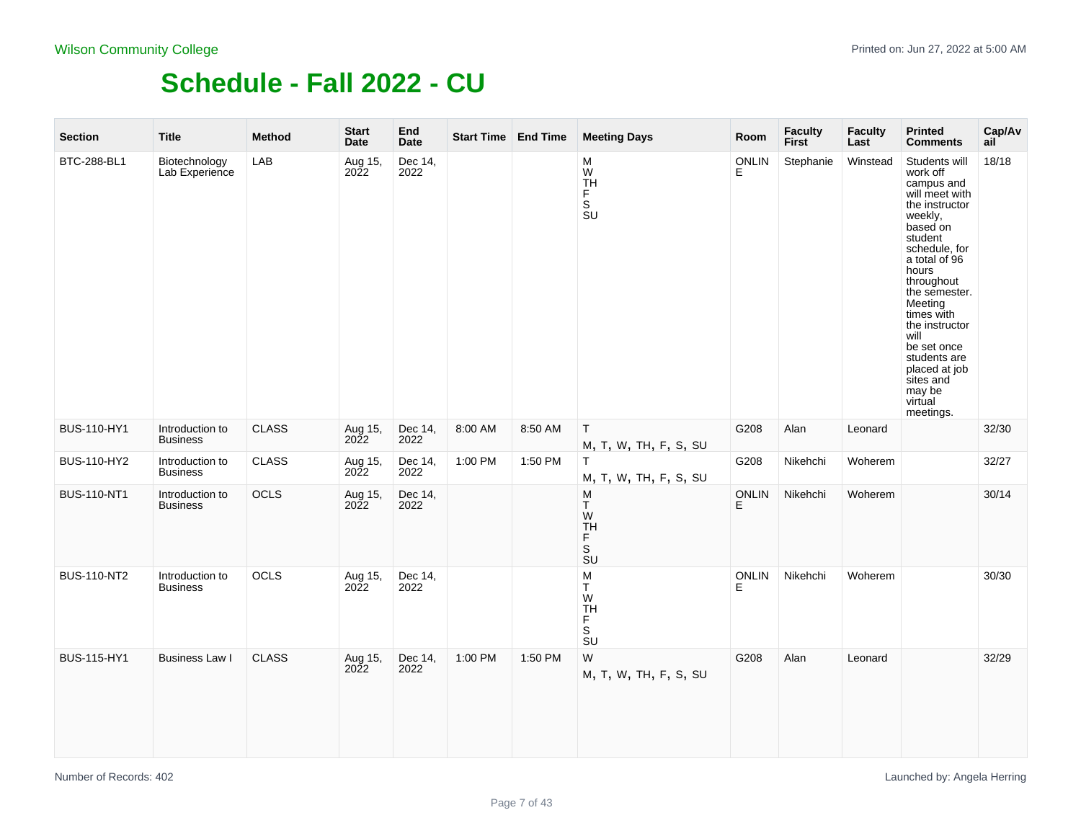| <b>Section</b>     | <b>Title</b>                       | <b>Method</b> | <b>Start</b><br><b>Date</b> | End<br><b>Date</b> | Start Time End Time |         | <b>Meeting Days</b>                              | Room               | <b>Faculty</b><br>First | <b>Faculty</b><br>Last | <b>Printed</b><br><b>Comments</b>                                                                                                                                                                                                                                                                                                         | Cap/Av<br>ail |
|--------------------|------------------------------------|---------------|-----------------------------|--------------------|---------------------|---------|--------------------------------------------------|--------------------|-------------------------|------------------------|-------------------------------------------------------------------------------------------------------------------------------------------------------------------------------------------------------------------------------------------------------------------------------------------------------------------------------------------|---------------|
| BTC-288-BL1        | Biotechnology<br>Lab Experience    | LAB           | Aug 15,<br>2022             | Dec 14,<br>2022    |                     |         | M<br>W<br><b>TH</b><br>F.<br>.<br>Su             | <b>ONLIN</b><br>E  | Stephanie               | Winstead               | Students will<br>work off<br>campus and<br>will meet with<br>the instructor<br>weekly,<br>based on<br>student<br>schedule, for<br>a total of 96<br>hours<br>throughout<br>the semester.<br>Meeting<br>times with<br>the instructor<br>will<br>be set once<br>students are<br>placed at job<br>sites and<br>may be<br>virtual<br>meetings. | 18/18         |
| <b>BUS-110-HY1</b> | Introduction to<br><b>Business</b> | <b>CLASS</b>  | Aug 15,<br>2022             | Dec 14,<br>2022    | 8:00 AM             | 8:50 AM | $\mathsf T$<br>M, T, W, TH, F, S, SU             | G208               | Alan                    | Leonard                |                                                                                                                                                                                                                                                                                                                                           | 32/30         |
| <b>BUS-110-HY2</b> | Introduction to<br><b>Business</b> | <b>CLASS</b>  | Aug 15,<br>2022             | Dec 14,<br>2022    | 1:00 PM             | 1:50 PM | T.<br>M, T, W, TH, F, S, SU                      | G208               | Nikehchi                | Woherem                |                                                                                                                                                                                                                                                                                                                                           | 32/27         |
| <b>BUS-110-NT1</b> | Introduction to<br><b>Business</b> | OCLS          | Aug 15,<br><b>2022</b>      | Dec 14,<br>2022    |                     |         | M<br>T.<br>W<br>TH<br>F.<br>S<br>$\overline{S}U$ | <b>ONLIN</b><br>E. | Nikehchi                | Woherem                |                                                                                                                                                                                                                                                                                                                                           | 30/14         |
| <b>BUS-110-NT2</b> | Introduction to<br><b>Business</b> | OCLS          | Aug 15,<br>2022             | Dec 14,<br>2022    |                     |         | ${\sf M}$<br>T<br>W<br>TH<br>F.<br>.<br>Su       | <b>ONLIN</b><br>E  | Nikehchi                | Woherem                |                                                                                                                                                                                                                                                                                                                                           | 30/30         |
| BUS-115-HY1        | Business Law I                     | <b>CLASS</b>  | Aug 15,<br>2022             | Dec 14,<br>2022    | 1:00 PM             | 1:50 PM | W<br>M, T, W, TH, F, S, SU                       | G208               | Alan                    | Leonard                |                                                                                                                                                                                                                                                                                                                                           | 32/29         |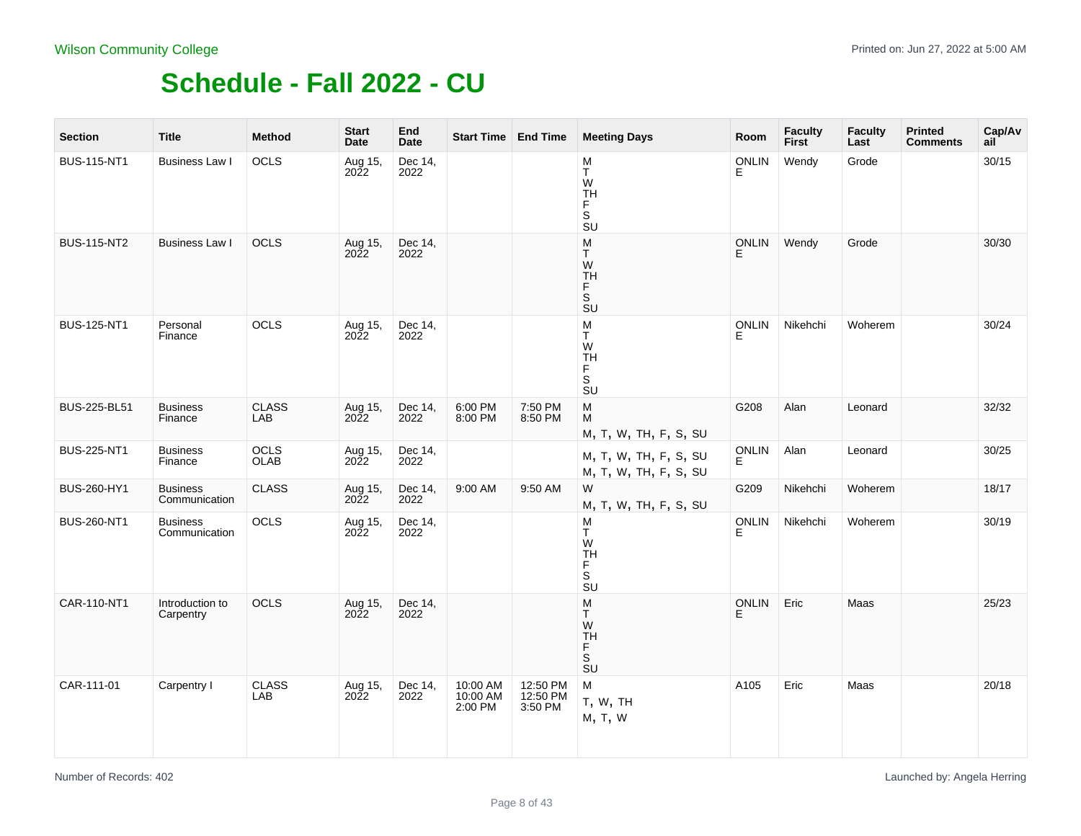| <b>Section</b>     | <b>Title</b>                     | <b>Method</b>       | <b>Start</b><br>Date | End<br><b>Date</b> | Start Time End Time             |                                 | <b>Meeting Days</b>                                                      | Room              | <b>Faculty</b><br><b>First</b> | <b>Faculty</b><br>Last | <b>Printed</b><br><b>Comments</b> | Cap/Av<br>ail |
|--------------------|----------------------------------|---------------------|----------------------|--------------------|---------------------------------|---------------------------------|--------------------------------------------------------------------------|-------------------|--------------------------------|------------------------|-----------------------------------|---------------|
| <b>BUS-115-NT1</b> | Business Law I                   | OCLS                | Aug 15,<br>2022      | Dec 14,<br>2022    |                                 |                                 | M<br>Τ<br>W<br><b>TH</b><br>F<br>S<br><b>SU</b>                          | <b>ONLIN</b><br>E | Wendy                          | Grode                  |                                   | 30/15         |
| <b>BUS-115-NT2</b> | Business Law I                   | <b>OCLS</b>         | Aug 15,<br>2022      | Dec 14,<br>2022    |                                 |                                 | M<br>T.<br>W<br><b>TH</b><br>F.<br>S<br><b>SU</b>                        | <b>ONLIN</b><br>F | Wendy                          | Grode                  |                                   | 30/30         |
| <b>BUS-125-NT1</b> | Personal<br>Finance              | OCLS                | Aug 15,<br>2022      | Dec 14,<br>2022    |                                 |                                 | M<br>Τ<br>W<br>TH<br>F<br>S<br>SU                                        | <b>ONLIN</b><br>F | Nikehchi                       | Woherem                |                                   | 30/24         |
| BUS-225-BL51       | <b>Business</b><br>Finance       | <b>CLASS</b><br>LAB | Aug 15,<br>2022      | Dec 14,<br>2022    | 6:00 PM<br>8:00 PM              | 7:50 PM<br>8:50 PM              | M<br>М<br>M, T, W, TH, F, S, SU                                          | G208              | Alan                           | Leonard                |                                   | 32/32         |
| <b>BUS-225-NT1</b> | <b>Business</b><br>Finance       | OCLS<br>OLAB        | Aug 15,<br>2022      | Dec 14,<br>2022    |                                 |                                 | M, T, W, TH, F, S, SU<br>M, T, W, TH, F, S, SU                           | ONLIN<br>E        | Alan                           | Leonard                |                                   | 30/25         |
| BUS-260-HY1        | <b>Business</b><br>Communication | <b>CLASS</b>        | Aug 15,<br>2022      | Dec 14,<br>2022    | 9:00 AM                         | 9:50 AM                         | W<br>M, T, W, TH, F, S, SU                                               | G209              | Nikehchi                       | Woherem                |                                   | 18/17         |
| <b>BUS-260-NT1</b> | <b>Business</b><br>Communication | OCLS                | Aug 15,<br>2022      | Dec 14,<br>2022    |                                 |                                 | М<br>Τ<br>W<br>TH<br>F.<br>S<br>SU                                       | <b>ONLIN</b><br>E | Nikehchi                       | Woherem                |                                   | 30/19         |
| CAR-110-NT1        | Introduction to<br>Carpentry     | OCLS                | Aug 15,<br>2022      | Dec 14,<br>2022    |                                 |                                 | M<br>T.<br>W<br><b>TH</b><br>F<br>S<br>$\overline{\mathsf{S}}\mathsf{U}$ | <b>ONLIN</b><br>E | Eric                           | Maas                   |                                   | 25/23         |
| CAR-111-01         | Carpentry I                      | <b>CLASS</b><br>LAB | Aug 15,<br>2022      | Dec 14,<br>2022    | 10:00 AM<br>10:00 AM<br>2:00 PM | 12:50 PM<br>12:50 PM<br>3:50 PM | M<br>T, W, TH<br>M, T, W                                                 | A105              | Eric                           | Maas                   |                                   | 20/18         |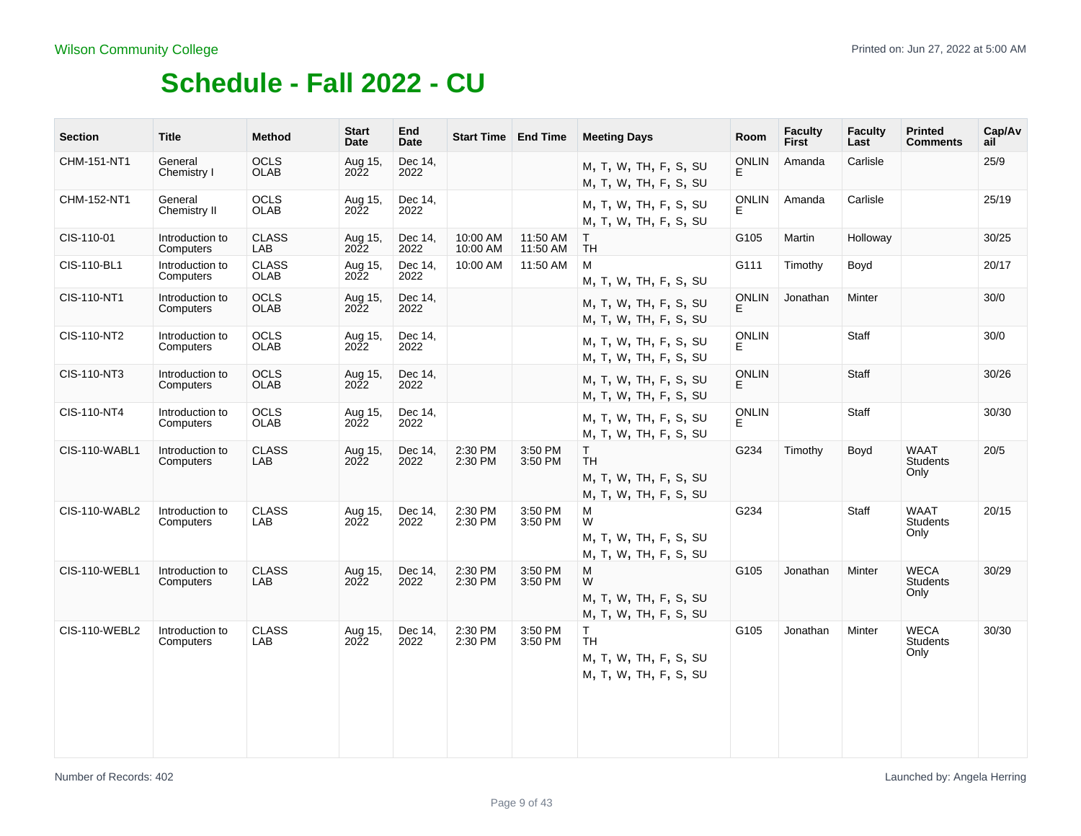| <b>Section</b>       | <b>Title</b>                 | <b>Method</b>               | <b>Start</b><br>Date   | End<br><b>Date</b> | <b>Start Time   End Time</b> |                      | <b>Meeting Days</b>                                               | Room               | <b>Faculty</b><br><b>First</b> | Faculty<br>Last | <b>Printed</b><br><b>Comments</b>      | Cap/Av<br>ail |
|----------------------|------------------------------|-----------------------------|------------------------|--------------------|------------------------------|----------------------|-------------------------------------------------------------------|--------------------|--------------------------------|-----------------|----------------------------------------|---------------|
| CHM-151-NT1          | General<br>Chemistry I       | <b>OCLS</b><br><b>OLAB</b>  | Aug 15,<br>2022        | Dec 14,<br>2022    |                              |                      | M, T, W, TH, F, S, SU<br>M, T, W, TH, F, S, SU                    | <b>ONLIN</b>       | Amanda                         | Carlisle        |                                        | 25/9          |
| CHM-152-NT1          | General<br>Chemistry II      | <b>OCLS</b><br><b>OLAB</b>  | Aug 15,<br>2022        | Dec 14,<br>2022    |                              |                      | M, T, W, TH, F, S, SU<br>M, T, W, TH, F, S, SU                    | <b>ONLIN</b><br>E. | Amanda                         | Carlisle        |                                        | 25/19         |
| CIS-110-01           | Introduction to<br>Computers | <b>CLASS</b><br>LAB         | Aug 15,<br>2022        | Dec 14.<br>2022    | 10:00 AM<br>10:00 AM         | 11:50 AM<br>11:50 AM | $\mathsf{T}$<br><b>TH</b>                                         | G105               | Martin                         | Holloway        |                                        | 30/25         |
| CIS-110-BL1          | Introduction to<br>Computers | <b>CLASS</b><br><b>OLAB</b> | Aug 15,<br>2022        | Dec 14,<br>2022    | 10:00 AM                     | 11:50 AM             | М<br>M, T, W, TH, F, S, SU                                        | G111               | Timothy                        | Boyd            |                                        | 20/17         |
| CIS-110-NT1          | Introduction to<br>Computers | <b>OCLS</b><br><b>OLAB</b>  | Aug 15,<br><b>2022</b> | Dec 14,<br>2022    |                              |                      | M, T, W, TH, F, S, SU<br>M, T, W, TH, F, S, SU                    | <b>ONLIN</b><br>E  | Jonathan                       | Minter          |                                        | 30/0          |
| CIS-110-NT2          | Introduction to<br>Computers | <b>OCLS</b><br><b>OLAB</b>  | Aug 15,<br>2022        | Dec 14.<br>2022    |                              |                      | M, T, W, TH, F, S, SU<br>M, T, W, TH, F, S, SU                    | <b>ONLIN</b><br>F. |                                | Staff           |                                        | 30/0          |
| CIS-110-NT3          | Introduction to<br>Computers | <b>OCLS</b><br><b>OLAB</b>  | Aug 15,<br>2022        | Dec 14,<br>2022    |                              |                      | M, T, W, TH, F, S, SU<br>M, T, W, TH, F, S, SU                    | <b>ONLIN</b><br>F. |                                | Staff           |                                        | 30/26         |
| CIS-110-NT4          | Introduction to<br>Computers | <b>OCLS</b><br><b>OLAB</b>  | Aug 15,<br>2022        | Dec 14,<br>2022    |                              |                      | M, T, W, TH, F, S, SU<br>M, T, W, TH, F, S, SU                    | <b>ONLIN</b><br>E. |                                | Staff           |                                        | 30/30         |
| <b>CIS-110-WABL1</b> | Introduction to<br>Computers | <b>CLASS</b><br>LAB         | Aug 15,<br><b>2022</b> | Dec 14,<br>2022    | 2:30 PM<br>2:30 PM           | 3:50 PM<br>3:50 PM   | T.<br><b>TH</b><br>M, T, W, TH, F, S, SU<br>M, T, W, TH, F, S, SU | G234               | Timothy                        | Boyd            | <b>WAAT</b><br><b>Students</b><br>Only | 20/5          |
| <b>CIS-110-WABL2</b> | Introduction to<br>Computers | <b>CLASS</b><br>LAB         | Aug 15,<br>2022        | Dec 14,<br>2022    | 2:30 PM<br>2:30 PM           | 3:50 PM<br>3:50 PM   | M<br>W<br>M, T, W, TH, F, S, SU<br>M, T, W, TH, F, S, SU          | G234               |                                | <b>Staff</b>    | <b>WAAT</b><br><b>Students</b><br>Only | 20/15         |
| <b>CIS-110-WEBL1</b> | Introduction to<br>Computers | <b>CLASS</b><br>LAB         | Aug 15,<br><b>2022</b> | Dec 14,<br>2022    | 2:30 PM<br>2:30 PM           | 3:50 PM<br>3:50 PM   | M<br>W<br>M, T, W, TH, F, S, SU<br>M, T, W, TH, F, S, SU          | G105               | Jonathan                       | Minter          | <b>WECA</b><br>Students<br>Only        | 30/29         |
| CIS-110-WEBL2        | Introduction to<br>Computers | <b>CLASS</b><br>LAB         | Aug 15,<br>2022        | Dec 14,<br>2022    | 2:30 PM<br>2:30 PM           | 3:50 PM<br>3:50 PM   | T.<br><b>TH</b><br>M, T, W, TH, F, S, SU<br>M, T, W, TH, F, S, SU | G105               | Jonathan                       | Minter          | <b>WECA</b><br>Students<br>Only        | 30/30         |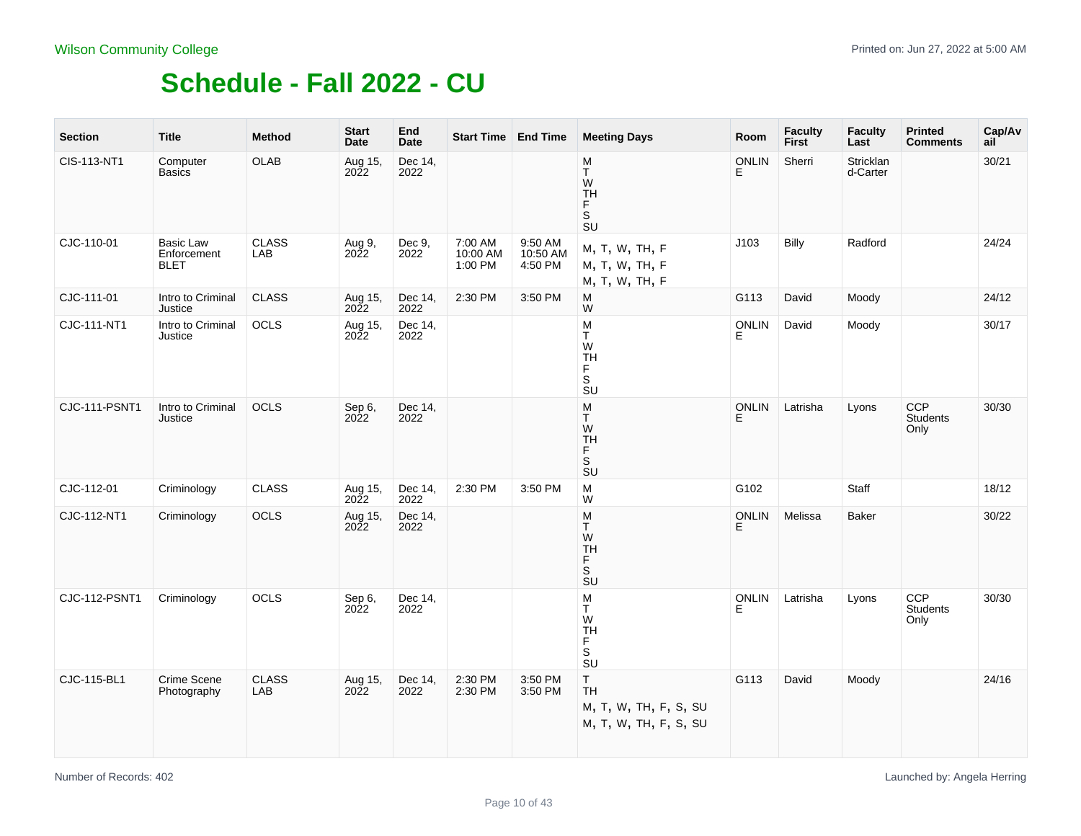| <b>Section</b> | <b>Title</b>                            | <b>Method</b>       | <b>Start</b><br>Date | End<br><b>Date</b> | Start Time   End Time          |                                | <b>Meeting Days</b>                                                          | Room              | Faculty<br>First | <b>Faculty</b><br>Last | <b>Printed</b><br><b>Comments</b> | Cap/Av<br>ail |
|----------------|-----------------------------------------|---------------------|----------------------|--------------------|--------------------------------|--------------------------------|------------------------------------------------------------------------------|-------------------|------------------|------------------------|-----------------------------------|---------------|
| CIS-113-NT1    | Computer<br><b>Basics</b>               | <b>OLAB</b>         | Aug 15,<br>2022      | Dec 14,<br>2022    |                                |                                | M<br>T<br>W<br>TH<br>F.<br>S<br>SU                                           | <b>ONLIN</b><br>E | Sherri           | Stricklan<br>d-Carter  |                                   | 30/21         |
| CJC-110-01     | Basic Law<br>Enforcement<br><b>BLET</b> | <b>CLASS</b><br>LAB | Aug 9,<br>2022       | Dec 9,<br>2022     | 7:00 AM<br>10:00 AM<br>1:00 PM | 9:50 AM<br>10:50 AM<br>4:50 PM | M, T, W, TH, F<br>M, T, W, TH, F<br>M, T, W, TH, F                           | J103              | <b>Billy</b>     | Radford                |                                   | 24/24         |
| CJC-111-01     | Intro to Criminal<br>Justice            | <b>CLASS</b>        | Aug 15,<br>2022      | Dec 14,<br>2022    | 2:30 PM                        | 3:50 PM                        | M<br>W                                                                       | G113              | David            | Moody                  |                                   | 24/12         |
| CJC-111-NT1    | Intro to Criminal<br>Justice            | OCLS                | Aug 15,<br>2022      | Dec 14,<br>2022    |                                |                                | M<br>Ŧ<br>W<br>TH<br>F<br>S<br><b>SU</b>                                     | ONLIN<br>Е        | David            | Moody                  |                                   | 30/17         |
| CJC-111-PSNT1  | Intro to Criminal<br>Justice            | OCLS                | Sep 6,<br>2022       | Dec 14,<br>2022    |                                |                                | ${\sf M}$<br>T<br>W<br>$\mathop{\mathsf{TH}}\limits_{\mathsf{F}}$<br>.<br>SU | <b>ONLIN</b><br>E | Latrisha         | Lyons                  | CCP<br>Students<br>Only           | 30/30         |
| CJC-112-01     | Criminology                             | <b>CLASS</b>        | Aug 15,<br>2022      | Dec 14,<br>2022    | 2:30 PM                        | 3:50 PM                        | M<br>W                                                                       | G102              |                  | Staff                  |                                   | 18/12         |
| CJC-112-NT1    | Criminology                             | OCLS                | Aug 15,<br>2022      | Dec 14,<br>2022    |                                |                                | ${\sf M}$<br>T.<br>${\sf W}$<br>TH<br>F<br>s<br>su                           | ONLIN<br>E        | Melissa          | Baker                  |                                   | 30/22         |
| CJC-112-PSNT1  | Criminology                             | OCLS                | Sep 6,<br>2022       | Dec 14,<br>2022    |                                |                                | M<br>Τ<br>${\sf W}$<br><b>TH</b><br>F<br>s<br>su                             | ONLIN<br>E        | Latrisha         | Lyons                  | <b>CCP</b><br>Students<br>Only    | 30/30         |
| CJC-115-BL1    | Crime Scene<br>Photography              | <b>CLASS</b><br>LAB | Aug 15,<br>2022      | Dec 14,<br>2022    | 2:30 PM<br>2:30 PM             | 3:50 PM<br>3:50 PM             | $\mathsf T$<br><b>TH</b><br>M, T, W, TH, F, S, SU<br>M, T, W, TH, F, S, SU   | G113              | David            | Moody                  |                                   | 24/16         |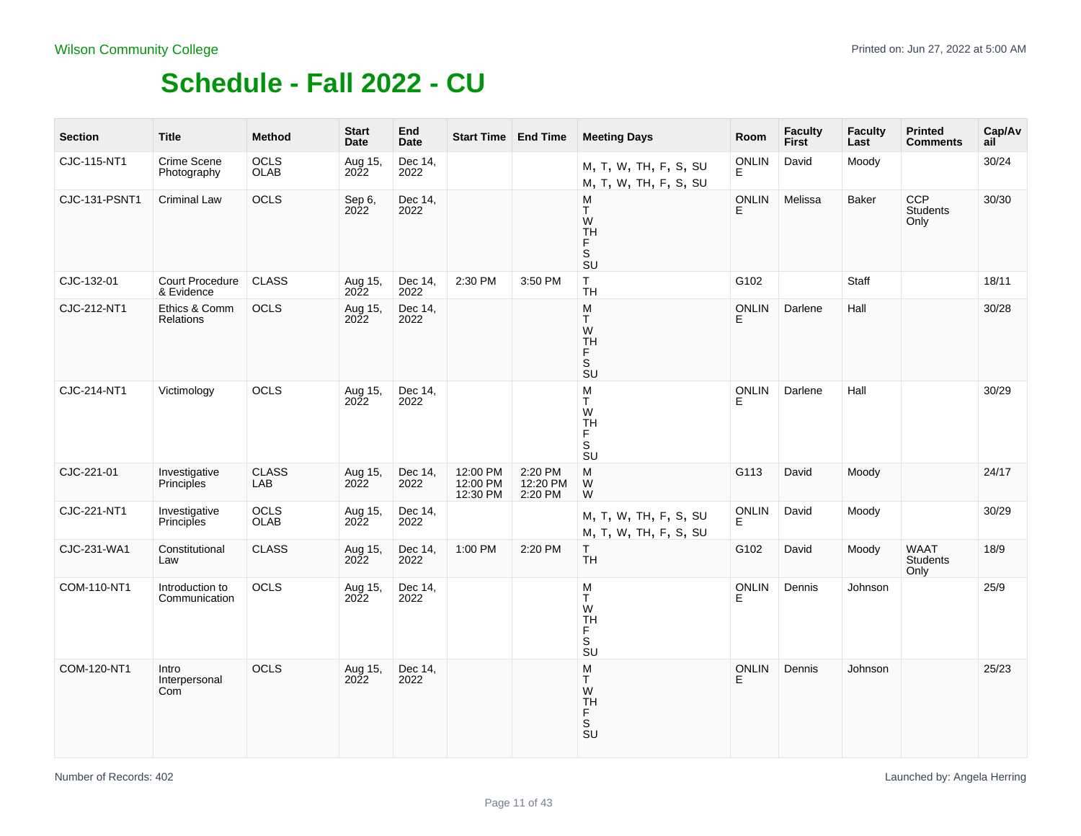| <b>Section</b>       | <b>Title</b>                     | <b>Method</b>              | <b>Start</b><br>Date   | End<br>Date     |                                  | Start Time   End Time          | <b>Meeting Days</b>                                                                | Room               | <b>Faculty</b><br><b>First</b> | <b>Faculty</b><br>Last | <b>Printed</b><br><b>Comments</b>     | Cap/Av<br>ail |
|----------------------|----------------------------------|----------------------------|------------------------|-----------------|----------------------------------|--------------------------------|------------------------------------------------------------------------------------|--------------------|--------------------------------|------------------------|---------------------------------------|---------------|
| CJC-115-NT1          | Crime Scene<br>Photography       | <b>OCLS</b><br><b>OLAB</b> | Aug 15,<br>2022        | Dec 14,<br>2022 |                                  |                                | M, T, W, TH, F, S, SU<br>M, T, W, TH, F, S, SU                                     | <b>ONLIN</b><br>Ė. | David                          | Moody                  |                                       | 30/24         |
| <b>CJC-131-PSNT1</b> | <b>Criminal Law</b>              | OCLS                       | Sep 6,<br>2022         | Dec 14,<br>2022 |                                  |                                | M<br>T.<br>W<br><b>TH</b><br>F<br>s<br>su                                          | <b>ONLIN</b><br>E. | Melissa                        | <b>Baker</b>           | <b>CCP</b><br><b>Students</b><br>Only | 30/30         |
| CJC-132-01           | Court Procedure<br>& Evidence    | <b>CLASS</b>               | Aug 15,<br>2022        | Dec 14,<br>2022 | 2:30 PM                          | 3:50 PM                        | T<br><b>TH</b>                                                                     | G102               |                                | Staff                  |                                       | 18/11         |
| CJC-212-NT1          | Ethics & Comm<br>Relations       | OCLS                       | Aug 15,<br>2022        | Dec 14,<br>2022 |                                  |                                | M<br>T<br>W<br><b>TH</b><br>F<br>$\overline{\mathsf{s}}$<br>SU                     | <b>ONLIN</b><br>E  | Darlene                        | Hall                   |                                       | 30/28         |
| CJC-214-NT1          | Victimology                      | OCLS                       | Aug 15,<br><b>2022</b> | Dec 14,<br>2022 |                                  |                                | M<br>T<br>W<br><b>TH</b><br>F<br>S<br>$\overline{\mathsf{S}}\mathsf{U}$            | <b>ONLIN</b><br>E  | Darlene                        | Hall                   |                                       | 30/29         |
| CJC-221-01           | Investigative<br>Principles      | <b>CLASS</b><br>LAB        | Aug 15,<br>2022        | Dec 14,<br>2022 | 12:00 PM<br>12:00 PM<br>12:30 PM | 2:20 PM<br>12:20 PM<br>2:20 PM | M<br>W<br>W                                                                        | G113               | David                          | Moody                  |                                       | 24/17         |
| CJC-221-NT1          | Investigative<br>Principles      | OCLS<br>OLAB               | Aug 15,<br>2022        | Dec 14,<br>2022 |                                  |                                | M, T, W, TH, F, S, SU<br>M, T, W, TH, F, S, SU                                     | ONLIN<br>E.        | David                          | Moody                  |                                       | 30/29         |
| CJC-231-WA1          | Constitutional<br>Law            | <b>CLASS</b>               | Aug 15,<br>2022        | Dec 14,<br>2022 | 1:00 PM                          | 2:20 PM                        | $\mathsf{T}$<br><b>TH</b>                                                          | G102               | David                          | Moody                  | WAAT<br>Students<br>Only              | 18/9          |
| COM-110-NT1          | Introduction to<br>Communication | <b>OCLS</b>                | Aug 15,<br>2022        | Dec 14,<br>2022 |                                  |                                | M<br>T<br>W<br><b>TH</b><br>F<br>$\overline{\mathbf{s}}$<br><b>SU</b>              | <b>ONLIN</b><br>E. | Dennis                         | Johnson                |                                       | 25/9          |
| COM-120-NT1          | Intro<br>Interpersonal<br>Com    | OCLS                       | Aug 15,<br>2022        | Dec 14,<br>2022 |                                  |                                | M<br>T.<br>W<br><b>TH</b><br>F<br>$\mathbb S$<br>$\overline{\mathsf{S}}\mathsf{U}$ | <b>ONLIN</b><br>E  | Dennis                         | Johnson                |                                       | 25/23         |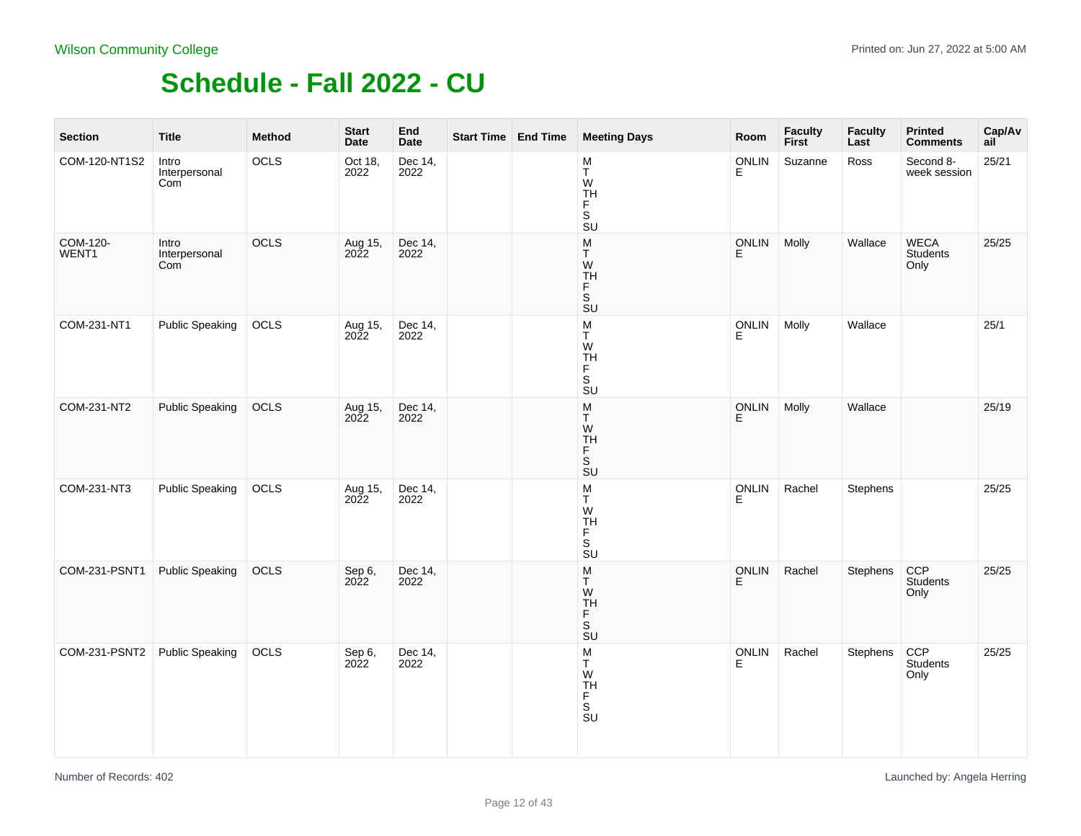| <b>Section</b>    | <b>Title</b>                  | <b>Method</b> | <b>Start</b><br>Date | End<br><b>Date</b> | Start Time End Time | <b>Meeting Days</b>                                                                                       | Room       | Faculty<br>First | <b>Faculty</b><br>Last | <b>Printed</b><br><b>Comments</b> | Cap/Av<br>ail |
|-------------------|-------------------------------|---------------|----------------------|--------------------|---------------------|-----------------------------------------------------------------------------------------------------------|------------|------------------|------------------------|-----------------------------------|---------------|
| COM-120-NT1S2     | Intro<br>Interpersonal<br>Com | OCLS          | Oct 18,<br>2022      | Dec 14,<br>2022    |                     | M<br>T<br>W<br>TH<br>F<br>S<br>$\overline{\mathsf{S}}\mathsf{U}$                                          | ONLIN<br>E | Suzanne          | Ross                   | Second 8-<br>week session         | 25/21         |
| COM-120-<br>WENT1 | Intro<br>Interpersonal<br>Com | OCLS          | Aug 15,<br>2022      | Dec 14,<br>2022    |                     | ${\sf M}$<br>$\top$<br>W<br>TH<br>F<br>์ร<br>ร∪                                                           | ONLIN<br>E | Molly            | Wallace                | WECA<br>Students<br>Only          | 25/25         |
| COM-231-NT1       | <b>Public Speaking</b>        | OCLS          | Aug 15,<br>2022      | Dec 14,<br>2022    |                     | $_{\rm T}^{\rm M}$<br>W<br>TH<br>F<br>S<br>$\overline{\mathsf{S}}\mathsf{U}$                              | ONLIN      | Molly            | Wallace                |                                   | 25/1          |
| COM-231-NT2       | <b>Public Speaking</b>        | OCLS          | Aug 15,<br>2022      | Dec 14,<br>2022    |                     | ${\sf M}$<br>T<br>W<br>TH<br>F<br>S<br><b>SU</b>                                                          | ONLIN<br>E | Molly            | Wallace                |                                   | 25/19         |
| COM-231-NT3       | <b>Public Speaking</b>        | OCLS          | Aug 15,<br>2022      | Dec 14,<br>2022    |                     | $\frac{\mathsf{M}}{\mathsf{T}}$<br>${\sf W}$<br><b>TH</b><br>F.<br>S<br>$\overline{\mathsf{S}}\mathsf{U}$ | ONLIN<br>E | Rachel           | Stephens               |                                   | 25/25         |
| COM-231-PSNT1     | <b>Public Speaking</b>        | OCLS          | Sep 6,<br>2022       | Dec 14,<br>2022    |                     | M<br>T<br>W<br><b>TH</b><br>Ë<br>$\overline{\mathsf{s}}$<br>$\overline{\text{S}}$ U                       | ONLIN<br>E | Rachel           | Stephens               | CCP<br>Students<br>Only           | 25/25         |
| COM-231-PSNT2     | <b>Public Speaking</b>        | OCLS          | Sep 6,<br>2022       | Dec 14,<br>2022    |                     | M<br>T<br>W<br>TH<br>F<br>S<br>SU                                                                         | ONLIN<br>E | Rachel           | Stephens               | CCP<br>Students<br>Only           | 25/25         |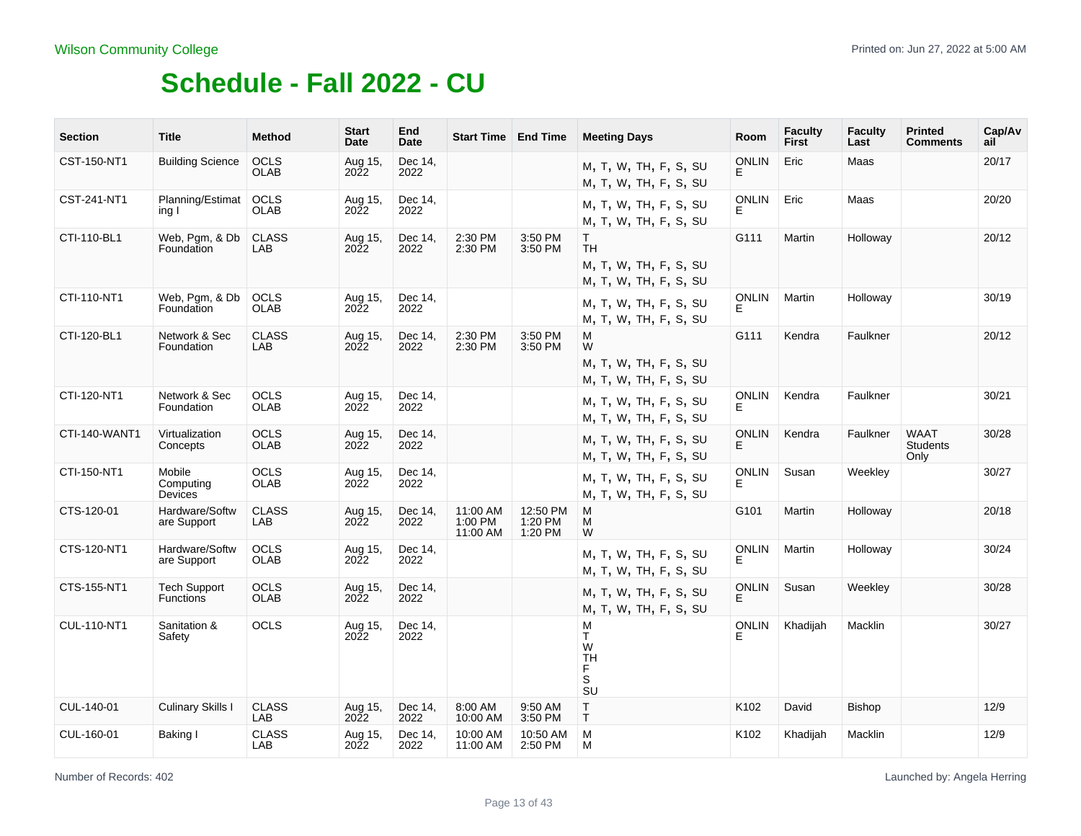| <b>Section</b> | <b>Title</b>                            | Method                     | <b>Start</b><br>Date   | End<br>Date     | <b>Start Time   End Time</b>    |                                | <b>Meeting Days</b>                                                       | <b>Room</b>        | <b>Faculty</b><br>First | <b>Faculty</b><br>Last | <b>Printed</b><br><b>Comments</b>      | Cap/Av<br>ail |
|----------------|-----------------------------------------|----------------------------|------------------------|-----------------|---------------------------------|--------------------------------|---------------------------------------------------------------------------|--------------------|-------------------------|------------------------|----------------------------------------|---------------|
| CST-150-NT1    | <b>Building Science</b>                 | <b>OCLS</b><br><b>OLAB</b> | Aug 15,<br>2022        | Dec 14,<br>2022 |                                 |                                | M, T, W, TH, F, S, SU<br>M, T, W, TH, F, S, SU                            | <b>ONLIN</b><br>E  | Eric                    | Maas                   |                                        | 20/17         |
| CST-241-NT1    | Planning/Estimat<br>ing I               | <b>OCLS</b><br><b>OLAB</b> | Aug 15,<br><b>2022</b> | Dec 14,<br>2022 |                                 |                                | M, T, W, TH, F, S, SU<br>M, T, W, TH, F, S, SU                            | <b>ONLIN</b><br>E. | Eric                    | Maas                   |                                        | 20/20         |
| CTI-110-BL1    | Web, Pgm, & Db<br>Foundation            | <b>CLASS</b><br>LAB        | Aug 15,<br><b>2022</b> | Dec 14,<br>2022 | 2:30 PM<br>2:30 PM              | 3:50 PM<br>3:50 PM             | T.<br><b>TH</b><br>M, T, W, TH, F, S, SU<br>M, T, W, TH, F, S, SU         | G111               | Martin                  | Holloway               |                                        | 20/12         |
| CTI-110-NT1    | Web, Pgm, & Db<br>Foundation            | <b>OCLS</b><br><b>OLAB</b> | Aug 15,<br>2022        | Dec 14.<br>2022 |                                 |                                | M, T, W, TH, F, S, SU<br>M, T, W, TH, F, S, SU                            | <b>ONLIN</b><br>F. | Martin                  | Holloway               |                                        | 30/19         |
| CTI-120-BL1    | Network & Sec<br>Foundation             | <b>CLASS</b><br>LAB        | Aug 15,<br>2022        | Dec 14,<br>2022 | 2:30 PM<br>2:30 PM              | 3:50 PM<br>3:50 PM             | м<br>W<br>M, T, W, TH, F, S, SU<br>M, T, W, TH, F, S, SU                  | G111               | Kendra                  | Faulkner               |                                        | 20/12         |
| CTI-120-NT1    | Network & Sec<br>Foundation             | <b>OCLS</b><br><b>OLAB</b> | Aug 15,<br>2022        | Dec 14,<br>2022 |                                 |                                | M, T, W, TH, F, S, SU<br>M, T, W, TH, F, S, SU                            | <b>ONLIN</b><br>E. | Kendra                  | Faulkner               |                                        | 30/21         |
| CTI-140-WANT1  | Virtualization<br>Concepts              | OCLS<br><b>OLAB</b>        | Aug 15,<br>2022        | Dec 14,<br>2022 |                                 |                                | M, T, W, TH, F, S, SU<br>M, T, W, TH, F, S, SU                            | <b>ONLIN</b><br>F. | Kendra                  | Faulkner               | <b>WAAT</b><br><b>Students</b><br>Only | 30/28         |
| CTI-150-NT1    | Mobile<br>Computing<br>Devices          | <b>OCLS</b><br><b>OLAB</b> | Aug 15,<br>2022        | Dec 14,<br>2022 |                                 |                                | M, T, W, TH, F, S, SU<br>M, T, W, TH, F, S, SU                            | <b>ONLIN</b><br>F. | Susan                   | Weekley                |                                        | 30/27         |
| CTS-120-01     | Hardware/Softw<br>are Support           | <b>CLASS</b><br>LAB        | Aug 15,<br>2022        | Dec 14,<br>2022 | 11:00 AM<br>1:00 PM<br>11:00 AM | 12:50 PM<br>1:20 PM<br>1:20 PM | м<br>M<br>W                                                               | G101               | Martin                  | Holloway               |                                        | 20/18         |
| CTS-120-NT1    | Hardware/Softw<br>are Support           | <b>OCLS</b><br><b>OLAB</b> | Aug 15,<br>2022        | Dec 14.<br>2022 |                                 |                                | M, T, W, TH, F, S, SU<br>M, T, W, TH, F, S, SU                            | <b>ONLIN</b><br>E. | Martin                  | Holloway               |                                        | 30/24         |
| CTS-155-NT1    | <b>Tech Support</b><br><b>Functions</b> | <b>OCLS</b><br><b>OLAB</b> | Aug 15,<br>2022        | Dec 14,<br>2022 |                                 |                                | M, T, W, TH, F, S, SU<br>M, T, W, TH, F, S, SU                            | <b>ONLIN</b><br>E. | Susan                   | Weekley                |                                        | 30/28         |
| CUL-110-NT1    | Sanitation &<br>Safety                  | <b>OCLS</b>                | Aug 15,<br>2022        | Dec 14,<br>2022 |                                 |                                | M<br>T.<br>W<br><b>TH</b><br>F.<br>S<br>$\overline{\mathsf{S}}\mathsf{U}$ | <b>ONLIN</b><br>E  | Khadijah                | Macklin                |                                        | 30/27         |
| CUL-140-01     | <b>Culinary Skills I</b>                | <b>CLASS</b><br>LAB        | Aug 15,<br><b>2022</b> | Dec 14,<br>2022 | 8:00 AM<br>10:00 AM             | 9:50 AM<br>3:50 PM             | $\mathsf T$<br>T.                                                         | K102               | David                   | <b>Bishop</b>          |                                        | 12/9          |
| CUL-160-01     | Baking I                                | <b>CLASS</b><br>LAB        | Aug 15,<br>2022        | Dec 14,<br>2022 | 10:00 AM<br>11:00 AM            | 10:50 AM<br>2:50 PM            | M<br>M                                                                    | K102               | Khadijah                | Macklin                |                                        | 12/9          |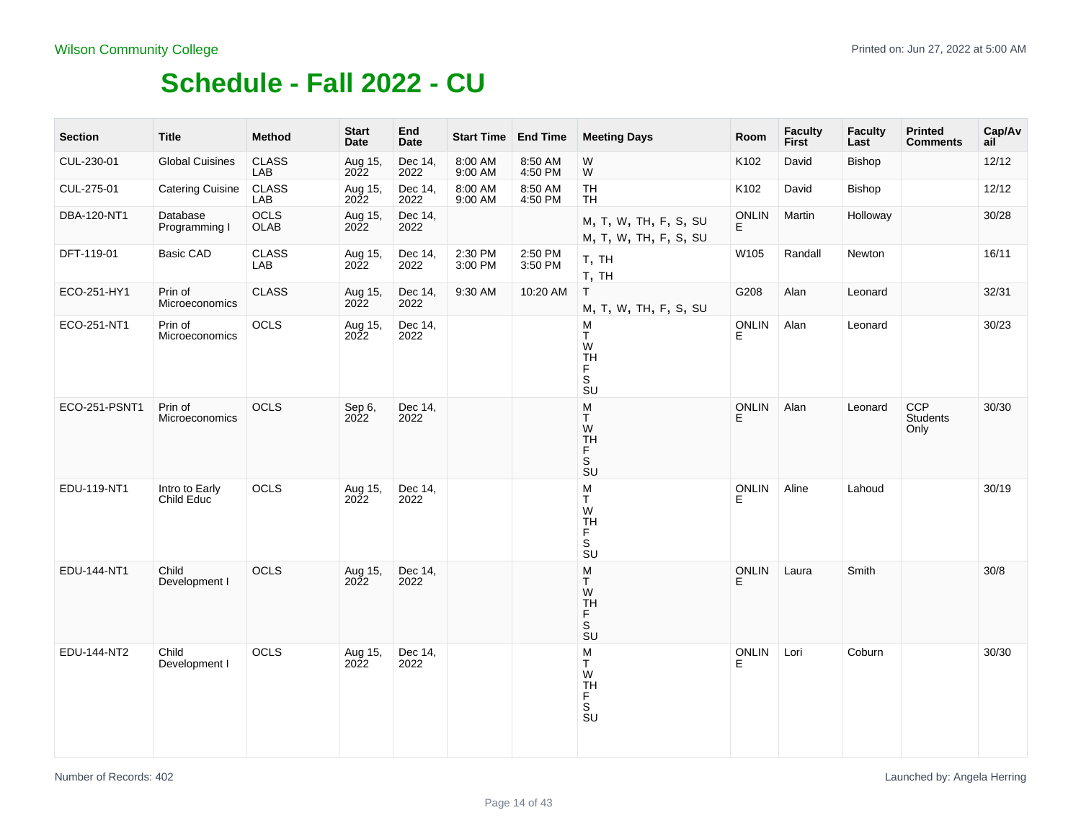| <b>Section</b> | <b>Title</b>                 | <b>Method</b>              | <b>Start</b><br><b>Date</b> | End<br><b>Date</b> | Start Time   End Time |                    | <b>Meeting Days</b>                                                                                                                                                              | Room               | <b>Faculty</b><br><b>First</b> | <b>Faculty</b><br>Last | <b>Printed</b><br><b>Comments</b> | Cap/Av<br>ail |
|----------------|------------------------------|----------------------------|-----------------------------|--------------------|-----------------------|--------------------|----------------------------------------------------------------------------------------------------------------------------------------------------------------------------------|--------------------|--------------------------------|------------------------|-----------------------------------|---------------|
| CUL-230-01     | <b>Global Cuisines</b>       | <b>CLASS</b><br>LAB        | Aug 15,<br>2022             | Dec 14,<br>2022    | 8:00 AM<br>9:00 AM    | 8:50 AM<br>4:50 PM | W<br>W                                                                                                                                                                           | K102               | David                          | <b>Bishop</b>          |                                   | 12/12         |
| CUL-275-01     | <b>Catering Cuisine</b>      | <b>CLASS</b><br>LAB        | Aug 15,<br>2022             | Dec 14,<br>2022    | 8:00 AM<br>9:00 AM    | 8:50 AM<br>4:50 PM | <b>TH</b><br><b>TH</b>                                                                                                                                                           | K102               | David                          | Bishop                 |                                   | 12/12         |
| DBA-120-NT1    | Database<br>Programming I    | <b>OCLS</b><br><b>OLAB</b> | Aug 15,<br>2022             | Dec 14,<br>2022    |                       |                    | M, T, W, TH, F, S, SU<br>M, T, W, TH, F, S, SU                                                                                                                                   | <b>ONLIN</b><br>E. | Martin                         | Holloway               |                                   | 30/28         |
| DFT-119-01     | Basic CAD                    | <b>CLASS</b><br>LAB        | Aug 15,<br>2022             | Dec 14,<br>2022    | 2:30 PM<br>3:00 PM    | 2:50 PM<br>3:50 PM | T, TH<br>T, TH                                                                                                                                                                   | W105               | Randall                        | Newton                 |                                   | 16/11         |
| ECO-251-HY1    | Prin of<br>Microeconomics    | <b>CLASS</b>               | Aug 15,<br>2022             | Dec 14,<br>2022    | 9:30 AM               | 10:20 AM           | $\mathsf{T}$<br>M, T, W, TH, F, S, SU                                                                                                                                            | G208               | Alan                           | Leonard                |                                   | 32/31         |
| ECO-251-NT1    | Prin of<br>Microeconomics    | OCLS                       | Aug 15,<br>2022             | Dec 14,<br>2022    |                       |                    | M<br>T.<br>W<br><b>TH</b><br>F<br>$\overline{\mathbf{s}}$<br>$\overline{\mathsf{S}}\mathsf{U}$                                                                                   | ONLIN<br>E         | Alan                           | Leonard                |                                   | 30/23         |
| ECO-251-PSNT1  | Prin of<br>Microeconomics    | OCLS                       | Sep 6,<br>2022              | Dec 14,<br>2022    |                       |                    | M<br>T<br>W<br><b>TH</b><br>$_{\rm S}^{\rm F}$<br>SU                                                                                                                             | <b>ONLIN</b><br>E. | Alan                           | Leonard                | CCP<br>Students<br>Only           | 30/30         |
| EDU-119-NT1    | Intro to Early<br>Child Educ | OCLS                       | Aug 15,<br>2022             | Dec 14,<br>2022    |                       |                    | $\mathsf{M}% _{T}=\mathsf{M}_{T}\!\left( a,b\right) ,\ \mathsf{M}_{T}=\mathsf{M}_{T}$<br>$\mathsf{T}$<br>W<br><b>TH</b><br>F<br>$\mathbb S$<br>$\overline{\mathsf{S}}\mathsf{U}$ | <b>ONLIN</b><br>E. | Aline                          | Lahoud                 |                                   | 30/19         |
| EDU-144-NT1    | Child<br>Development I       | OCLS                       | Aug 15,<br>2022             | Dec 14,<br>2022    |                       |                    | M<br>T.<br>W<br><b>TH</b><br>F<br>$\overline{\mathbf{s}}$<br><b>SU</b>                                                                                                           | ONLIN<br>E.        | Laura                          | Smith                  |                                   | $30/8$        |
| EDU-144-NT2    | Child<br>Development I       | OCLS                       | Aug 15,<br>2022             | Dec 14,<br>2022    |                       |                    | M<br>T.<br>W<br><b>TH</b><br>F<br>$\mathbb S$<br>$\overline{\mathsf{S}}\mathsf{U}$                                                                                               | <b>ONLIN</b><br>Е  | Lori                           | Coburn                 |                                   | 30/30         |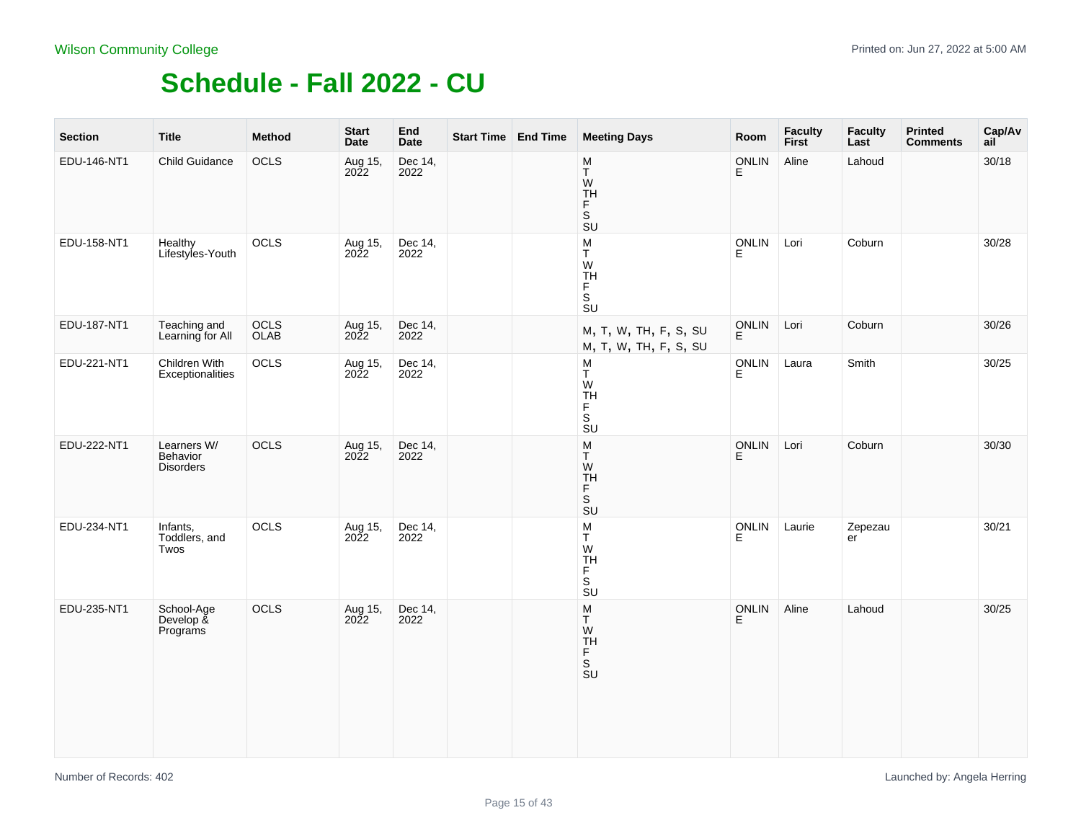| <b>Section</b> | <b>Title</b>                                   | Method       | <b>Start</b><br>Date      | End<br>Date     | Start Time End Time | <b>Meeting Days</b>                                                                           | Room              | Faculty<br>First | <b>Faculty</b><br>Last | <b>Printed</b><br><b>Comments</b> | Cap/Av<br>ail |
|----------------|------------------------------------------------|--------------|---------------------------|-----------------|---------------------|-----------------------------------------------------------------------------------------------|-------------------|------------------|------------------------|-----------------------------------|---------------|
| EDU-146-NT1    | Child Guidance                                 | OCLS         | Aug 15,<br>2022           | Dec 14,<br>2022 |                     | $\underline{\mathsf{M}}$<br>T.<br>W<br>TH<br>F<br>S<br>SU                                     | <b>ONLIN</b><br>E | Aline            | Lahoud                 |                                   | 30/18         |
| EDU-158-NT1    | Healthy<br>Lifestyles-Youth                    | OCLS         | Aug 15,<br>2022           | Dec 14,<br>2022 |                     | M<br>T<br>W<br>TH<br>F<br>$\overline{\mathsf{s}}$<br>$\overline{\mathsf{S}}\mathsf{U}$        | <b>ONLIN</b><br>E | Lori             | Coburn                 |                                   | 30/28         |
| EDU-187-NT1    | Teaching and<br>Learning for All               | OCLS<br>OLAB | Aug 15,<br>2022           | Dec 14,<br>2022 |                     | M, T, W, TH, F, S, SU<br>M, T, W, TH, F, S, SU                                                | ONLIN<br>E        | Lori             | Coburn                 |                                   | 30/26         |
| EDU-221-NT1    | Children With<br>Exceptionalities              | OCLS         | Aug 15,<br>2022           | Dec 14,<br>2022 |                     | M<br>$_{\rm W}^{\rm T}$<br><b>TH</b><br>F<br>$\mathbb S$<br>$\overline{\text{S}}$ U           | ONLIN<br>E        | Laura            | Smith                  |                                   | 30/25         |
| EDU-222-NT1    | Learners W/<br>Behavior<br><b>Disorders</b>    | OCLS         | Aug 15,<br>$20\tilde{2}2$ | Dec 14,<br>2022 |                     | ${\sf M}$<br>Τ<br>W<br><b>TH</b><br>F.<br>S<br>$\overline{S}U$                                | <b>ONLIN</b><br>E | Lori             | Coburn                 |                                   | 30/30         |
| EDU-234-NT1    | Infants,<br>Toddlers, and<br>Twos              | OCLS         | Aug 15,<br>2022           | Dec 14,<br>2022 |                     | M<br>Τ<br>W<br><b>TH</b><br>F<br>$\overline{\mathsf{s}}$<br>$\overline{\mathsf{S}}\mathsf{U}$ | <b>ONLIN</b><br>E | Laurie           | Zepezau<br>er          |                                   | 30/21         |
| EDU-235-NT1    | School-Age<br>Develop $\tilde{\&}$<br>Programs | OCLS         | Aug 15,<br>2022           | Dec 14,<br>2022 |                     | ${\sf M}$<br>T.<br>W<br>TH<br>$\frac{F}{S}$                                                   | ONLIN<br>E        | Aline            | Lahoud                 |                                   | 30/25         |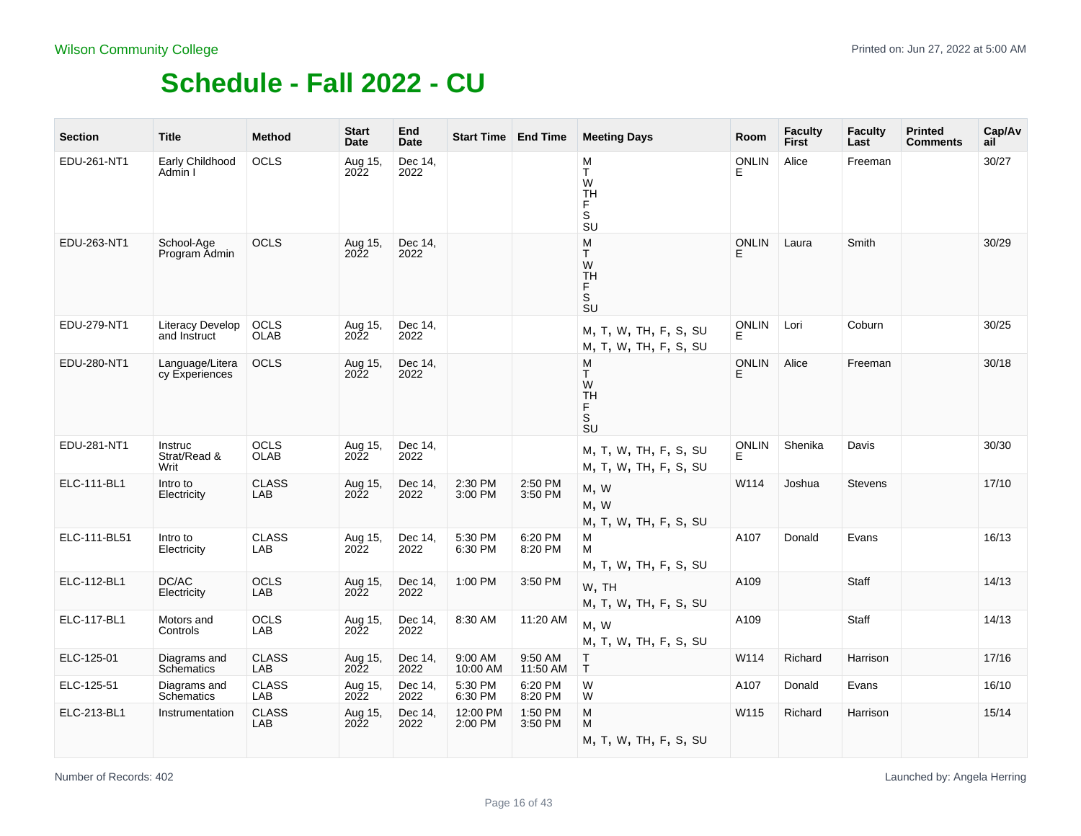| <b>Section</b> | <b>Title</b>                      | <b>Method</b>       | <b>Start</b><br>Date   | End<br><b>Date</b> | <b>Start Time   End Time</b> |                     | <b>Meeting Days</b>                                                       | Room              | <b>Faculty</b><br><b>First</b> | <b>Faculty</b><br>Last | <b>Printed</b><br><b>Comments</b> | Cap/Av<br>ail |
|----------------|-----------------------------------|---------------------|------------------------|--------------------|------------------------------|---------------------|---------------------------------------------------------------------------|-------------------|--------------------------------|------------------------|-----------------------------------|---------------|
| EDU-261-NT1    | Early Childhood<br>Admin I        | OCLS                | Aug 15,<br>2022        | Dec 14,<br>2022    |                              |                     | M<br>T.<br>W<br><b>TH</b><br>F<br>$\overline{\mathsf{s}}$<br>SU           | <b>ONLIN</b><br>E | Alice                          | Freeman                |                                   | 30/27         |
| EDU-263-NT1    | School-Age<br>Program Admin       | <b>OCLS</b>         | Aug 15,<br>2022        | Dec 14,<br>2022    |                              |                     | M<br>T.<br>W<br><b>TH</b><br>F.<br>S<br>SU                                | <b>ONLIN</b>      | Laura                          | Smith                  |                                   | 30/29         |
| EDU-279-NT1    | Literacy Develop<br>and Instruct  | OCLS<br><b>OLAB</b> | Aug 15,<br>2022        | Dec 14,<br>2022    |                              |                     | M, T, W, TH, F, S, SU<br>M, T, W, TH, F, S, SU                            | <b>ONLIN</b><br>F | Lori                           | Coburn                 |                                   | 30/25         |
| EDU-280-NT1    | Language/Litera<br>cy Experiences | <b>OCLS</b>         | Aug 15,<br><b>2022</b> | Dec 14,<br>2022    |                              |                     | M<br>T.<br>W<br><b>TH</b><br>F.<br>S<br>$\overline{\mathsf{s}}\mathsf{u}$ | <b>ONLIN</b><br>E | Alice                          | Freeman                |                                   | 30/18         |
| EDU-281-NT1    | Instruc<br>Strat/Read &<br>Writ   | OCLS<br><b>OLAB</b> | Aug 15,<br><b>2022</b> | Dec 14,<br>2022    |                              |                     | M, T, W, TH, F, S, SU<br>M, T, W, TH, F, S, SU                            | <b>ONLIN</b><br>E | Shenika                        | Davis                  |                                   | 30/30         |
| ELC-111-BL1    | Intro to<br>Electricity           | <b>CLASS</b><br>LAB | Aug 15,<br>2022        | Dec 14,<br>2022    | 2:30 PM<br>3:00 PM           | 2:50 PM<br>3:50 PM  | M, W<br>M, W<br>M, T, W, TH, F, S, SU                                     | W114              | Joshua                         | <b>Stevens</b>         |                                   | 17/10         |
| ELC-111-BL51   | Intro to<br>Electricity           | <b>CLASS</b><br>LAB | Aug 15,<br>2022        | Dec 14,<br>2022    | 5:30 PM<br>6:30 PM           | 6:20 PM<br>8:20 PM  | м<br>м<br>M, T, W, TH, F, S, SU                                           | A107              | Donald                         | Evans                  |                                   | 16/13         |
| ELC-112-BL1    | DC/AC<br>Electricity              | <b>OCLS</b><br>LAB  | Aug 15,<br><b>2022</b> | Dec 14,<br>2022    | 1:00 PM                      | 3:50 PM             | W, TH<br>M, T, W, TH, F, S, SU                                            | A109              |                                | <b>Staff</b>           |                                   | 14/13         |
| ELC-117-BL1    | Motors and<br>Controls            | <b>OCLS</b><br>LAB  | Aug 15,<br><b>2022</b> | Dec 14,<br>2022    | 8:30 AM                      | 11:20 AM            | M, W<br>M, T, W, TH, F, S, SU                                             | A109              |                                | Staff                  |                                   | 14/13         |
| ELC-125-01     | Diagrams and<br>Schematics        | <b>CLASS</b><br>LAB | Aug 15,<br><b>2022</b> | Dec 14,<br>2022    | 9:00 AM<br>10:00 AM          | 9:50 AM<br>11:50 AM | $\top$<br>$\mathsf{T}$                                                    | W114              | Richard                        | Harrison               |                                   | 17/16         |
| ELC-125-51     | Diagrams and<br>Schematics        | <b>CLASS</b><br>LAB | Aug 15,<br>2022        | Dec 14,<br>2022    | 5:30 PM<br>6:30 PM           | 6:20 PM<br>8:20 PM  | W<br>W                                                                    | A107              | Donald                         | Evans                  |                                   | 16/10         |
| ELC-213-BL1    | Instrumentation                   | <b>CLASS</b><br>LAB | Aug 15,<br>2022        | Dec 14,<br>2022    | 12:00 PM<br>2:00 PM          | 1:50 PM<br>3:50 PM  | M<br>M<br>M, T, W, TH, F, S, SU                                           | W115              | Richard                        | Harrison               |                                   | 15/14         |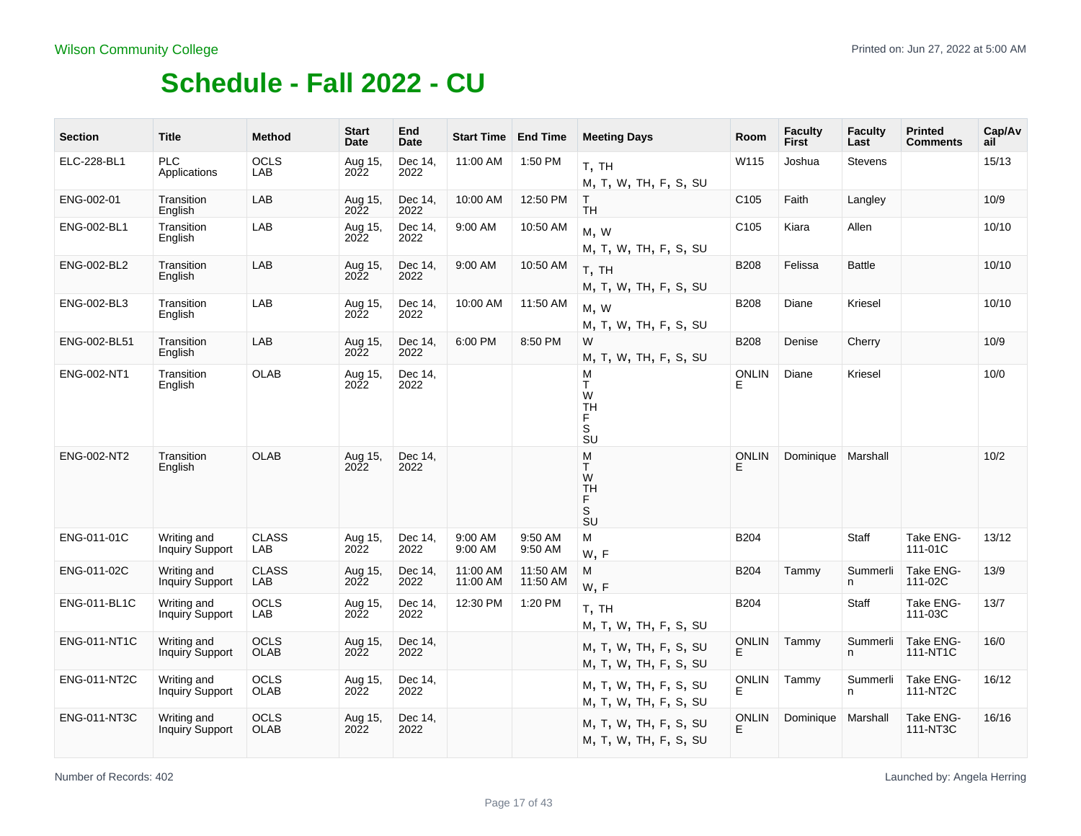| <b>Section</b>      | <b>Title</b>                          | <b>Method</b>              | <b>Start</b><br>Date      | End<br>Date     | <b>Start Time</b>    | <b>End Time</b>      | <b>Meeting Days</b>                                                                | Room              | <b>Faculty</b><br><b>First</b> | <b>Faculty</b><br>Last | <b>Printed</b><br><b>Comments</b> | Cap/Av<br>ail |
|---------------------|---------------------------------------|----------------------------|---------------------------|-----------------|----------------------|----------------------|------------------------------------------------------------------------------------|-------------------|--------------------------------|------------------------|-----------------------------------|---------------|
| ELC-228-BL1         | PLC<br>Applications                   | <b>OCLS</b><br>LAB         | Aug 15,<br>$20\tilde{2}2$ | Dec 14,<br>2022 | 11:00 AM             | 1:50 PM              | T, TH<br>M, T, W, TH, F, S, SU                                                     | W115              | Joshua                         | <b>Stevens</b>         |                                   | 15/13         |
| ENG-002-01          | Transition<br>English                 | LAB                        | Aug 15,<br>2022           | Dec 14.<br>2022 | 10:00 AM             | 12:50 PM             | T.<br><b>TH</b>                                                                    | C <sub>105</sub>  | Faith                          | Langley                |                                   | 10/9          |
| ENG-002-BL1         | Transition<br>English                 | LAB                        | Aug 15,<br>2022           | Dec 14.<br>2022 | 9:00 AM              | 10:50 AM             | M, W<br>M, T, W, TH, F, S, SU                                                      | C <sub>105</sub>  | Kiara                          | Allen                  |                                   | 10/10         |
| ENG-002-BL2         | Transition<br>English                 | LAB                        | Aug 15,<br>2022           | Dec 14,<br>2022 | 9:00 AM              | 10:50 AM             | T, TH<br>M, T, W, TH, F, S, SU                                                     | <b>B208</b>       | Felissa                        | <b>Battle</b>          |                                   | 10/10         |
| ENG-002-BL3         | Transition<br>English                 | LAB                        | Aug 15,<br><b>2022</b>    | Dec 14,<br>2022 | 10:00 AM             | 11:50 AM             | M, W<br>M, T, W, TH, F, S, SU                                                      | <b>B208</b>       | Diane                          | Kriesel                |                                   | 10/10         |
| ENG-002-BL51        | Transition<br>English                 | LAB                        | Aug 15,<br>2022           | Dec 14.<br>2022 | 6:00 PM              | 8:50 PM              | W<br>M, T, W, TH, F, S, SU                                                         | <b>B208</b>       | Denise                         | Cherry                 |                                   | 10/9          |
| ENG-002-NT1         | Transition<br>English                 | <b>OLAB</b>                | Aug 15,<br><b>2022</b>    | Dec 14.<br>2022 |                      |                      | M<br>T<br>W<br><b>TH</b><br>F.<br>S<br>SU                                          | <b>ONLIN</b><br>Е | Diane                          | Kriesel                |                                   | 10/0          |
| ENG-002-NT2         | Transition<br>English                 | <b>OLAB</b>                | Aug 15,<br>$20\bar{2}2$   | Dec 14,<br>2022 |                      |                      | M<br>T.<br>W<br><b>TH</b><br>F<br>$\mathbb S$<br>$\overline{\mathsf{S}}\mathsf{U}$ | <b>ONLIN</b><br>E | Dominique                      | Marshall               |                                   | 10/2          |
| ENG-011-01C         | Writing and<br><b>Inquiry Support</b> | <b>CLASS</b><br>LAB        | Aug 15,<br>2022           | Dec 14,<br>2022 | 9:00 AM<br>9:00 AM   | 9:50 AM<br>9:50 AM   | M<br>W, F                                                                          | <b>B204</b>       |                                | Staff                  | Take ENG-<br>111-01C              | 13/12         |
| ENG-011-02C         | Writing and<br>Inquiry Support        | <b>CLASS</b><br>LAB        | Aug 15,<br>2022           | Dec 14.<br>2022 | 11:00 AM<br>11:00 AM | 11:50 AM<br>11:50 AM | M<br>W, F                                                                          | B204              | Tammy                          | Summerli<br>n          | Take ENG-<br>111-02C              | 13/9          |
| ENG-011-BL1C        | Writing and<br>Inquiry Support        | <b>OCLS</b><br>LAB         | Aug 15,<br>2022           | Dec 14,<br>2022 | 12:30 PM             | 1:20 PM              | T, TH<br>M, T, W, TH, F, S, SU                                                     | <b>B204</b>       |                                | Staff                  | Take ENG-<br>111-03C              | 13/7          |
| <b>ENG-011-NT1C</b> | Writing and<br><b>Inquiry Support</b> | <b>OCLS</b><br><b>OLAB</b> | Aug 15,<br>2022           | Dec 14,<br>2022 |                      |                      | M, T, W, TH, F, S, SU<br>M, T, W, TH, F, S, SU                                     | <b>ONLIN</b><br>E | Tammy                          | Summerli<br>n          | Take ENG-<br>111-NT1C             | 16/0          |
| <b>ENG-011-NT2C</b> | Writing and<br><b>Inquiry Support</b> | <b>OCLS</b><br><b>OLAB</b> | Aug 15,<br><b>2022</b>    | Dec 14,<br>2022 |                      |                      | M, T, W, TH, F, S, SU<br>M, T, W, TH, F, S, SU                                     | <b>ONLIN</b><br>F | Tammy                          | Summerli<br>n          | Take ENG-<br>111-NT2C             | 16/12         |
| <b>ENG-011-NT3C</b> | Writing and<br>Inquiry Support        | <b>OCLS</b><br><b>OLAB</b> | Aug 15,<br>2022           | Dec 14,<br>2022 |                      |                      | M, T, W, TH, F, S, SU<br>M, T, W, TH, F, S, SU                                     | <b>ONLIN</b><br>E | Dominique                      | Marshall               | Take ENG-<br>111-NT3C             | 16/16         |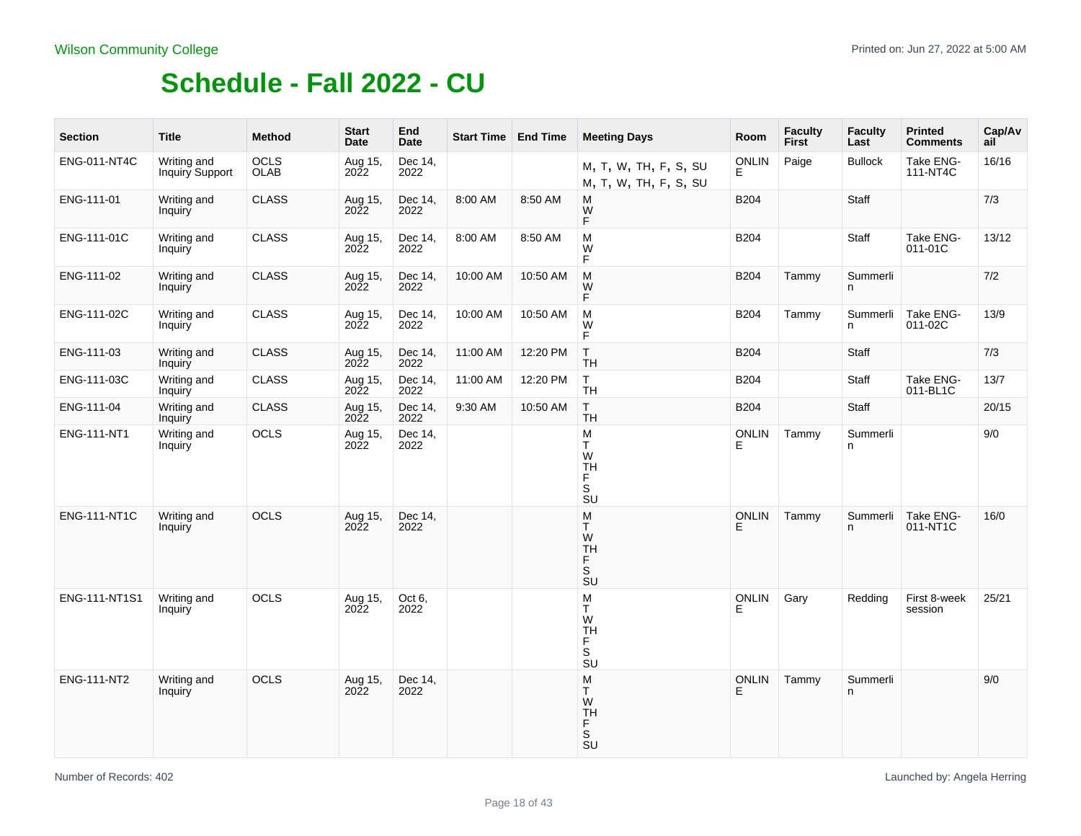| <b>Section</b>      | <b>Title</b>                   | <b>Method</b>       | <b>Start</b><br>Date   | End<br>Date     | <b>Start Time End Time</b> |          | <b>Meeting Days</b>                                                                | Room              | <b>Faculty</b><br>First | Faculty<br>Last | <b>Printed</b><br><b>Comments</b> | Cap/Av<br>ail |
|---------------------|--------------------------------|---------------------|------------------------|-----------------|----------------------------|----------|------------------------------------------------------------------------------------|-------------------|-------------------------|-----------------|-----------------------------------|---------------|
| <b>ENG-011-NT4C</b> | Writing and<br>Inquiry Support | <b>OCLS</b><br>OLAB | Aug 15,<br>2022        | Dec 14,<br>2022 |                            |          | M, T, W, TH, F, S, SU<br>M, T, W, TH, F, S, SU                                     | <b>ONLIN</b><br>E | Paige                   | <b>Bullock</b>  | Take ENG-<br>111-NT4C             | 16/16         |
| ENG-111-01          | Writing and<br>Inquiry         | <b>CLASS</b>        | Aug 15,<br>2022        | Dec 14,<br>2022 | 8:00 AM                    | 8:50 AM  | M<br>W<br>F                                                                        | <b>B204</b>       |                         | Staff           |                                   | 7/3           |
| ENG-111-01C         | Writing and<br>Inquiry         | <b>CLASS</b>        | Aug 15,<br>2022        | Dec 14,<br>2022 | 8:00 AM                    | 8:50 AM  | M<br>W<br>F                                                                        | <b>B204</b>       |                         | Staff           | Take ENG-<br>011-01C              | 13/12         |
| ENG-111-02          | Writing and<br>Inquiry         | <b>CLASS</b>        | Aug 15,<br><b>2022</b> | Dec 14,<br>2022 | 10:00 AM                   | 10:50 AM | M<br>W<br>F.                                                                       | B204              | Tammy                   | Summerli<br>n   |                                   | 7/2           |
| ENG-111-02C         | Writing and<br>Inquiry         | <b>CLASS</b>        | Aug 15,<br>2022        | Dec 14,<br>2022 | 10:00 AM                   | 10:50 AM | M<br>W<br>F                                                                        | B204              | Tammy                   | Summerli<br>n   | Take ENG-<br>011-02C              | 13/9          |
| ENG-111-03          | Writing and<br>Inquiry         | <b>CLASS</b>        | Aug 15,<br>2022        | Dec 14,<br>2022 | 11:00 AM                   | 12:20 PM | T<br><b>TH</b>                                                                     | <b>B204</b>       |                         | Staff           |                                   | 7/3           |
| ENG-111-03C         | Writing and<br>Inquiry         | <b>CLASS</b>        | Aug 15,<br>2022        | Dec 14,<br>2022 | 11:00 AM                   | 12:20 PM | T.<br><b>TH</b>                                                                    | B204              |                         | Staff           | Take ENG-<br>011-BL1C             | 13/7          |
| ENG-111-04          | Writing and<br>Inquiry         | <b>CLASS</b>        | Aug 15,<br>2022        | Dec 14,<br>2022 | 9:30 AM                    | 10:50 AM | T<br><b>TH</b>                                                                     | B204              |                         | Staff           |                                   | 20/15         |
| ENG-111-NT1         | Writing and<br>Inquiry         | OCLS                | Aug 15,<br>2022        | Dec 14,<br>2022 |                            |          | M<br>T<br>W<br>TH<br>F.<br>S<br>$\overline{\mathsf{S}}\mathsf{U}$                  | <b>ONLIN</b><br>E | Tammy                   | Summerli<br>n   |                                   | 9/0           |
| <b>ENG-111-NT1C</b> | Writing and<br>Inquiry         | <b>OCLS</b>         | Aug 15,<br>2022        | Dec 14,<br>2022 |                            |          | M<br>T.<br>W<br><b>TH</b><br>F.<br>S<br>$\overline{\mathsf{S}}\mathsf{U}$          | <b>ONLIN</b><br>E | Tammy                   | Summerli<br>n.  | Take ENG-<br>011-NT1C             | 16/0          |
| ENG-111-NT1S1       | Writing and<br>Inquiry         | OCLS                | Aug 15,<br>2022        | Oct 6.<br>2022  |                            |          | M<br>T.<br>W<br><b>TH</b><br>F<br>$\mathsf S$<br>$\overline{\mathsf{S}}\mathsf{U}$ | <b>ONLIN</b>      | Gary                    | Redding         | First 8-week<br>session           | 25/21         |
| ENG-111-NT2         | Writing and<br>Inquiry         | <b>OCLS</b>         | Aug 15,<br><b>2022</b> | Dec 14,<br>2022 |                            |          | ${\sf M}$<br>T.<br>W<br><b>TH</b><br>F.<br>S<br>$\overline{\mathsf{S}}\mathsf{U}$  | <b>ONLIN</b><br>E | Tammy                   | Summerli<br>n.  |                                   | 9/0           |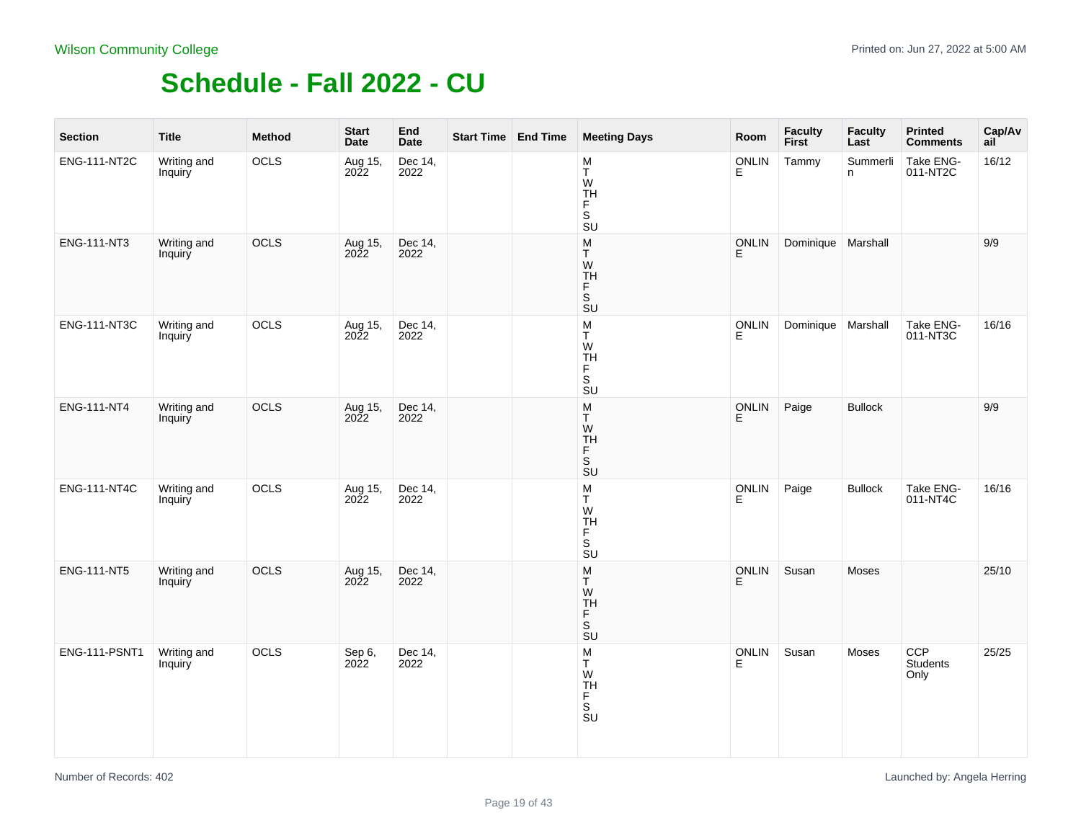| <b>Section</b>      | <b>Title</b>           | Method | <b>Start</b><br>Date | End<br><b>Date</b> | Start Time End Time | <b>Meeting Days</b>                                                                                             | Room              | Faculty<br>First     | <b>Faculty</b><br>Last | <b>Printed</b><br><b>Comments</b> | Cap/Av<br>ail <sup>-</sup> |
|---------------------|------------------------|--------|----------------------|--------------------|---------------------|-----------------------------------------------------------------------------------------------------------------|-------------------|----------------------|------------------------|-----------------------------------|----------------------------|
| <b>ENG-111-NT2C</b> | Writing and<br>Inquiry | OCLS   | Aug 15,<br>2022      | Dec 14,<br>2022    |                     | $\frac{\mathsf{M}}{\mathsf{T}}$<br>W<br>TH<br>F<br>$\overline{\mathsf{s}}$<br><b>SU</b>                         | <b>ONLIN</b><br>E | Tammy                | Summerli<br>n          | Take ENG-<br>011-NT2C             | 16/12                      |
| ENG-111-NT3         | Writing and<br>Inquiry | OCLS   | Aug 15,<br>2022      | Dec 14,<br>2022    |                     | ${\sf M}$<br>T<br>${\sf W}$<br>TH<br>F<br>$\overline{\mathsf{s}}$<br>$\overline{\text{SU}}$                     | ONLIN<br>E        | Dominique   Marshall |                        |                                   | 9/9                        |
| <b>ENG-111-NT3C</b> | Writing and<br>Inquiry | OCLS   | Aug 15,<br>2022      | Dec 14,<br>2022    |                     | $_{\rm T}^{\rm M}$<br>W<br>TH<br>F<br>S<br><b>SU</b>                                                            | ONLIN<br>E        | Dominique   Marshall |                        | Take ENG-<br>011-NT3C             | 16/16                      |
| ENG-111-NT4         | Writing and<br>Inquiry | OCLS   | Aug 15,<br>2022      | Dec 14,<br>2022    |                     | $\frac{\mathsf{M}}{\mathsf{T}}$<br>W<br>TH<br>F<br>$\overline{\mathsf{s}}$<br>$\overline{\mathsf{S}}\mathsf{U}$ | ONLIN<br>E        | Paige                | <b>Bullock</b>         |                                   | 9/9                        |
| ENG-111-NT4C        | Writing and<br>Inquiry | OCLS   | Aug 15,<br>2022      | Dec 14,<br>2022    |                     | $\frac{\mathsf{M}}{\mathsf{T}}$<br>W<br><b>TH</b><br>$_{\rm S}^{\rm F}$<br>$\overline{\mathsf{S}}\mathsf{U}$    | ONLIN<br>E        | Paige                | <b>Bullock</b>         | Take ENG-<br>011-NT4C             | 16/16                      |
| ENG-111-NT5         | Writing and<br>Inquiry | OCLS   | Aug 15,<br>2022      | Dec 14,<br>2022    |                     | $\frac{\mathsf{M}}{\mathsf{T}}$<br>W<br>TH<br>Ë<br>$\overline{\mathsf{s}}$<br>$\overline{\text{SU}}$            | ONLIN<br>E        | Susan                | Moses                  |                                   | 25/10                      |
| ENG-111-PSNT1       | Writing and<br>Inquiry | OCLS   | Sep 6,<br>2022       | Dec 14,<br>2022    |                     | $\frac{\mathsf{M}}{\mathsf{T}}$<br>W<br>TH<br>S<br>S<br>SU                                                      | ONLIN<br>E        | Susan                | Moses                  | CCP<br>Students<br>Only           | 25/25                      |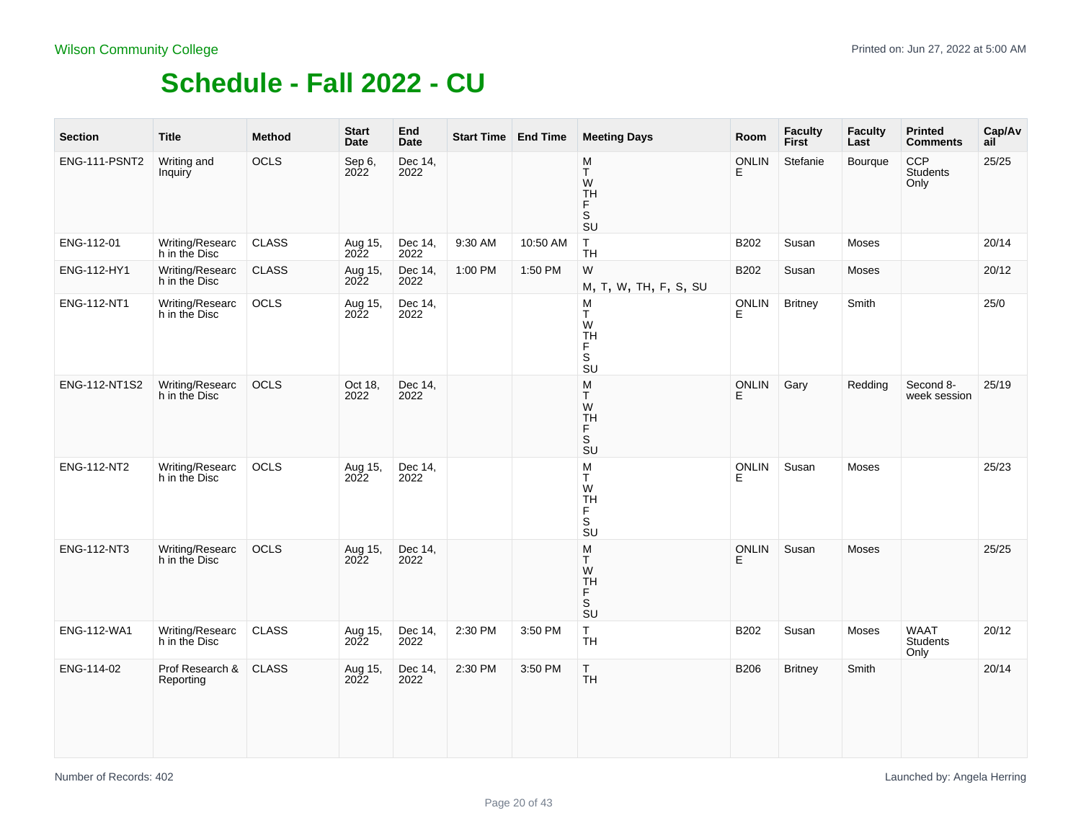| <b>Section</b> | <b>Title</b>                     | <b>Method</b> | <b>Start</b><br>Date               | End<br><b>Date</b> | Start Time   End Time |          | <b>Meeting Days</b>                                                          | Room               | <b>Faculty</b><br><b>First</b> | <b>Faculty</b><br>Last | <b>Printed</b><br><b>Comments</b>     | Cap/Av<br>ail |
|----------------|----------------------------------|---------------|------------------------------------|--------------------|-----------------------|----------|------------------------------------------------------------------------------|--------------------|--------------------------------|------------------------|---------------------------------------|---------------|
| ENG-111-PSNT2  | Writing and<br>Inquiry           | OCLS          | Sep 6,<br>2022                     | Dec 14,<br>2022    |                       |          | M<br>Τ<br>W<br><b>TH</b><br>F.<br>S<br><b>SU</b>                             | <b>ONLIN</b><br>Е  | Stefanie                       | Bourque                | <b>CCP</b><br><b>Students</b><br>Only | 25/25         |
| ENG-112-01     | Writing/Researc<br>h in the Disc | <b>CLASS</b>  | Aug 15,<br>2022                    | Dec 14,<br>2022    | 9:30 AM               | 10:50 AM | $\top$<br><b>TH</b>                                                          | B202               | Susan                          | Moses                  |                                       | 20/14         |
| ENG-112-HY1    | Writing/Researc<br>h in the Disc | <b>CLASS</b>  | Aug 15,<br>2022                    | Dec 14,<br>2022    | 1:00 PM               | 1:50 PM  | W<br>M, T, W, TH, F, S, SU                                                   | B202               | Susan                          | Moses                  |                                       | 20/12         |
| ENG-112-NT1    | Writing/Researc<br>h in the Disc | OCLS          | Aug 15,<br>2022                    | Dec 14,<br>2022    |                       |          | M<br>Τ<br>W<br><b>TH</b><br>Ë<br>S<br>$\overline{\text{S}}\text{U}$          | <b>ONLIN</b><br>E. | <b>Britney</b>                 | Smith                  |                                       | 25/0          |
| ENG-112-NT1S2  | Writing/Researc<br>h in the Disc | OCLS          | Oct 18,<br>2022                    | Dec 14,<br>2022    |                       |          | M<br>T.<br>${\sf W}$<br><b>TH</b><br>F<br>S<br>$\overline{\text{S}}\text{U}$ | <b>ONLIN</b><br>E  | Gary                           | Redding                | Second 8-<br>week session             | 25/19         |
| ENG-112-NT2    | Writing/Researc<br>h in the Disc | OCLS          | Aug 15,<br>2022                    | Dec 14,<br>2022    |                       |          | ${\sf M}$<br>T<br>W<br>TH<br>F<br>s<br>su                                    | <b>ONLIN</b><br>E. | Susan                          | Moses                  |                                       | 25/23         |
| ENG-112-NT3    | Writing/Researc<br>h in the Disc | OCLS          | Aug 15,<br>2022                    | Dec 14,<br>2022    |                       |          | M<br>T.<br>W<br><b>TH</b><br>F<br>S<br>$\overline{S}U$                       | <b>ONLIN</b><br>Е  | Susan                          | Moses                  |                                       | 25/25         |
| ENG-112-WA1    | Writing/Researc<br>h in the Disc | <b>CLASS</b>  | Aug <sub>15</sub> ,<br><b>2022</b> | Dec 14,<br>2022    | 2:30 PM               | 3:50 PM  | T.<br><b>TH</b>                                                              | B202               | Susan                          | Moses                  | WAAT<br>Students<br>Only              | 20/12         |
| ENG-114-02     | Prof Research &<br>Reporting     | <b>CLASS</b>  | Aug 15,<br>2022                    | Dec 14,<br>2022    | 2:30 PM               | 3:50 PM  | T.<br><b>TH</b>                                                              | B206               | <b>Britney</b>                 | Smith                  |                                       | 20/14         |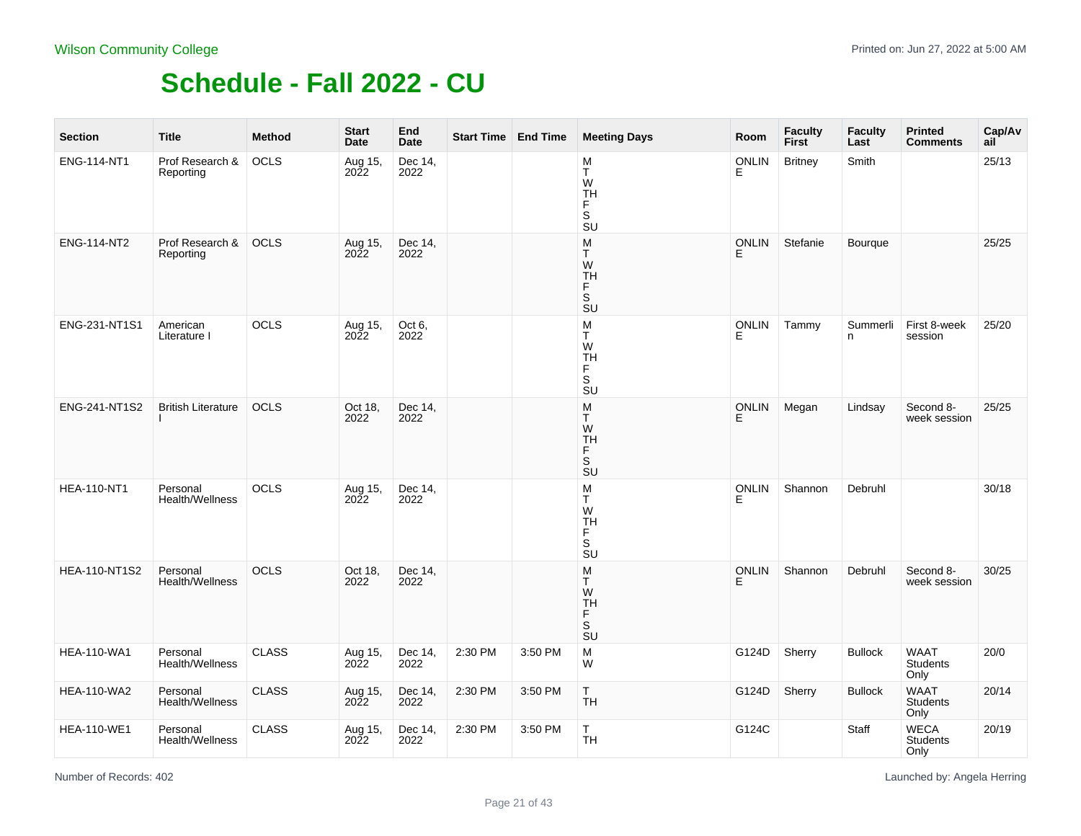| <b>Section</b>       | <b>Title</b>                       | <b>Method</b> | <b>Start</b><br>Date   | End<br><b>Date</b> | <b>Start Time End Time</b> |         | <b>Meeting Days</b>                                                            | Room              | <b>Faculty</b><br>First | <b>Faculty</b><br>Last | <b>Printed</b><br><b>Comments</b>      | Cap/Av<br>ail |
|----------------------|------------------------------------|---------------|------------------------|--------------------|----------------------------|---------|--------------------------------------------------------------------------------|-------------------|-------------------------|------------------------|----------------------------------------|---------------|
| ENG-114-NT1          | Prof Research &<br>Reporting       | <b>OCLS</b>   | Aug 15,<br>2022        | Dec 14,<br>2022    |                            |         | M<br>Ŧ<br>W<br><b>TH</b><br>F<br>S<br><b>SU</b>                                | <b>ONLIN</b><br>E | <b>Britney</b>          | Smith                  |                                        | 25/13         |
| ENG-114-NT2          | Prof Research &<br>Reporting       | <b>OCLS</b>   | Aug 15,<br>2022        | Dec 14,<br>2022    |                            |         | M<br>T.<br>W<br><b>TH</b><br>F.<br>S<br>SU                                     | <b>ONLIN</b><br>E | Stefanie                | <b>Bourgue</b>         |                                        | 25/25         |
| ENG-231-NT1S1        | American<br>Literature I           | OCLS          | Aug 15,<br><b>2022</b> | Oct 6,<br>2022     |                            |         | M<br>T.<br>W<br><b>TH</b><br>F.<br>S<br>SU                                     | <b>ONLIN</b><br>E | Tammy                   | Summerli<br>n.         | First 8-week<br>session                | 25/20         |
| ENG-241-NT1S2        | <b>British Literature</b>          | OCLS          | Oct 18,<br>2022        | Dec 14,<br>2022    |                            |         | M<br>T.<br>W<br><b>TH</b><br>F<br>$\mathsf S$<br><b>SU</b>                     | ONLIN<br>E        | Megan                   | Lindsay                | Second 8-<br>week session              | 25/25         |
| <b>HEA-110-NT1</b>   | Personal<br>Health/Wellness        | OCLS          | Aug 15,<br>2022        | Dec 14,<br>2022    |                            |         | ${\sf M}$<br>T.<br>W<br><b>TH</b><br>F<br>$\overline{\mathsf{s}}$<br><b>SU</b> | <b>ONLIN</b><br>E | Shannon                 | Debruhl                |                                        | 30/18         |
| <b>HEA-110-NT1S2</b> | Personal<br><b>Health/Wellness</b> | <b>OCLS</b>   | Oct 18,<br>2022        | Dec 14,<br>2022    |                            |         | M<br>T.<br>W<br><b>TH</b><br>F.<br>S<br>SU                                     | <b>ONLIN</b><br>E | Shannon                 | Debruhl                | Second 8-<br>week session              | 30/25         |
| <b>HEA-110-WA1</b>   | Personal<br>Health/Wellness        | CLASS         | Aug 15,<br>2022        | Dec 14,<br>2022    | 2:30 PM                    | 3:50 PM | M<br>W                                                                         | G124D             | Sherry                  | <b>Bullock</b>         | WAAT<br>Students<br>Only               | 20/0          |
| <b>HEA-110-WA2</b>   | Personal<br>Health/Wellness        | <b>CLASS</b>  | Aug 15,<br>2022        | Dec 14,<br>2022    | 2:30 PM                    | 3:50 PM | T<br><b>TH</b>                                                                 | G124D             | Sherry                  | <b>Bullock</b>         | <b>WAAT</b><br><b>Students</b><br>Only | 20/14         |
| <b>HEA-110-WE1</b>   | Personal<br>Health/Wellness        | <b>CLASS</b>  | Aug 15,<br>2022        | Dec 14,<br>2022    | 2:30 PM                    | 3:50 PM | T.<br><b>TH</b>                                                                | G124C             |                         | Staff                  | <b>WECA</b><br><b>Students</b><br>Only | 20/19         |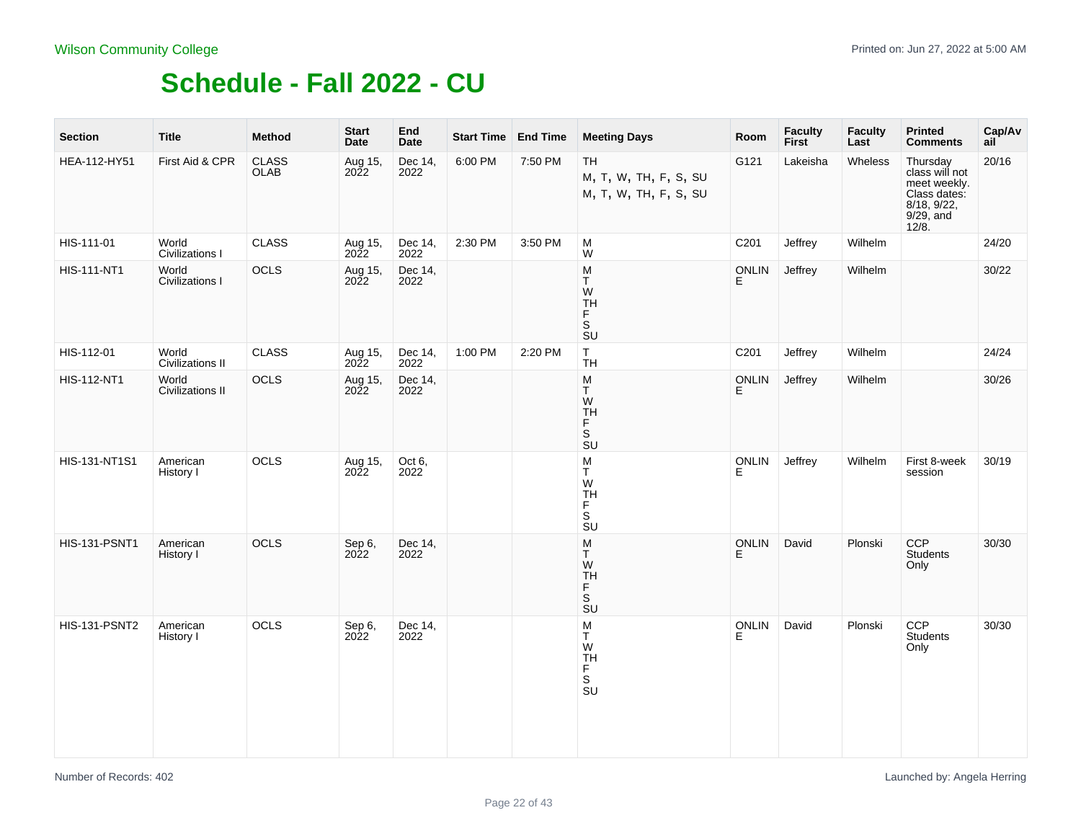| <b>Section</b>       | <b>Title</b>              | <b>Method</b>               | <b>Start</b><br>Date   | End<br><b>Date</b> | Start Time End Time |         | <b>Meeting Days</b>                                                                 | Room               | <b>Faculty</b><br>First | <b>Faculty</b><br>Last | <b>Printed</b><br><b>Comments</b>                                                               | Cap/Av<br>ail |
|----------------------|---------------------------|-----------------------------|------------------------|--------------------|---------------------|---------|-------------------------------------------------------------------------------------|--------------------|-------------------------|------------------------|-------------------------------------------------------------------------------------------------|---------------|
| HEA-112-HY51         | First Aid & CPR           | <b>CLASS</b><br><b>OLAB</b> | Aug 15,<br>2022        | Dec 14,<br>2022    | 6:00 PM             | 7:50 PM | <b>TH</b><br>M, T, W, TH, F, S, SU<br>M, T, W, TH, F, S, SU                         | G121               | Lakeisha                | Wheless                | Thursday<br>class will not<br>meet weekly.<br>Class dates:<br>8/18, 9/22,<br>9/29, and<br>12/8. | 20/16         |
| HIS-111-01           | World<br>Civilizations I  | <b>CLASS</b>                | Aug 15,<br>2022        | Dec 14,<br>2022    | 2:30 PM             | 3:50 PM | M<br>W                                                                              | C201               | Jeffrey                 | Wilhelm                |                                                                                                 | 24/20         |
| <b>HIS-111-NT1</b>   | World<br>Civilizations I  | OCLS                        | Aug 15,<br><b>2022</b> | Dec 14,<br>2022    |                     |         | M<br>T.<br>W<br>TH<br>F<br>S <sub>U</sub>                                           | <b>ONLIN</b><br>E. | Jeffrey                 | Wilhelm                |                                                                                                 | 30/22         |
| HIS-112-01           | World<br>Civilizations II | CLASS                       | Aug 15,<br>2022        | Dec 14,<br>2022    | 1:00 PM             | 2:20 PM | $\mathsf T$<br><b>TH</b>                                                            | C201               | Jeffrey                 | Wilhelm                |                                                                                                 | 24/24         |
| HIS-112-NT1          | World<br>Civilizations II | OCLS                        | Aug 15,<br>2022        | Dec 14,<br>2022    |                     |         | M<br>T<br>W<br><b>TH</b><br>$\mathsf F$<br>s<br>su                                  | ONLIN<br>Е         | Jeffrey                 | Wilhelm                |                                                                                                 | 30/26         |
| HIS-131-NT1S1        | American<br>History I     | OCLS                        | Aug 15,<br>2022        | Oct 6,<br>2022     |                     |         | M<br>T<br>W<br><b>TH</b><br>F<br>$\overline{\mathbf{s}}$<br>$\overline{\mathsf{s}}$ | <b>ONLIN</b><br>E  | Jeffrey                 | Wilhelm                | First 8-week<br>session                                                                         | 30/19         |
| <b>HIS-131-PSNT1</b> | American<br>History I     | <b>OCLS</b>                 | Sep 6,<br>2022         | Dec 14,<br>2022    |                     |         | M<br>T.<br>W<br><b>TH</b><br>F<br>s<br>su                                           | <b>ONLIN</b><br>E. | David                   | Plonski                | <b>CCP</b><br>Students<br>Only                                                                  | 30/30         |
| <b>HIS-131-PSNT2</b> | American<br>History I     | OCLS                        | Sep 6,<br>2022         | Dec 14,<br>2022    |                     |         | M<br>T<br>W<br><b>TH</b><br>F<br>.<br>Su                                            | <b>ONLIN</b><br>E. | David                   | Plonski                | CCP<br>Students<br>Only                                                                         | 30/30         |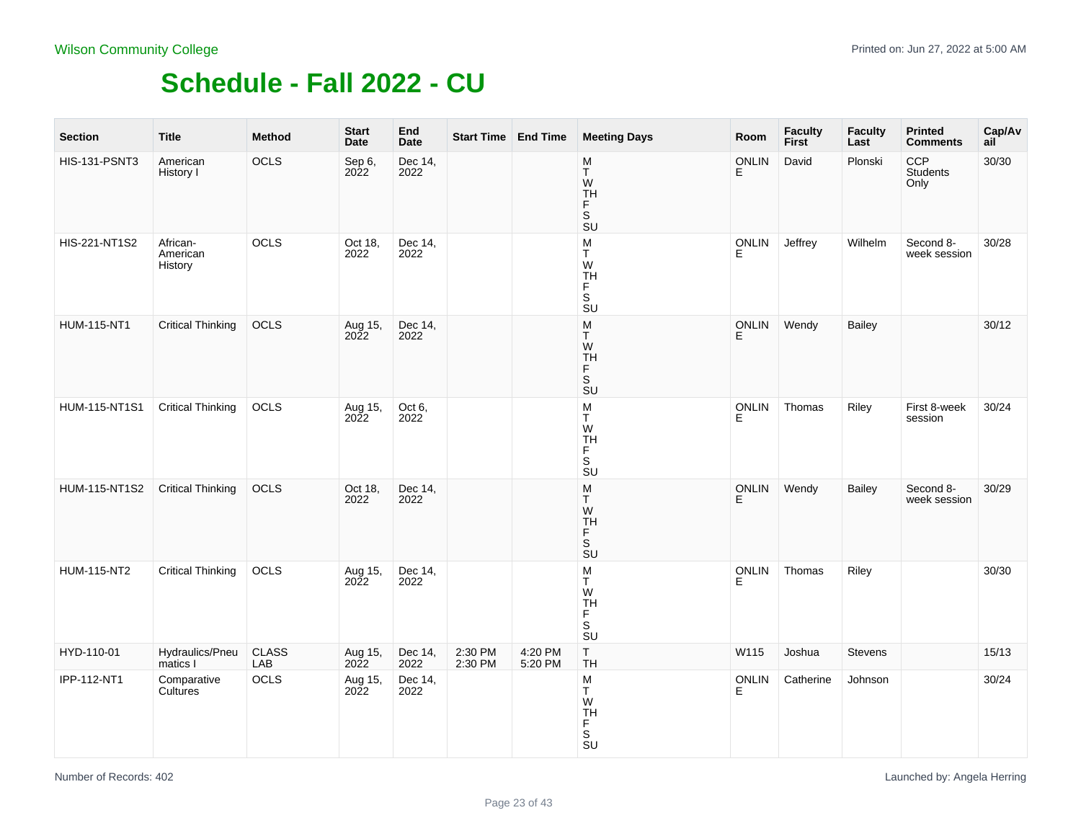| <b>Section</b>       | <b>Title</b>                    | <b>Method</b>       | <b>Start</b><br>Date | End<br><b>Date</b> | Start Time   End Time |                    | <b>Meeting Days</b>                                                                             | Room               | Faculty<br>First | <b>Faculty</b><br>Last | <b>Printed</b><br><b>Comments</b> | Cap/Av<br>ail |
|----------------------|---------------------------------|---------------------|----------------------|--------------------|-----------------------|--------------------|-------------------------------------------------------------------------------------------------|--------------------|------------------|------------------------|-----------------------------------|---------------|
| <b>HIS-131-PSNT3</b> | American<br>History I           | OCLS                | Sep 6,<br>2022       | Dec 14,<br>2022    |                       |                    | $\frac{\mathsf{M}}{\mathsf{T}}$<br>W<br><b>TH</b><br>F.<br>S<br><b>SU</b>                       | <b>ONLIN</b><br>Е  | David            | Plonski                | CCP<br>Students<br>Only           | 30/30         |
| HIS-221-NT1S2        | African-<br>American<br>History | OCLS                | Oct 18,<br>2022      | Dec 14,<br>2022    |                       |                    | ${\sf M}$<br>T.<br>W<br>TH<br>F<br>$\overline{\mathsf{s}}$<br>$\overline{\mathsf{S}}\mathsf{U}$ | ONLIN<br>E         | Jeffrey          | Wilhelm                | Second 8-<br>week session         | 30/28         |
| <b>HUM-115-NT1</b>   | <b>Critical Thinking</b>        | OCLS                | Aug 15,<br>2022      | Dec 14,<br>2022    |                       |                    | M<br>T.<br>W<br>TH<br>$_{\rm S}^{\rm F}$<br>SU                                                  | <b>ONLIN</b><br>Е  | Wendy            | Bailey                 |                                   | 30/12         |
| HUM-115-NT1S1        | <b>Critical Thinking</b>        | OCLS                | Aug 15,<br>2022      | Oct 6,<br>2022     |                       |                    | ${\sf M}$<br>T<br>W<br>TH<br>F<br>$\overline{\mathsf{s}}$<br>$\overline{\mathsf{S}}\mathsf{U}$  | <b>ONLIN</b><br>E. | Thomas           | Riley                  | First 8-week<br>session           | 30/24         |
| <b>HUM-115-NT1S2</b> | <b>Critical Thinking</b>        | OCLS                | Oct 18,<br>2022      | Dec 14,<br>2022    |                       |                    | ${\sf M}$<br>T.<br>W<br><b>TH</b><br>F<br>S<br>$\overline{\mathsf{S}}\mathsf{U}$                | <b>ONLIN</b><br>E  | Wendy            | <b>Bailey</b>          | Second 8-<br>week session         | 30/29         |
| HUM-115-NT2          | <b>Critical Thinking</b>        | OCLS                | Aug 15,<br>2022      | Dec 14,<br>2022    |                       |                    | M<br>T.<br>W<br><b>TH</b><br>F<br>$\overline{\mathsf{s}}$<br>$\overline{\mathsf{S}}\mathsf{U}$  | <b>ONLIN</b><br>E  | Thomas           | Riley                  |                                   | 30/30         |
| HYD-110-01           | Hydraulics/Pneu<br>matics I     | <b>CLASS</b><br>LAB | Aug 15,<br>2022      | Dec 14,<br>2022    | 2:30 PM<br>2:30 PM    | 4:20 PM<br>5:20 PM | $\top$<br>TΗ                                                                                    | W115               | Joshua           | <b>Stevens</b>         |                                   | 15/13         |
| IPP-112-NT1          | Comparative<br>Cultures         | OCLS                | Aug 15,<br>2022      | Dec 14,<br>2022    |                       |                    | ${\sf M}$<br>Ŧ<br>W<br>TH<br>F<br>s<br>su                                                       | ONLIN<br>E         | Catherine        | Johnson                |                                   | 30/24         |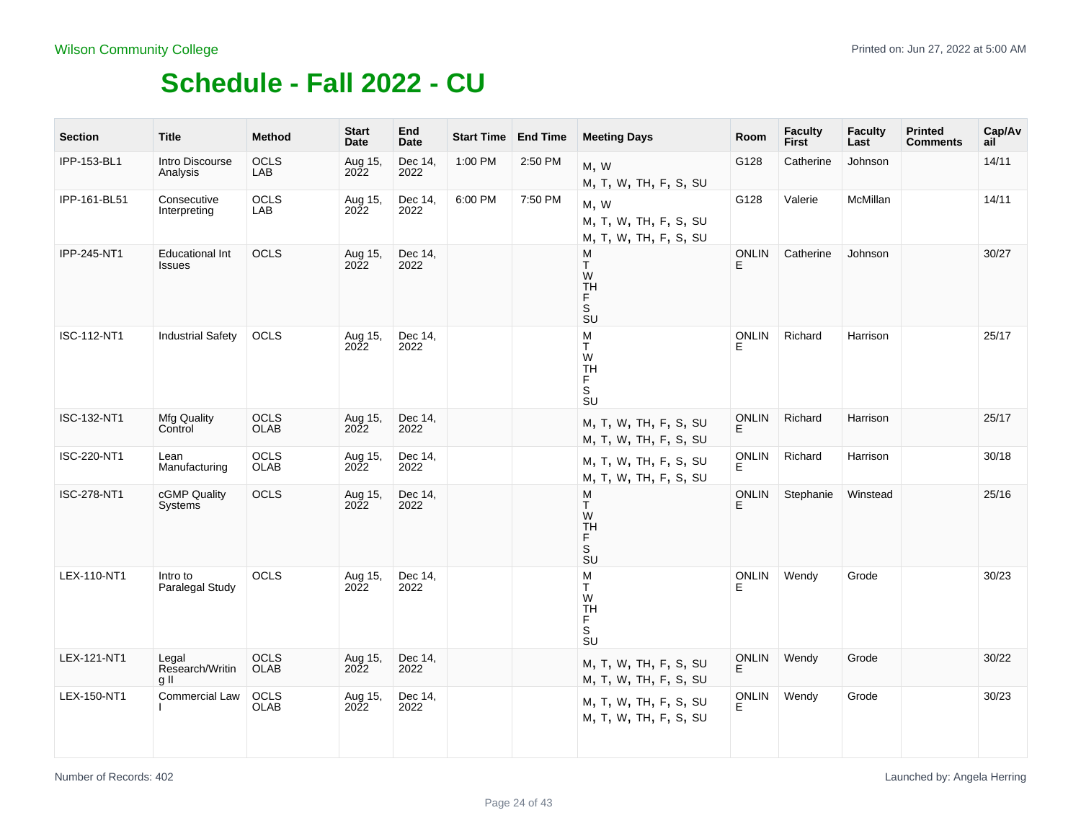| <b>Section</b> | <b>Title</b>                            | <b>Method</b>       | <b>Start</b><br>Date   | End<br><b>Date</b> | Start Time End Time |         | <b>Meeting Days</b>                                                                | Room               | <b>Faculty</b><br>First | <b>Faculty</b><br>Last | <b>Printed</b><br><b>Comments</b> | Cap/Av<br>ail |
|----------------|-----------------------------------------|---------------------|------------------------|--------------------|---------------------|---------|------------------------------------------------------------------------------------|--------------------|-------------------------|------------------------|-----------------------------------|---------------|
| IPP-153-BL1    | Intro Discourse<br>Analysis             | <b>OCLS</b><br>LAB  | Aug 15,<br>2022        | Dec 14,<br>2022    | 1:00 PM             | 2:50 PM | M, W<br>M, T, W, TH, F, S, SU                                                      | G128               | Catherine               | Johnson                |                                   | 14/11         |
| IPP-161-BL51   | Consecutive<br>Interpreting             | OCLS<br>LAB         | Aug 15,<br>2022        | Dec 14,<br>2022    | 6:00 PM             | 7:50 PM | M, W<br>M, T, W, TH, F, S, SU<br>M, T, W, TH, F, S, SU                             | G128               | Valerie                 | McMillan               |                                   | 14/11         |
| IPP-245-NT1    | <b>Educational Int</b><br><b>Issues</b> | OCLS                | Aug 15,<br>2022        | Dec 14,<br>2022    |                     |         | M<br>T.<br>W<br><b>TH</b><br>F<br>s<br>su                                          | <b>ONLIN</b><br>E. | Catherine               | Johnson                |                                   | 30/27         |
| ISC-112-NT1    | <b>Industrial Safety</b>                | OCLS                | Aug 15,<br>2022        | Dec 14,<br>2022    |                     |         | M<br>T.<br>W<br><b>TH</b><br>F<br>S<br>Su                                          | <b>ONLIN</b>       | Richard                 | Harrison               |                                   | 25/17         |
| ISC-132-NT1    | <b>Mfg Quality</b><br>Control           | OCLS<br><b>OLAB</b> | Aug 15,<br>2022        | Dec 14,<br>2022    |                     |         | M, T, W, TH, F, S, SU<br>M, T, W, TH, F, S, SU                                     | ONLIN<br>E         | Richard                 | Harrison               |                                   | 25/17         |
| ISC-220-NT1    | Lean<br>Manufacturing                   | OCLS<br><b>OLAB</b> | Aug 15,<br>2022        | Dec 14,<br>2022    |                     |         | M, T, W, TH, F, S, SU<br>M, T, W, TH, F, S, SU                                     | <b>ONLIN</b><br>F. | Richard                 | Harrison               |                                   | 30/18         |
| ISC-278-NT1    | cGMP Quality<br>Systems                 | OCLS                | Aug 15,<br>2022        | Dec 14,<br>2022    |                     |         | M<br>T.<br>W<br><b>TH</b><br>F<br>$\mathbb S$<br>$\overline{\mathsf{s}}\mathsf{u}$ | <b>ONLIN</b><br>E  | Stephanie               | Winstead               |                                   | 25/16         |
| LEX-110-NT1    | Intro to<br>Paralegal Study             | <b>OCLS</b>         | Aug 15,<br><b>2022</b> | Dec 14,<br>2022    |                     |         | M<br>T.<br>W<br><b>TH</b><br>F<br>.<br>Su                                          | <b>ONLIN</b><br>F. | Wendy                   | Grode                  |                                   | 30/23         |
| LEX-121-NT1    | Legal<br>Research/Writin<br>g II        | OCLS<br><b>OLAB</b> | Aug 15,<br>2022        | Dec 14,<br>2022    |                     |         | M, T, W, TH, F, S, SU<br>M, T, W, TH, F, S, SU                                     | ONLIN<br>E         | Wendy                   | Grode                  |                                   | 30/22         |
| LEX-150-NT1    | Commercial Law                          | OCLS<br><b>OLAB</b> | Aug 15,<br>2022        | Dec 14,<br>2022    |                     |         | M, T, W, TH, F, S, SU<br>M, T, W, TH, F, S, SU                                     | <b>ONLIN</b>       | Wendy                   | Grode                  |                                   | 30/23         |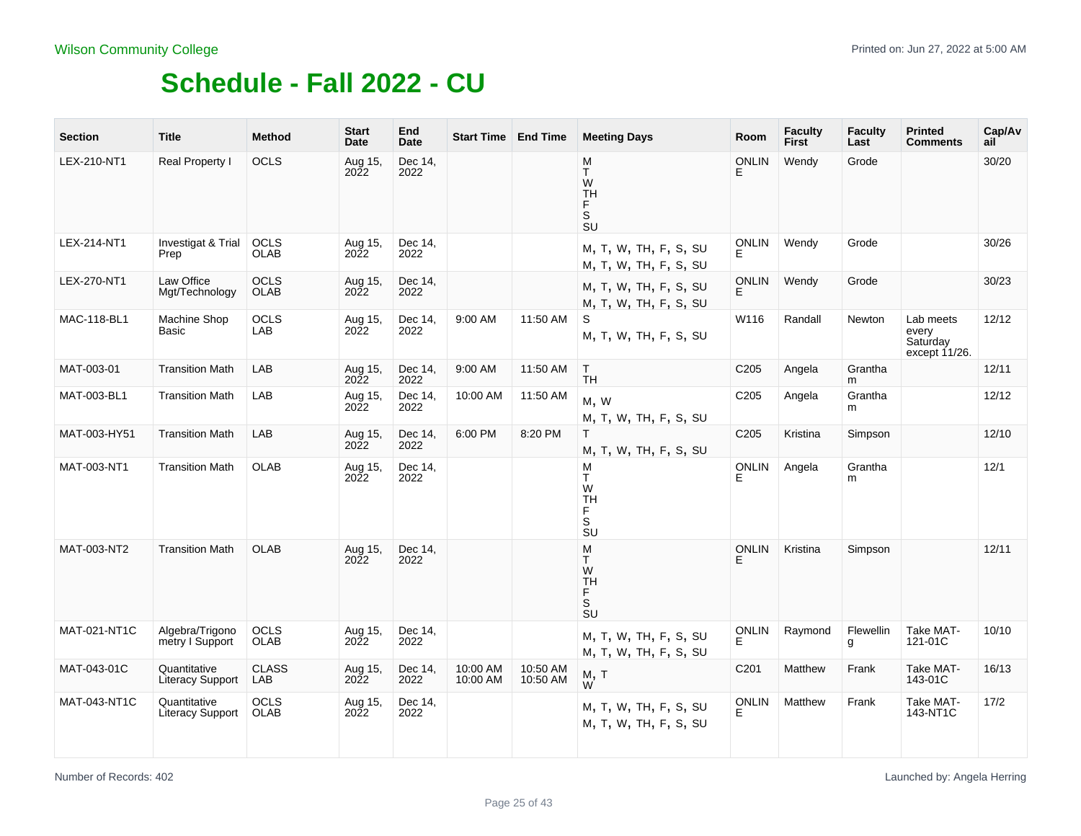| <b>Section</b> | <b>Title</b>                            | <b>Method</b>              | <b>Start</b><br>Date   | End<br>Date     |                      | <b>Start Time   End Time</b> | <b>Meeting Days</b>                                                                | Room               | <b>Faculty</b><br><b>First</b> | <b>Faculty</b><br>Last | <b>Printed</b><br><b>Comments</b>               | Cap/Av<br>ail |
|----------------|-----------------------------------------|----------------------------|------------------------|-----------------|----------------------|------------------------------|------------------------------------------------------------------------------------|--------------------|--------------------------------|------------------------|-------------------------------------------------|---------------|
| LEX-210-NT1    | Real Property I                         | OCLS                       | Aug 15,<br>2022        | Dec 14,<br>2022 |                      |                              | M<br>T.<br>W<br><b>TH</b><br>F.<br>S<br>SU                                         | <b>ONLIN</b><br>E. | Wendy                          | Grode                  |                                                 | 30/20         |
| LEX-214-NT1    | Investigat & Trial<br>Prep              | OCLS<br><b>OLAB</b>        | Aug 15,<br>2022        | Dec 14.<br>2022 |                      |                              | M, T, W, TH, F, S, SU<br>M, T, W, TH, F, S, SU                                     | <b>ONLIN</b>       | Wendy                          | Grode                  |                                                 | 30/26         |
| LEX-270-NT1    | Law Office<br>Mgt/Technology            | <b>OCLS</b><br><b>OLAB</b> | Aug 15,<br><b>2022</b> | Dec 14,<br>2022 |                      |                              | M, T, W, TH, F, S, SU<br>M, T, W, TH, F, S, SU                                     | <b>ONLIN</b><br>E  | Wendy                          | Grode                  |                                                 | 30/23         |
| MAC-118-BL1    | Machine Shop<br>Basic                   | <b>OCLS</b><br>LAB         | Aug 15,<br>2022        | Dec 14,<br>2022 | 9:00 AM              | 11:50 AM                     | S<br>M, T, W, TH, F, S, SU                                                         | W116               | Randall                        | Newton                 | Lab meets<br>every<br>Saturday<br>except 11/26. | 12/12         |
| MAT-003-01     | <b>Transition Math</b>                  | LAB                        | Aug 15,<br>2022        | Dec 14,<br>2022 | 9:00 AM              | 11:50 AM                     | T.<br><b>TH</b>                                                                    | C <sub>205</sub>   | Angela                         | Grantha<br>m           |                                                 | 12/11         |
| MAT-003-BL1    | <b>Transition Math</b>                  | LAB                        | Aug 15,<br>2022        | Dec 14,<br>2022 | 10:00 AM             | 11:50 AM                     | M, W<br>M, T, W, TH, F, S, SU                                                      | C <sub>205</sub>   | Angela                         | Grantha<br>m           |                                                 | 12/12         |
| MAT-003-HY51   | <b>Transition Math</b>                  | LAB                        | Aug 15,<br>2022        | Dec 14,<br>2022 | 6:00 PM              | 8:20 PM                      | T.<br>M, T, W, TH, F, S, SU                                                        | C205               | Kristina                       | Simpson                |                                                 | 12/10         |
| MAT-003-NT1    | <b>Transition Math</b>                  | <b>OLAB</b>                | Aug 15,<br>2022        | Dec 14,<br>2022 |                      |                              | M<br>T<br>W<br><b>TH</b><br>F.<br>$\mathbb S$<br>$\overline{\mathsf{s}}\mathsf{u}$ | <b>ONLIN</b><br>E  | Angela                         | Grantha<br>m           |                                                 | 12/1          |
| MAT-003-NT2    | <b>Transition Math</b>                  | <b>OLAB</b>                | Aug 15,<br>2022        | Dec 14,<br>2022 |                      |                              | M<br>T.<br>W<br><b>TH</b><br>F<br>SU                                               | <b>ONLIN</b><br>E  | Kristina                       | Simpson                |                                                 | 12/11         |
| MAT-021-NT1C   | Algebra/Trigono<br>metry I Support      | <b>OCLS</b><br><b>OLAB</b> | Aug 15,<br>2022        | Dec 14,<br>2022 |                      |                              | M, T, W, TH, F, S, SU<br>M, T, W, TH, F, S, SU                                     | <b>ONLIN</b><br>E  | Raymond                        | Flewellin<br>g         | Take MAT-<br>121-01C                            | 10/10         |
| MAT-043-01C    | Quantitative<br><b>Literacy Support</b> | <b>CLASS</b><br>LAB        | Aug 15,<br>2022        | Dec 14,<br>2022 | 10:00 AM<br>10:00 AM | 10:50 AM<br>10:50 AM         | M, T<br>W                                                                          | C <sub>201</sub>   | Matthew                        | Frank                  | Take MAT-<br>143-01C                            | 16/13         |
| MAT-043-NT1C   | Quantitative<br>Literacy Support        | OCLS<br><b>OLAB</b>        | Aug 15,<br>2022        | Dec 14,<br>2022 |                      |                              | M, T, W, TH, F, S, SU<br>M, T, W, TH, F, S, SU                                     | <b>ONLIN</b><br>E. | Matthew                        | Frank                  | Take MAT-<br>143-NT1C                           | 17/2          |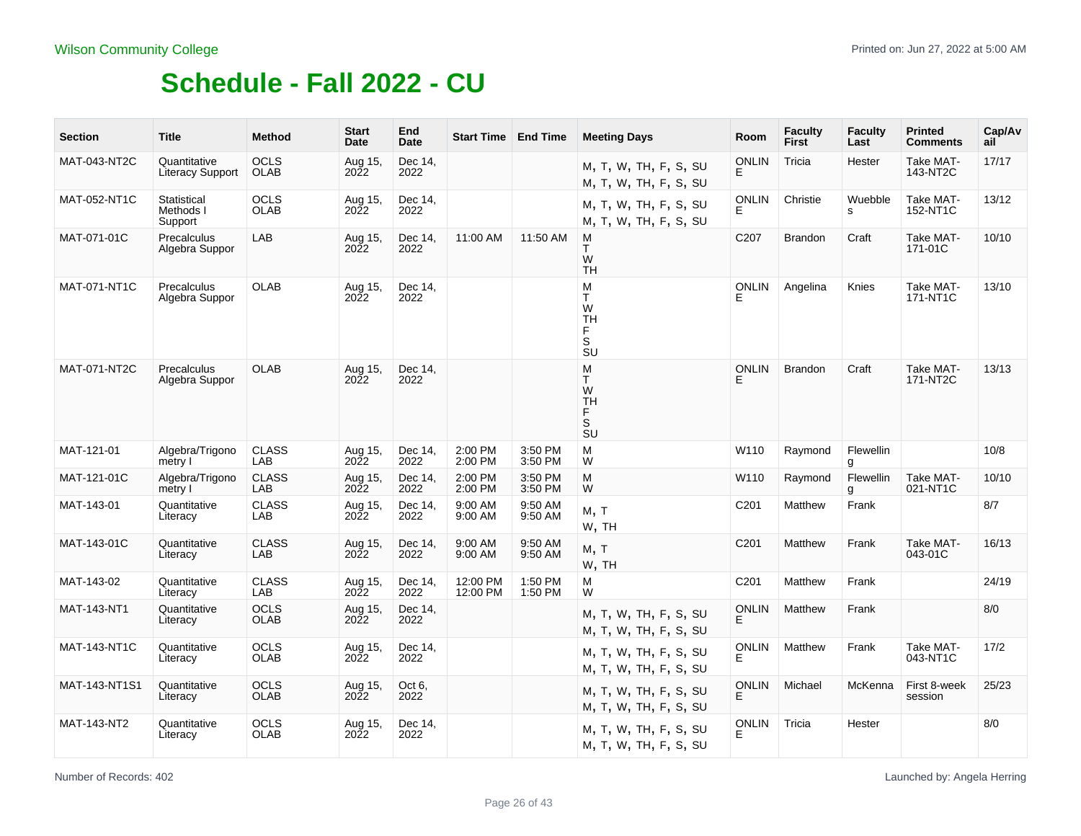| <b>Section</b> | <b>Title</b>                            | <b>Method</b>              | <b>Start</b><br>Date      | End<br>Date     |                      | <b>Start Time   End Time</b> | <b>Meeting Days</b>                                        | Room               | <b>Faculty</b><br><b>First</b> | <b>Faculty</b><br>Last | <b>Printed</b><br><b>Comments</b> | Cap/Av<br>ail |
|----------------|-----------------------------------------|----------------------------|---------------------------|-----------------|----------------------|------------------------------|------------------------------------------------------------|--------------------|--------------------------------|------------------------|-----------------------------------|---------------|
| MAT-043-NT2C   | Quantitative<br><b>Literacy Support</b> | <b>OCLS</b><br><b>OLAB</b> | Aug 15,<br><b>2022</b>    | Dec 14,<br>2022 |                      |                              | M, T, W, TH, F, S, SU<br>M, T, W, TH, F, S, SU             | <b>ONLIN</b><br>E  | Tricia                         | Hester                 | Take MAT-<br>143-NT2C             | 17/17         |
| MAT-052-NT1C   | Statistical<br>Methods I<br>Support     | <b>OCLS</b><br><b>OLAB</b> | Aug 15,<br>2022           | Dec 14,<br>2022 |                      |                              | M, T, W, TH, F, S, SU<br>M, T, W, TH, F, S, SU             | <b>ONLIN</b><br>E. | Christie                       | Wuebble<br>s           | Take MAT-<br>152-NT1C             | 13/12         |
| MAT-071-01C    | Precalculus<br>Algebra Suppor           | LAB                        | Aug 15,<br><b>2022</b>    | Dec 14,<br>2022 | 11:00 AM             | 11:50 AM                     | M<br>T<br>W<br><b>TH</b>                                   | C207               | <b>Brandon</b>                 | Craft                  | Take MAT-<br>171-01C              | 10/10         |
| MAT-071-NT1C   | Precalculus<br>Algebra Suppor           | <b>OLAB</b>                | Aug 15,<br><b>2022</b>    | Dec 14,<br>2022 |                      |                              | M<br>T.<br>W<br><b>TH</b><br>F<br>$\mathbb S$<br><b>SU</b> | <b>ONLIN</b><br>E  | Angelina                       | Knies                  | Take MAT-<br>171-NT1C             | 13/10         |
| MAT-071-NT2C   | Precalculus<br>Algebra Suppor           | <b>OLAB</b>                | Aug 15,<br>$20\tilde{2}2$ | Dec 14,<br>2022 |                      |                              | M<br>T.<br>W<br><b>TH</b><br>F.<br>S <sub>U</sub>          | <b>ONLIN</b><br>F  | <b>Brandon</b>                 | Craft                  | Take MAT-<br>171-NT2C             | 13/13         |
| MAT-121-01     | Algebra/Trigono<br>metry I              | <b>CLASS</b><br>LAB        | Aug 15,<br>2022           | Dec 14.<br>2022 | 2:00 PM<br>2:00 PM   | 3:50 PM<br>3:50 PM           | M<br>W                                                     | W110               | Raymond                        | Flewellin<br>g         |                                   | 10/8          |
| MAT-121-01C    | Algebra/Trigono<br>metry I              | <b>CLASS</b><br><b>LAB</b> | Aug 15,<br><b>2022</b>    | Dec 14,<br>2022 | 2:00 PM<br>2:00 PM   | 3:50 PM<br>3:50 PM           | M<br>W                                                     | W110               | Raymond                        | Flewellin<br>g         | Take MAT-<br>021-NT1C             | 10/10         |
| MAT-143-01     | Quantitative<br>Literacy                | <b>CLASS</b><br>LAB        | Aug 15,<br>2022           | Dec 14,<br>2022 | 9:00 AM<br>9:00 AM   | 9:50 AM<br>9:50 AM           | M, T<br>W, TH                                              | C <sub>201</sub>   | Matthew                        | Frank                  |                                   | 8/7           |
| MAT-143-01C    | Quantitative<br>Literacy                | <b>CLASS</b><br>LAB        | Aug 15,<br>2022           | Dec 14,<br>2022 | 9:00 AM<br>9:00 AM   | 9:50 AM<br>9:50 AM           | M, T<br>W, TH                                              | C201               | Matthew                        | Frank                  | Take MAT-<br>043-01C              | 16/13         |
| MAT-143-02     | Quantitative<br>Literacy                | <b>CLASS</b><br>LAB        | Aug 15,<br>2022           | Dec 14,<br>2022 | 12:00 PM<br>12:00 PM | 1:50 PM<br>1:50 PM           | M<br>W                                                     | C201               | Matthew                        | Frank                  |                                   | 24/19         |
| MAT-143-NT1    | Quantitative<br>Literacy                | <b>OCLS</b><br><b>OLAB</b> | Aug 15,<br>2022           | Dec 14,<br>2022 |                      |                              | M, T, W, TH, F, S, SU<br>M, T, W, TH, F, S, SU             | <b>ONLIN</b><br>E. | Matthew                        | Frank                  |                                   | 8/0           |
| MAT-143-NT1C   | Quantitative<br>Literacy                | <b>OCLS</b><br><b>OLAB</b> | Aug 15,<br>2022           | Dec 14,<br>2022 |                      |                              | M, T, W, TH, F, S, SU<br>M, T, W, TH, F, S, SU             | ONLIN<br>Ė         | Matthew                        | Frank                  | Take MAT-<br>043-NT1C             | 17/2          |
| MAT-143-NT1S1  | Quantitative<br>Literacy                | <b>OCLS</b><br><b>OLAB</b> | Aug 15,<br><b>2022</b>    | Oct 6,<br>2022  |                      |                              | M, T, W, TH, F, S, SU<br>M, T, W, TH, F, S, SU             | <b>ONLIN</b><br>Е  | Michael                        | McKenna                | First 8-week<br>session           | 25/23         |
| MAT-143-NT2    | Quantitative<br>Literacy                | <b>OCLS</b><br><b>OLAB</b> | Aug 15,<br>2022           | Dec 14,<br>2022 |                      |                              | M, T, W, TH, F, S, SU<br>M, T, W, TH, F, S, SU             | <b>ONLIN</b><br>F. | Tricia                         | Hester                 |                                   | 8/0           |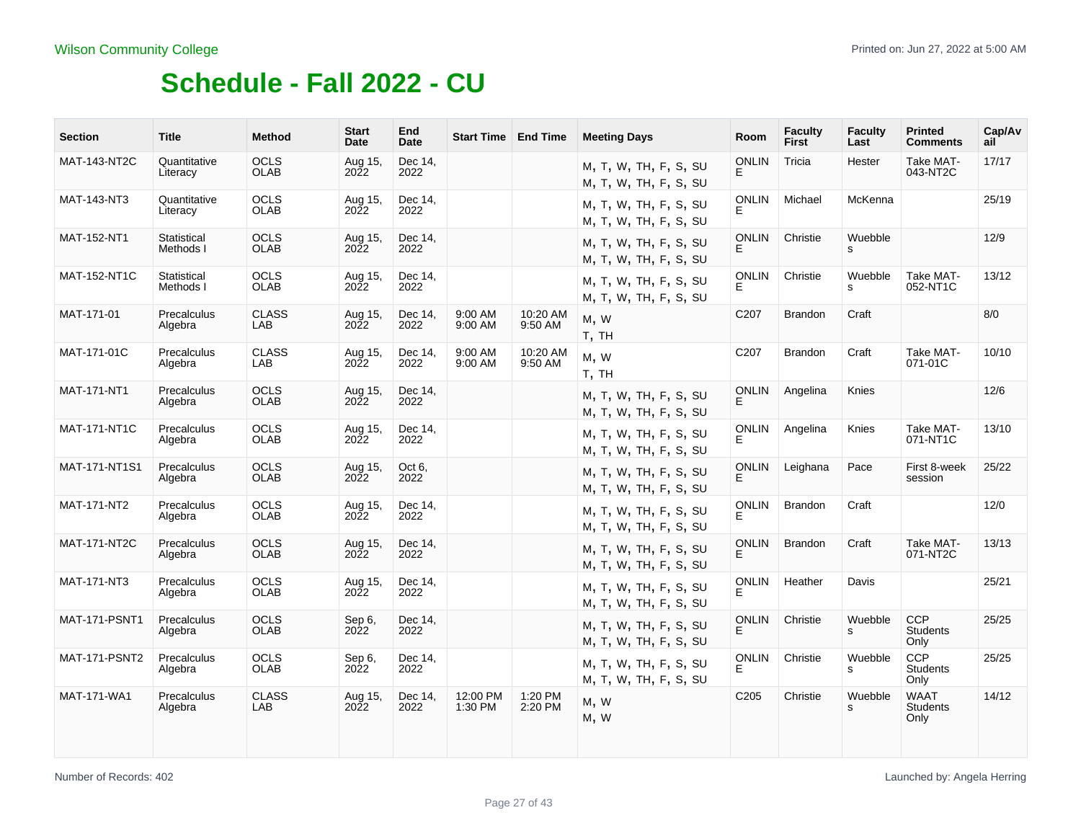| <b>Section</b>       | <b>Title</b>             | <b>Method</b>              | <b>Start</b><br>Date   | End<br>Date     | <b>Start Time   End Time</b> |                     | <b>Meeting Days</b>                            | Room               | <b>Faculty</b><br>First | <b>Faculty</b><br>Last | <b>Printed</b><br><b>Comments</b>      | Cap/Av<br>ail |
|----------------------|--------------------------|----------------------------|------------------------|-----------------|------------------------------|---------------------|------------------------------------------------|--------------------|-------------------------|------------------------|----------------------------------------|---------------|
| <b>MAT-143-NT2C</b>  | Quantitative<br>Literacy | <b>OCLS</b><br><b>OLAB</b> | Aug 15,<br>2022        | Dec 14,<br>2022 |                              |                     | M, T, W, TH, F, S, SU<br>M, T, W, TH, F, S, SU | <b>ONLIN</b><br>E  | Tricia                  | Hester                 | Take MAT-<br>043-NT2C                  | 17/17         |
| MAT-143-NT3          | Quantitative<br>Literacy | <b>OCLS</b><br><b>OLAB</b> | Aug 15,<br>2022        | Dec 14,<br>2022 |                              |                     | M, T, W, TH, F, S, SU<br>M, T, W, TH, F, S, SU | <b>ONLIN</b><br>E. | Michael                 | McKenna                |                                        | 25/19         |
| <b>MAT-152-NT1</b>   | Statistical<br>Methods I | <b>OCLS</b><br><b>OLAB</b> | Aug 15,<br><b>2022</b> | Dec 14,<br>2022 |                              |                     | M, T, W, TH, F, S, SU<br>M, T, W, TH, F, S, SU | <b>ONLIN</b><br>F. | Christie                | Wuebble<br>s           |                                        | 12/9          |
| MAT-152-NT1C         | Statistical<br>Methods I | <b>OCLS</b><br><b>OLAB</b> | Aug 15,<br><b>2022</b> | Dec 14,<br>2022 |                              |                     | M, T, W, TH, F, S, SU<br>M, T, W, TH, F, S, SU | <b>ONLIN</b>       | Christie                | Wuebble<br>s           | Take MAT-<br>052-NT1C                  | 13/12         |
| MAT-171-01           | Precalculus<br>Algebra   | <b>CLASS</b><br>LAB        | Aug 15,<br>2022        | Dec 14.<br>2022 | 9:00 AM<br>9:00 AM           | 10:20 AM<br>9:50 AM | M, W<br>T, TH                                  | C <sub>20</sub> 7  | <b>Brandon</b>          | Craft                  |                                        | 8/0           |
| MAT-171-01C          | Precalculus<br>Algebra   | <b>CLASS</b><br>LAB        | Aug 15,<br><b>2022</b> | Dec 14.<br>2022 | 9:00 AM<br>9:00 AM           | 10:20 AM<br>9:50 AM | M, W<br>T, TH                                  | C <sub>207</sub>   | <b>Brandon</b>          | Craft                  | Take MAT-<br>071-01C                   | 10/10         |
| <b>MAT-171-NT1</b>   | Precalculus<br>Algebra   | <b>OCLS</b><br><b>OLAB</b> | Aug 15,<br><b>2022</b> | Dec 14.<br>2022 |                              |                     | M, T, W, TH, F, S, SU<br>M, T, W, TH, F, S, SU | <b>ONLIN</b><br>E. | Angelina                | Knies                  |                                        | 12/6          |
| <b>MAT-171-NT1C</b>  | Precalculus<br>Algebra   | <b>OCLS</b><br><b>OLAB</b> | Aug 15,<br><b>2022</b> | Dec 14,<br>2022 |                              |                     | M, T, W, TH, F, S, SU<br>M, T, W, TH, F, S, SU | <b>ONLIN</b>       | Angelina                | Knies                  | Take MAT-<br>071-NT1C                  | 13/10         |
| MAT-171-NT1S1        | Precalculus<br>Algebra   | <b>OCLS</b><br><b>OLAB</b> | Aug 15,<br><b>2022</b> | Oct 6,<br>2022  |                              |                     | M, T, W, TH, F, S, SU<br>M, T, W, TH, F, S, SU | <b>ONLIN</b><br>E. | Leighana                | Pace                   | First 8-week<br>session                | 25/22         |
| MAT-171-NT2          | Precalculus<br>Algebra   | <b>OCLS</b><br><b>OLAB</b> | Aug 15,<br>2022        | Dec 14,<br>2022 |                              |                     | M, T, W, TH, F, S, SU<br>M, T, W, TH, F, S, SU | <b>ONLIN</b>       | <b>Brandon</b>          | Craft                  |                                        | 12/0          |
| <b>MAT-171-NT2C</b>  | Precalculus<br>Algebra   | <b>OCLS</b><br><b>OLAB</b> | Aug 15,<br>2022        | Dec 14,<br>2022 |                              |                     | M, T, W, TH, F, S, SU<br>M, T, W, TH, F, S, SU | <b>ONLIN</b><br>E. | <b>Brandon</b>          | Craft                  | Take MAT-<br>071-NT2C                  | 13/13         |
| MAT-171-NT3          | Precalculus<br>Algebra   | <b>OCLS</b><br><b>OLAB</b> | Aug 15,<br><b>2022</b> | Dec 14,<br>2022 |                              |                     | M, T, W, TH, F, S, SU<br>M, T, W, TH, F, S, SU | <b>ONLIN</b>       | Heather                 | Davis                  |                                        | 25/21         |
| <b>MAT-171-PSNT1</b> | Precalculus<br>Algebra   | <b>OCLS</b><br><b>OLAB</b> | Sep 6,<br>2022         | Dec 14,<br>2022 |                              |                     | M, T, W, TH, F, S, SU<br>M, T, W, TH, F, S, SU | <b>ONLIN</b><br>E. | Christie                | Wuebble<br>s           | <b>CCP</b><br><b>Students</b><br>Only  | 25/25         |
| <b>MAT-171-PSNT2</b> | Precalculus<br>Algebra   | <b>OCLS</b><br><b>OLAB</b> | Sep 6,<br>2022         | Dec 14.<br>2022 |                              |                     | M, T, W, TH, F, S, SU<br>M, T, W, TH, F, S, SU | <b>ONLIN</b><br>E. | Christie                | Wuebble<br>s           | <b>CCP</b><br><b>Students</b><br>Only  | 25/25         |
| <b>MAT-171-WA1</b>   | Precalculus<br>Algebra   | <b>CLASS</b><br>LAB        | Aug 15,<br><b>2022</b> | Dec 14,<br>2022 | 12:00 PM<br>1:30 PM          | 1:20 PM<br>2:20 PM  | M, W<br>M, W                                   | C205               | Christie                | Wuebble<br>s           | <b>WAAT</b><br><b>Students</b><br>Only | 14/12         |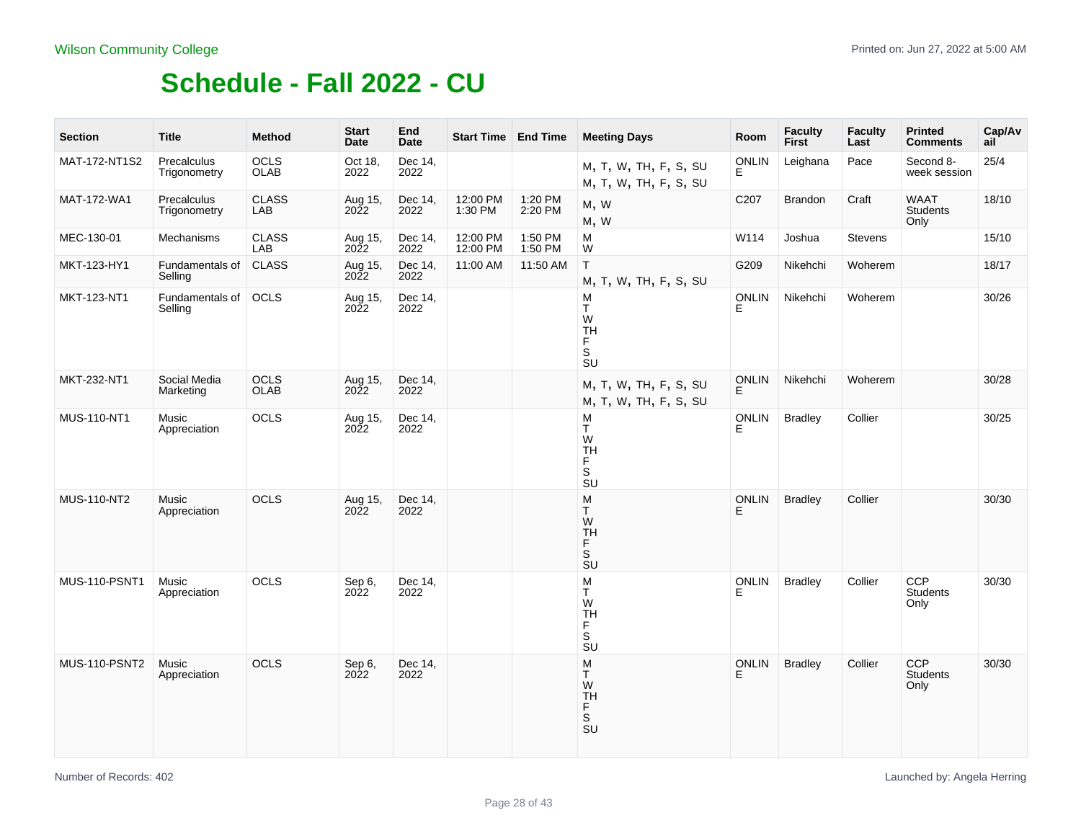| <b>Section</b>       | <b>Title</b>                | <b>Method</b>       | <b>Start</b><br>Date   | End<br>Date     | Start Time End Time  |                    | <b>Meeting Days</b>                                   | Room              | <b>Faculty</b><br>First | <b>Faculty</b><br>Last | <b>Printed</b><br><b>Comments</b> | Cap/Av<br>ail |
|----------------------|-----------------------------|---------------------|------------------------|-----------------|----------------------|--------------------|-------------------------------------------------------|-------------------|-------------------------|------------------------|-----------------------------------|---------------|
| MAT-172-NT1S2        | Precalculus<br>Trigonometry | OCLS<br>OLAB        | Oct 18,<br>2022        | Dec 14,<br>2022 |                      |                    | M, T, W, TH, F, S, SU<br>M, T, W, TH, F, S, SU        | <b>ONLIN</b><br>E | Leighana                | Pace                   | Second 8-<br>week session         | 25/4          |
| MAT-172-WA1          | Precalculus<br>Trigonometry | <b>CLASS</b><br>LAB | Aug 15,<br><b>2022</b> | Dec 14,<br>2022 | 12:00 PM<br>1:30 PM  | 1:20 PM<br>2:20 PM | M, W<br>M, W                                          | C207              | Brandon                 | Craft                  | WAAT<br>Students<br>Only          | 18/10         |
| MEC-130-01           | Mechanisms                  | <b>CLASS</b><br>LAB | Aug 15,<br>2022        | Dec 14,<br>2022 | 12:00 PM<br>12:00 PM | 1:50 PM<br>1:50 PM | М<br>W                                                | W114              | Joshua                  | <b>Stevens</b>         |                                   | 15/10         |
| MKT-123-HY1          | Fundamentals of<br>Selling  | <b>CLASS</b>        | Aug 15,<br>2022        | Dec 14,<br>2022 | 11:00 AM             | 11:50 AM           | T<br>M, T, W, TH, F, S, SU                            | G209              | Nikehchi                | Woherem                |                                   | 18/17         |
| MKT-123-NT1          | Fundamentals of<br>Selling  | OCLS                | Aug 15,<br>2022        | Dec 14,<br>2022 |                      |                    | M<br>т<br>W<br><b>TH</b><br>F<br>.<br>Su              | <b>ONLIN</b><br>E | Nikehchi                | Woherem                |                                   | 30/26         |
| MKT-232-NT1          | Social Media<br>Marketing   | <b>OCLS</b><br>OLAB | Aug 15,<br>2022        | Dec 14,<br>2022 |                      |                    | M, T, W, TH, F, S, SU<br>M, T, W, TH, F, S, SU        | <b>ONLIN</b><br>E | Nikehchi                | Woherem                |                                   | 30/28         |
| MUS-110-NT1          | Music<br>Appreciation       | <b>OCLS</b>         | Aug 15,<br>2022        | Dec 14,<br>2022 |                      |                    | M<br>Т<br>W<br><b>TH</b><br>F<br>S<br>$\overline{S}U$ | <b>ONLIN</b><br>Е | <b>Bradley</b>          | Collier                |                                   | 30/25         |
| MUS-110-NT2          | Music<br>Appreciation       | <b>OCLS</b>         | Aug 15,<br>2022        | Dec 14,<br>2022 |                      |                    | ${\sf M}$<br>Τ<br>W<br><b>TH</b><br>F<br>s<br>su      | <b>ONLIN</b><br>E | <b>Bradley</b>          | Collier                |                                   | 30/30         |
| MUS-110-PSNT1        | Music<br>Appreciation       | OCLS                | Sep 6,<br>2022         | Dec 14,<br>2022 |                      |                    | M<br>T.<br>W<br><b>TH</b><br>F.<br>S <sub>U</sub>     | <b>ONLIN</b><br>E | <b>Bradley</b>          | Collier                | CCP<br>Students<br>Only           | 30/30         |
| <b>MUS-110-PSNT2</b> | Music<br>Appreciation       | <b>OCLS</b>         | Sep 6,<br>2022         | Dec 14,<br>2022 |                      |                    | M<br>T<br>W<br><b>TH</b><br>F<br>s<br>su              | <b>ONLIN</b><br>E | <b>Bradley</b>          | Collier                | <b>CCP</b><br>Students<br>Only    | 30/30         |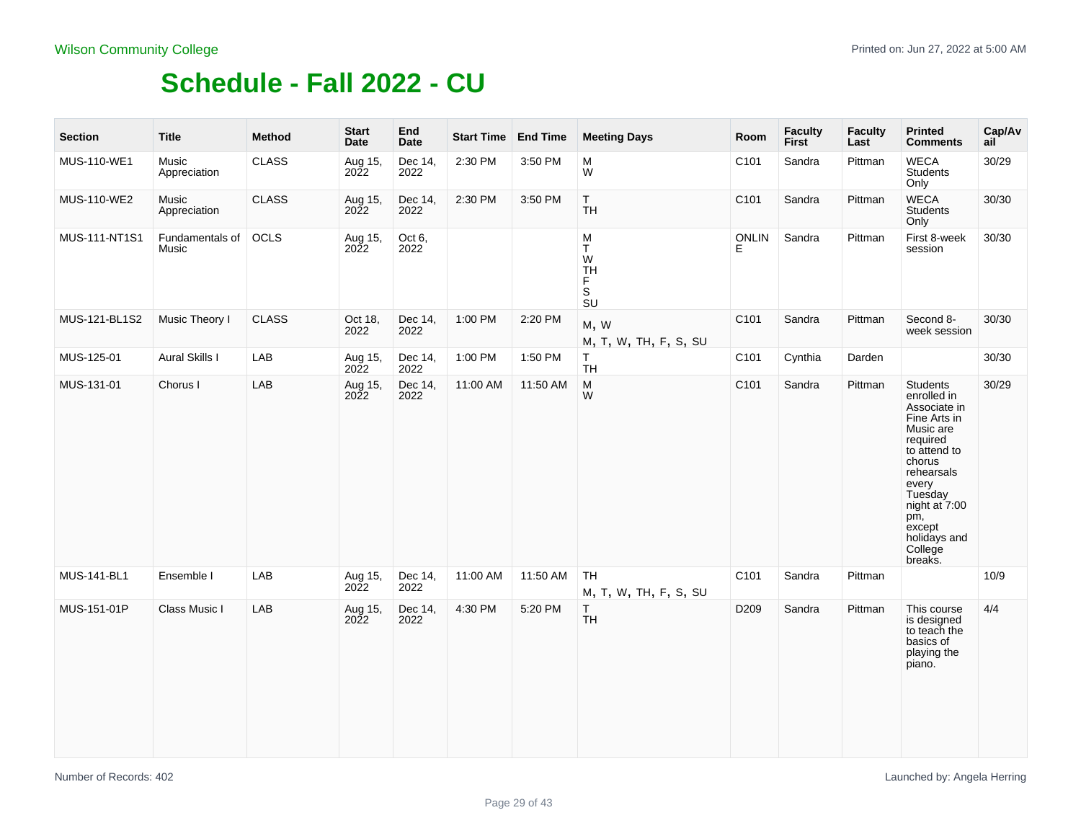| <b>Section</b> | <b>Title</b>             | <b>Method</b> | <b>Start</b><br>Date | End<br>Date     | Start Time End Time |          | <b>Meeting Days</b>                                                                                             | Room              | <b>Faculty</b><br>First | <b>Faculty</b><br>Last | <b>Printed</b><br><b>Comments</b>                                                                                                                                                                                    | Cap/Av<br>ail |
|----------------|--------------------------|---------------|----------------------|-----------------|---------------------|----------|-----------------------------------------------------------------------------------------------------------------|-------------------|-------------------------|------------------------|----------------------------------------------------------------------------------------------------------------------------------------------------------------------------------------------------------------------|---------------|
| MUS-110-WE1    | Music<br>Appreciation    | <b>CLASS</b>  | Aug 15,<br>2022      | Dec 14,<br>2022 | 2:30 PM             | 3:50 PM  | M<br>W                                                                                                          | C101              | Sandra                  | Pittman                | <b>WECA</b><br><b>Students</b><br>Only                                                                                                                                                                               | 30/29         |
| MUS-110-WE2    | Music<br>Appreciation    | CLASS         | Aug 15,<br>2022      | Dec 14,<br>2022 | 2:30 PM             | 3:50 PM  | T.<br><b>TH</b>                                                                                                 | C101              | Sandra                  | Pittman                | <b>WECA</b><br><b>Students</b><br>Only                                                                                                                                                                               | 30/30         |
| MUS-111-NT1S1  | Fundamentals of<br>Music | OCLS          | Aug 15,<br>2022      | Oct 6,<br>2022  |                     |          | ${\sf M}$<br>T<br>W<br><b>TH</b><br>F.<br>S<br>$\overline{\mathsf{S}}\mathsf{U}$                                | <b>ONLIN</b><br>F | Sandra                  | Pittman                | First 8-week<br>session                                                                                                                                                                                              | 30/30         |
| MUS-121-BL1S2  | Music Theory I           | <b>CLASS</b>  | Oct 18,<br>2022      | Dec 14,<br>2022 | 1:00 PM             | 2:20 PM  | M, W<br>M, T, W, TH, F, S, SU                                                                                   | C101              | Sandra                  | Pittman                | Second 8-<br>week session                                                                                                                                                                                            | 30/30         |
| MUS-125-01     | Aural Skills I           | LAB           | Aug 15,<br>2022      | Dec 14,<br>2022 | 1:00 PM             | 1:50 PM  | T<br><b>TH</b>                                                                                                  | C101              | Cynthia                 | Darden                 |                                                                                                                                                                                                                      | 30/30         |
| MUS-131-01     | Chorus I                 | LAB           | Aug 15,<br>2022      | Dec 14,<br>2022 | 11:00 AM            | 11:50 AM | $\mathsf{M}% _{T}=\mathsf{M}_{T}\!\left( a,b\right) ,\ \mathsf{M}_{T}=\mathsf{M}_{T}\!\left( a,b\right) ,$<br>W | C101              | Sandra                  | Pittman                | Students<br>enrolled in<br>Associate in<br>Fine Arts in<br>Music are<br>required<br>to attend to<br>chorus<br>rehearsals<br>every<br>Tuesday<br>night at 7:00<br>pm,<br>except<br>holidays and<br>College<br>breaks. | 30/29         |
| MUS-141-BL1    | Ensemble I               | LAB           | Aug 15,<br>2022      | Dec 14,<br>2022 | 11:00 AM            | 11:50 AM | <b>TH</b><br>M, T, W, TH, F, S, SU                                                                              | C101              | Sandra                  | Pittman                |                                                                                                                                                                                                                      | 10/9          |
| MUS-151-01P    | Class Music I            | LAB           | Aug 15,<br>2022      | Dec 14,<br>2022 | 4:30 PM             | 5:20 PM  | T<br><b>TH</b>                                                                                                  | D209              | Sandra                  | Pittman                | This course<br>is designed<br>to teach the<br>basics of<br>playing the<br>piano.                                                                                                                                     | 4/4           |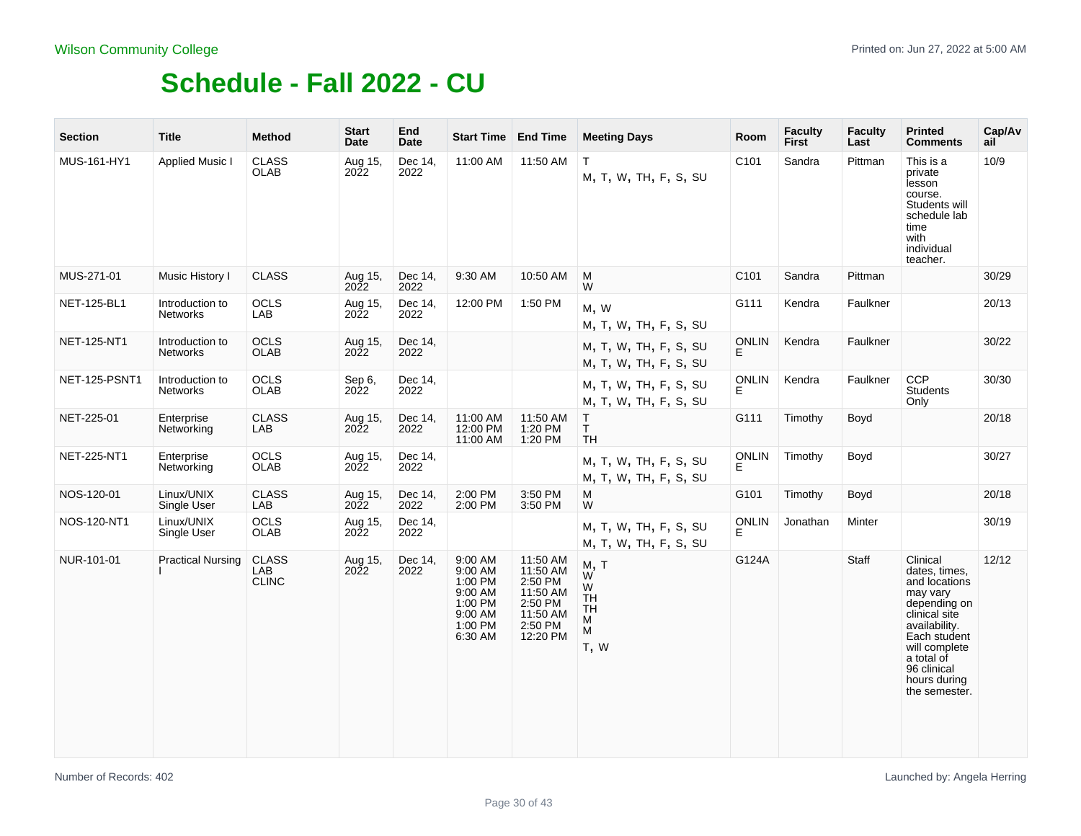| <b>Section</b>     | <b>Title</b>                       | <b>Method</b>                       | <b>Start</b><br>Date        | End<br>Date     |                                                                                      | Start Time   End Time                                                                     | <b>Meeting Days</b>                                        | Room               | <b>Faculty</b><br>First | <b>Faculty</b><br>Last | <b>Printed</b><br><b>Comments</b>                                                                                                                                                                       | Cap/Av<br>ail |
|--------------------|------------------------------------|-------------------------------------|-----------------------------|-----------------|--------------------------------------------------------------------------------------|-------------------------------------------------------------------------------------------|------------------------------------------------------------|--------------------|-------------------------|------------------------|---------------------------------------------------------------------------------------------------------------------------------------------------------------------------------------------------------|---------------|
| MUS-161-HY1        | <b>Applied Music I</b>             | <b>CLASS</b><br>OLAB                | Aug 15,<br>2022             | Dec 14,<br>2022 | 11:00 AM                                                                             | 11:50 AM                                                                                  | $\mathsf T$<br>M, T, W, TH, F, S, SU                       | C101               | Sandra                  | Pittman                | This is a<br>private<br>lesson<br>course.<br>Students will<br>schedule lab<br>time<br>with<br>individual<br>teacher.                                                                                    | 10/9          |
| MUS-271-01         | Music History I                    | <b>CLASS</b>                        | Aug 15,<br>2022             | Dec 14,<br>2022 | 9:30 AM                                                                              | 10:50 AM                                                                                  | M<br>W                                                     | C101               | Sandra                  | Pittman                |                                                                                                                                                                                                         | 30/29         |
| <b>NET-125-BL1</b> | Introduction to<br>Networks        | <b>OCLS</b><br>LAB                  | Aug 15,<br>2022             | Dec 14,<br>2022 | 12:00 PM                                                                             | 1:50 PM                                                                                   | M, W<br>M, T, W, TH, F, S, SU                              | G111               | Kendra                  | Faulkner               |                                                                                                                                                                                                         | 20/13         |
| <b>NET-125-NT1</b> | Introduction to<br><b>Networks</b> | <b>OCLS</b><br><b>OLAB</b>          | Aug 15,<br>2022             | Dec 14,<br>2022 |                                                                                      |                                                                                           | M, T, W, TH, F, S, SU<br>M, T, W, TH, F, S, SU             | <b>ONLIN</b><br>E  | Kendra                  | Faulkner               |                                                                                                                                                                                                         | 30/22         |
| NET-125-PSNT1      | Introduction to<br><b>Networks</b> | <b>OCLS</b><br><b>OLAB</b>          | Sep 6,<br>2022              | Dec 14,<br>2022 |                                                                                      |                                                                                           | M, T, W, TH, F, S, SU<br>M, T, W, TH, F, S, SU             | <b>ONLIN</b><br>E. | Kendra                  | Faulkner               | <b>CCP</b><br><b>Students</b><br>Only                                                                                                                                                                   | 30/30         |
| NET-225-01         | Enterprise<br>Networking           | <b>CLASS</b><br>LAB                 | Aug 15,<br><b>2022</b>      | Dec 14,<br>2022 | 11:00 AM<br>12:00 PM<br>11:00 AM                                                     | 11:50 AM<br>1:20 PM<br>1:20 PM                                                            | $\mathsf{T}$<br>T.<br><b>TH</b>                            | G111               | Timothy                 | Boyd                   |                                                                                                                                                                                                         | 20/18         |
| <b>NET-225-NT1</b> | Enterprise<br>Networking           | <b>OCLS</b><br><b>OLAB</b>          | Aug 15,<br>2022             | Dec 14,<br>2022 |                                                                                      |                                                                                           | M, T, W, TH, F, S, SU<br>M, T, W, TH, F, S, SU             | <b>ONLIN</b><br>E. | Timothy                 | Boyd                   |                                                                                                                                                                                                         | 30/27         |
| NOS-120-01         | Linux/UNIX<br>Single User          | <b>CLASS</b><br>LAB                 | Aug 15,<br><b>2022</b>      | Dec 14,<br>2022 | 2:00 PM<br>2:00 PM                                                                   | 3:50 PM<br>3:50 PM                                                                        | M<br>W                                                     | G101               | Timothy                 | Boyd                   |                                                                                                                                                                                                         | 20/18         |
| NOS-120-NT1        | Linux/UNIX<br>Single User          | OCLS<br>OLAB                        | Aug <sub>15</sub> ,<br>2022 | Dec 14,<br>2022 |                                                                                      |                                                                                           | M, T, W, TH, F, S, SU<br>M, T, W, TH, F, S, SU             | <b>ONLIN</b><br>E. | Jonathan                | Minter                 |                                                                                                                                                                                                         | 30/19         |
| NUR-101-01         | <b>Practical Nursing</b>           | <b>CLASS</b><br>LAB<br><b>CLINC</b> | Aug 15,<br>2022             | Dec 14,<br>2022 | 9:00 AM<br>9:00 AM<br>1:00 PM<br>9:00 AM<br>1:00 PM<br>9:00 AM<br>1:00 PM<br>6:30 AM | 11:50 AM<br>11:50 AM<br>2:50 PM<br>11:50 AM<br>2:50 PM<br>11:50 AM<br>2:50 PM<br>12:20 PM | M, T<br>W<br>W<br><b>TH</b><br><b>TH</b><br>M<br>M<br>T, W | G124A              |                         | Staff                  | Clinical<br>dates, times,<br>and locations<br>may vary<br>depending on<br>clinical site<br>availability.<br>Each student<br>will complete<br>a total of<br>96 clinical<br>hours during<br>the semester. | 12/12         |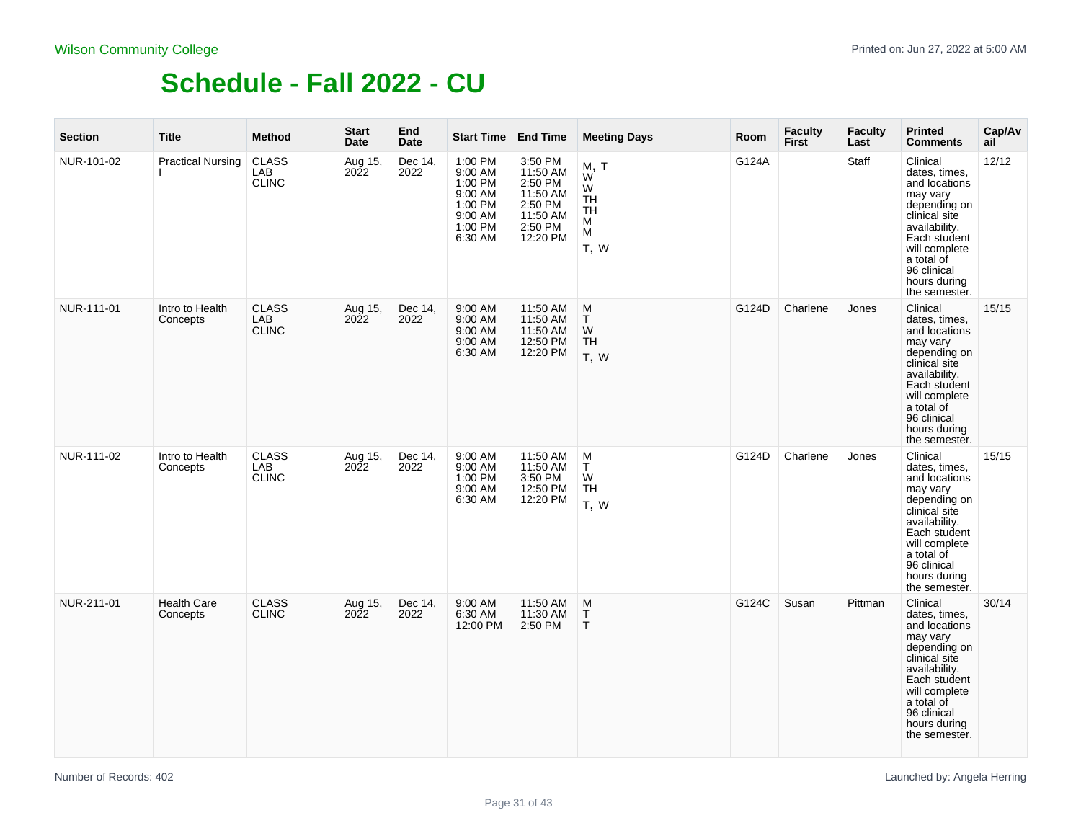| <b>Section</b> | <b>Title</b>                   | <b>Method</b>                       | <b>Start</b><br>Date               | End<br><b>Date</b> | <b>Start Time End Time</b>                                                           |                                                                                          | <b>Meeting Days</b>                                 | Room  | <b>Faculty</b><br>First | <b>Faculty</b><br>Last | <b>Printed</b><br><b>Comments</b>                                                                                                                                                                       | Cap/Av<br>ail |
|----------------|--------------------------------|-------------------------------------|------------------------------------|--------------------|--------------------------------------------------------------------------------------|------------------------------------------------------------------------------------------|-----------------------------------------------------|-------|-------------------------|------------------------|---------------------------------------------------------------------------------------------------------------------------------------------------------------------------------------------------------|---------------|
| NUR-101-02     | <b>Practical Nursing</b>       | <b>CLASS</b><br>LAB<br><b>CLINC</b> | Aug 15,<br><b>2022</b>             | Dec 14,<br>2022    | 1:00 PM<br>9:00 AM<br>1:00 PM<br>9:00 AM<br>1:00 PM<br>9:00 AM<br>1:00 PM<br>6:30 AM | 3:50 PM<br>11:50 AM<br>2:50 PM<br>11:50 AM<br>2:50 PM<br>11:50 AM<br>2:50 PM<br>12:20 PM | M, T<br>W<br>W<br><b>TH</b><br>TH<br>м<br>M<br>T, W | G124A |                         | Staff                  | Clinical<br>dates, times,<br>and locations<br>may vary<br>depending on<br>clinical site<br>availability.<br>Each student<br>will complete<br>a total of<br>96 clinical<br>hours during<br>the semester. | 12/12         |
| NUR-111-01     | Intro to Health<br>Concepts    | <b>CLASS</b><br>LAB<br><b>CLINC</b> | Aug 15,<br>2022                    | Dec 14,<br>2022    | 9:00 AM<br>9:00 AM<br>9:00 AM<br>9:00 AM<br>6:30 AM                                  | 11:50 AM<br>11:50 AM<br>11:50 AM<br>12:50 PM<br>12:20 PM                                 | M<br>T<br>W<br>TH<br>T, W                           | G124D | Charlene                | Jones                  | Clinical<br>dates, times,<br>and locations<br>may vary<br>depending on<br>clinical site<br>availability.<br>Each student<br>will complete<br>a total of<br>96 clinical<br>hours during<br>the semester. | 15/15         |
| NUR-111-02     | Intro to Health<br>Concepts    | <b>CLASS</b><br>LAB<br><b>CLINC</b> | Aug <sub>15</sub> ,<br><b>2022</b> | Dec 14,<br>2022    | 9:00 AM<br>9:00 AM<br>1:00 PM<br>9:00 AM<br>6:30 AM                                  | 11:50 AM<br>11:50 AM<br>3:50 PM<br>12:50 PM<br>12:20 PM                                  | M<br>T.<br>W<br>TH<br>T, W                          | G124D | Charlene                | Jones                  | Clinical<br>dates, times,<br>and locations<br>may vary<br>depending on<br>clinical site<br>availability.<br>Each student<br>will complete<br>a total of<br>96 clinical<br>hours during<br>the semester. | 15/15         |
| NUR-211-01     | <b>Health Care</b><br>Concepts | <b>CLASS</b><br><b>CLINC</b>        | Aug 15,<br>2022                    | Dec 14,<br>2022    | 9:00 AM<br>6:30 AM<br>12:00 PM                                                       | 11:50 AM<br>11:30 AM<br>2:50 PM                                                          | M<br>T<br>$\mathsf T$                               | G124C | Susan                   | Pittman                | Clinical<br>dates, times,<br>and locations<br>may vary<br>depending on<br>clinical site<br>availability.<br>Each student<br>will complete<br>a total of<br>96 clinical<br>hours during<br>the semester. | 30/14         |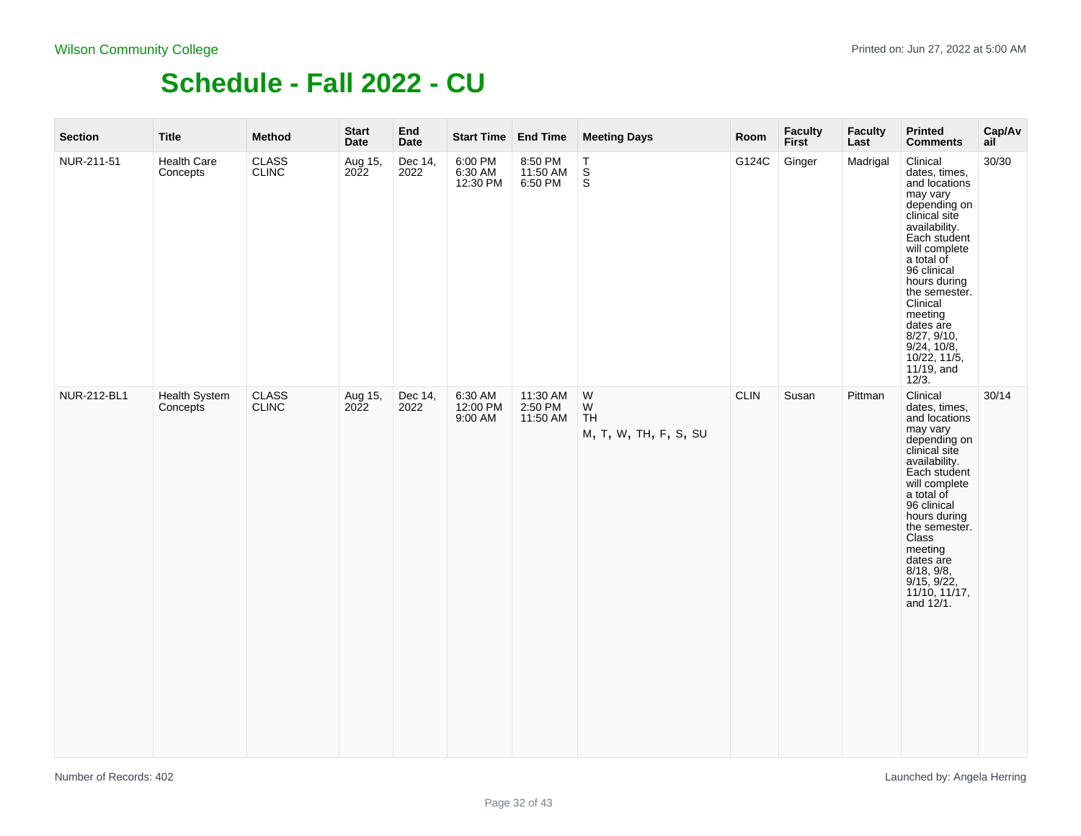| <b>Section</b> | <b>Title</b>              | Method                       | <b>Start</b><br>Date | End<br>Date     | Start Time End Time            |                                 | <b>Meeting Days</b>                           | Room        | <b>Faculty</b><br><b>First</b> | <b>Faculty</b><br>Last | <b>Printed</b><br><b>Comments</b>                                                                                                                                                                                                                                                                                      | Cap/Av<br>ail |
|----------------|---------------------------|------------------------------|----------------------|-----------------|--------------------------------|---------------------------------|-----------------------------------------------|-------------|--------------------------------|------------------------|------------------------------------------------------------------------------------------------------------------------------------------------------------------------------------------------------------------------------------------------------------------------------------------------------------------------|---------------|
| NUR-211-51     | Health Care<br>Concepts   | <b>CLASS</b><br><b>CLINC</b> | Aug 15,<br>2022      | Dec 14,<br>2022 | 6:00 PM<br>6:30 AM<br>12:30 PM | 8:50 PM<br>11:50 AM<br>6:50 PM  | $\begin{array}{c} T \\ S \\ S \end{array}$    | G124C       | Ginger                         | Madrigal               | Clinical<br>dates, times,<br>and locations<br>may vary<br>depending on<br>clinical site<br>availability.<br>Each student<br>will complete<br>a total of<br>96 clinical<br>hours during<br>the semester.<br>Clinical<br>meeting<br>dates are<br>8/27, 9/10,<br>$9/24$ , 10/8,<br>10/22, 11/5,<br>$11/19$ , and<br>12/3. | 30/30         |
| NUR-212-BL1    | Health System<br>Concepts | <b>CLASS</b><br><b>CLINC</b> | Aug 15,<br>2022      | Dec 14,<br>2022 | 6:30 AM<br>12:00 PM<br>9:00 AM | 11:30 AM<br>2:50 PM<br>11:50 AM | ${\sf W}$<br>W<br>TH<br>M, T, W, TH, F, S, SU | <b>CLIN</b> | Susan                          | Pittman                | Clinical<br>dates, times,<br>and locations<br>may vary<br>depending on<br>clinical site<br>availability.<br>Each student<br>will complete<br>a total of<br>96 clinical<br>hours during<br>the semester.<br>Class<br>meeting<br>dates are<br>8/18, 9/8,<br>$9/15, 9/22,$<br>11/10, 11/17,<br>and 12/1.                  | 30/14         |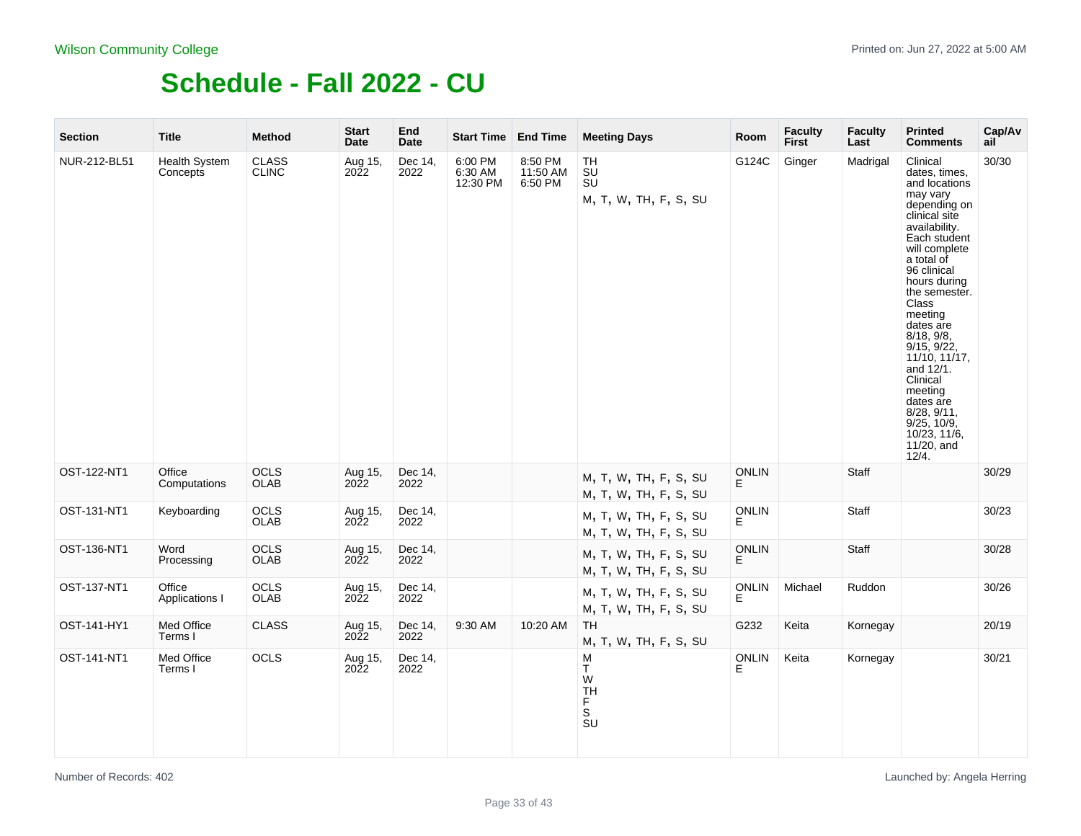| <b>Section</b> | <b>Title</b>                     | <b>Method</b>                | <b>Start</b><br>Date        | End<br>Date     | Start Time End Time            |                                | <b>Meeting Days</b>                                                                           | Room               | <b>Faculty</b><br><b>First</b> | <b>Faculty</b><br>Last | <b>Printed</b><br><b>Comments</b>                                                                                                                                                                                                                                                                                                                                                                            | Cap/Av<br>ail |
|----------------|----------------------------------|------------------------------|-----------------------------|-----------------|--------------------------------|--------------------------------|-----------------------------------------------------------------------------------------------|--------------------|--------------------------------|------------------------|--------------------------------------------------------------------------------------------------------------------------------------------------------------------------------------------------------------------------------------------------------------------------------------------------------------------------------------------------------------------------------------------------------------|---------------|
| NUR-212-BL51   | <b>Health System</b><br>Concepts | <b>CLASS</b><br><b>CLINC</b> | Aug <sub>15</sub> ,<br>2022 | Dec 14,<br>2022 | 6:00 PM<br>6:30 AM<br>12:30 PM | 8:50 PM<br>11:50 AM<br>6:50 PM | TH<br><b>SU</b><br><b>SU</b><br>M, T, W, TH, F, S, SU                                         | G124C              | Ginger                         | Madrigal               | Clinical<br>dates, times,<br>and locations<br>may vary<br>depending on<br>clinical site<br>availability.<br>Each student<br>will complete<br>a total of<br>96 clinical<br>hours during<br>the semester.<br>Class<br>meeting<br>dates are<br>8/18, 9/8,<br>9/15, 9/22,<br>11/10, 11/17,<br>and 12/1.<br>Clinical<br>meeting<br>dates are<br>8/28, 9/11,<br>9/25, 10/9,<br>10/23, 11/6,<br>11/20, and<br>12/4. | 30/30         |
| OST-122-NT1    | Office<br>Computations           | OCLS<br>OLAB                 | Aug 15,<br>2022             | Dec 14,<br>2022 |                                |                                | M, T, W, TH, F, S, SU<br>M, T, W, TH, F, S, SU                                                | <b>ONLIN</b><br>E. |                                | Staff                  |                                                                                                                                                                                                                                                                                                                                                                                                              | 30/29         |
| OST-131-NT1    | Keyboarding                      | <b>OCLS</b><br><b>OLAB</b>   | Aug 15,<br>2022             | Dec 14,<br>2022 |                                |                                | M, T, W, TH, F, S, SU<br>M, T, W, TH, F, S, SU                                                | <b>ONLIN</b><br>E. |                                | Staff                  |                                                                                                                                                                                                                                                                                                                                                                                                              | 30/23         |
| OST-136-NT1    | Word<br>Processing               | <b>OCLS</b><br>OLAB          | Aug 15,<br>2022             | Dec 14,<br>2022 |                                |                                | M, T, W, TH, F, S, SU<br>M, T, W, TH, F, S, SU                                                | <b>ONLIN</b><br>E. |                                | Staff                  |                                                                                                                                                                                                                                                                                                                                                                                                              | 30/28         |
| OST-137-NT1    | Office<br>Applications I         | OCLS<br><b>OLAB</b>          | Aug 15,<br>2022             | Dec 14,<br>2022 |                                |                                | M, T, W, TH, F, S, SU<br>M, T, W, TH, F, S, SU                                                | ONLIN<br>E         | Michael                        | Ruddon                 |                                                                                                                                                                                                                                                                                                                                                                                                              | 30/26         |
| OST-141-HY1    | Med Office<br>Terms I            | <b>CLASS</b>                 | Aug 15,<br><b>2022</b>      | Dec 14,<br>2022 | 9:30 AM                        | 10:20 AM                       | TH<br>M, T, W, TH, F, S, SU                                                                   | G232               | Keita                          | Kornegay               |                                                                                                                                                                                                                                                                                                                                                                                                              | 20/19         |
| OST-141-NT1    | Med Office<br>Terms I            | <b>OCLS</b>                  | Aug 15,<br>2022             | Dec 14,<br>2022 |                                |                                | M<br>T<br>W<br><b>TH</b><br>F<br>$\overline{\mathbf{s}}$<br>$\overline{\mathsf{S}}\mathsf{U}$ | <b>ONLIN</b><br>E. | Keita                          | Kornegay               |                                                                                                                                                                                                                                                                                                                                                                                                              | 30/21         |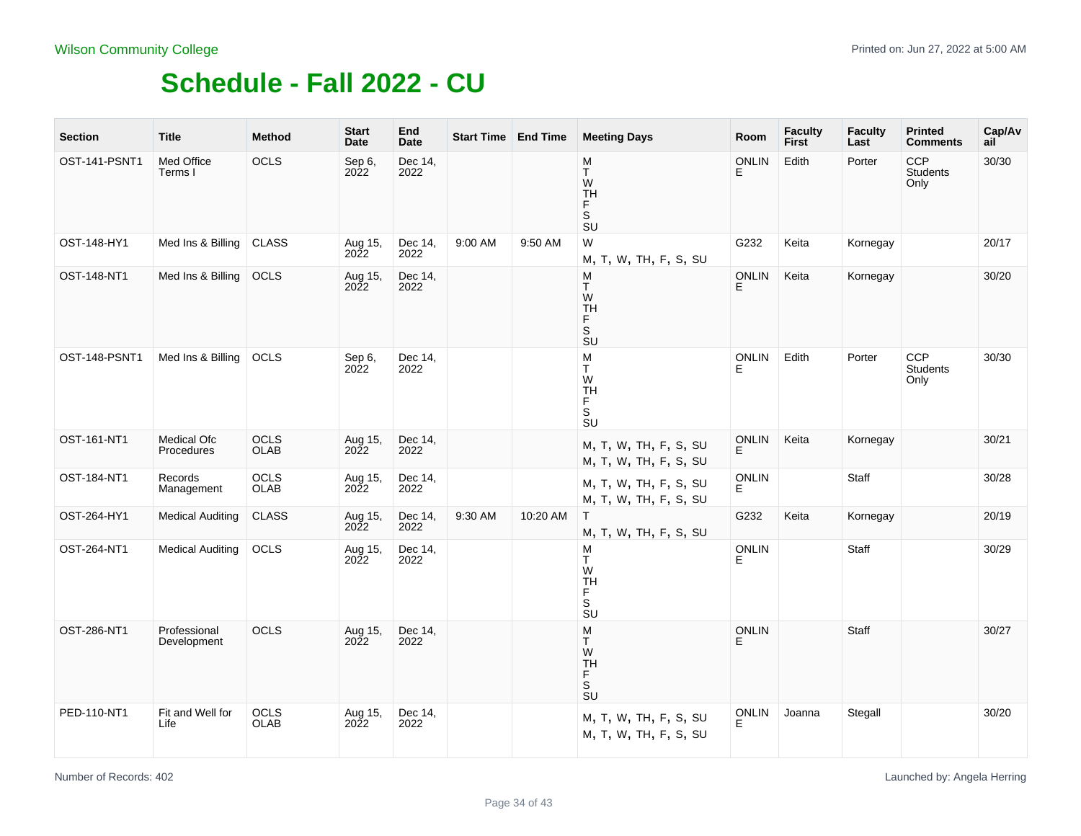| <b>Section</b> | <b>Title</b>                | <b>Method</b>              | <b>Start</b><br>Date   | End<br>Date     |         | Start Time   End Time | <b>Meeting Days</b>                                                                            | Room               | <b>Faculty</b><br><b>First</b> | <b>Faculty</b><br>Last | <b>Printed</b><br><b>Comments</b>     | Cap/Av<br>ail |
|----------------|-----------------------------|----------------------------|------------------------|-----------------|---------|-----------------------|------------------------------------------------------------------------------------------------|--------------------|--------------------------------|------------------------|---------------------------------------|---------------|
| OST-141-PSNT1  | Med Office<br>Terms I       | OCLS                       | Sep 6,<br>2022         | Dec 14,<br>2022 |         |                       | M<br>T<br>W<br><b>TH</b><br>F.<br>S<br>SU                                                      | <b>ONLIN</b><br>Е  | Edith                          | Porter                 | <b>CCP</b><br><b>Students</b><br>Only | 30/30         |
| OST-148-HY1    | Med Ins & Billing           | <b>CLASS</b>               | Aug 15,<br>2022        | Dec 14,<br>2022 | 9:00 AM | 9:50 AM               | W<br>M, T, W, TH, F, S, SU                                                                     | G232               | Keita                          | Kornegay               |                                       | 20/17         |
| OST-148-NT1    | Med Ins & Billing           | OCLS                       | Aug 15,<br>2022        | Dec 14,<br>2022 |         |                       | M<br>T.<br>W<br><b>TH</b><br>F.<br>S<br>SU                                                     | <b>ONLIN</b><br>E. | Keita                          | Kornegay               |                                       | 30/20         |
| OST-148-PSNT1  | Med Ins & Billing           | <b>OCLS</b>                | Sep 6,<br>2022         | Dec 14,<br>2022 |         |                       | M<br>T.<br>W<br><b>TH</b><br>F<br>$\overline{\mathbf{s}}$<br>$\overline{\mathsf{S}}\mathsf{U}$ | ONLIN<br>E         | Edith                          | Porter                 | CCP<br>Students<br>Only               | 30/30         |
| OST-161-NT1    | Medical Ofc<br>Procedures   | OCLS<br>OLAB               | Aug 15,<br>2022        | Dec 14,<br>2022 |         |                       | M, T, W, TH, F, S, SU<br>M, T, W, TH, F, S, SU                                                 | <b>ONLIN</b><br>E. | Keita                          | Kornegay               |                                       | 30/21         |
| OST-184-NT1    | Records<br>Management       | OCLS<br><b>OLAB</b>        | Aug 15,<br>2022        | Dec 14,<br>2022 |         |                       | M, T, W, TH, F, S, SU<br>M, T, W, TH, F, S, SU                                                 | <b>ONLIN</b><br>E. |                                | Staff                  |                                       | 30/28         |
| OST-264-HY1    | <b>Medical Auditing</b>     | <b>CLASS</b>               | Aug 15,<br>2022        | Dec 14,<br>2022 | 9:30 AM | 10:20 AM              | T.<br>M, T, W, TH, F, S, SU                                                                    | G232               | Keita                          | Kornegay               |                                       | 20/19         |
| OST-264-NT1    | <b>Medical Auditing</b>     | OCLS                       | Aug 15,<br>2022        | Dec 14,<br>2022 |         |                       | M<br>T.<br>W<br><b>TH</b><br>F<br>S<br>$\overline{\mathbf{s}}$ U                               | <b>ONLIN</b><br>E. |                                | Staff                  |                                       | 30/29         |
| OST-286-NT1    | Professional<br>Development | <b>OCLS</b>                | Aug 15,<br><b>2022</b> | Dec 14,<br>2022 |         |                       | M<br>T.<br>W<br><b>TH</b><br>F<br>s<br>su                                                      | <b>ONLIN</b><br>F  |                                | Staff                  |                                       | 30/27         |
| PED-110-NT1    | Fit and Well for<br>Life    | <b>OCLS</b><br><b>OLAB</b> | Aug 15,<br>2022        | Dec 14,<br>2022 |         |                       | M, T, W, TH, F, S, SU<br>M, T, W, TH, F, S, SU                                                 | <b>ONLIN</b><br>E. | Joanna                         | Stegall                |                                       | 30/20         |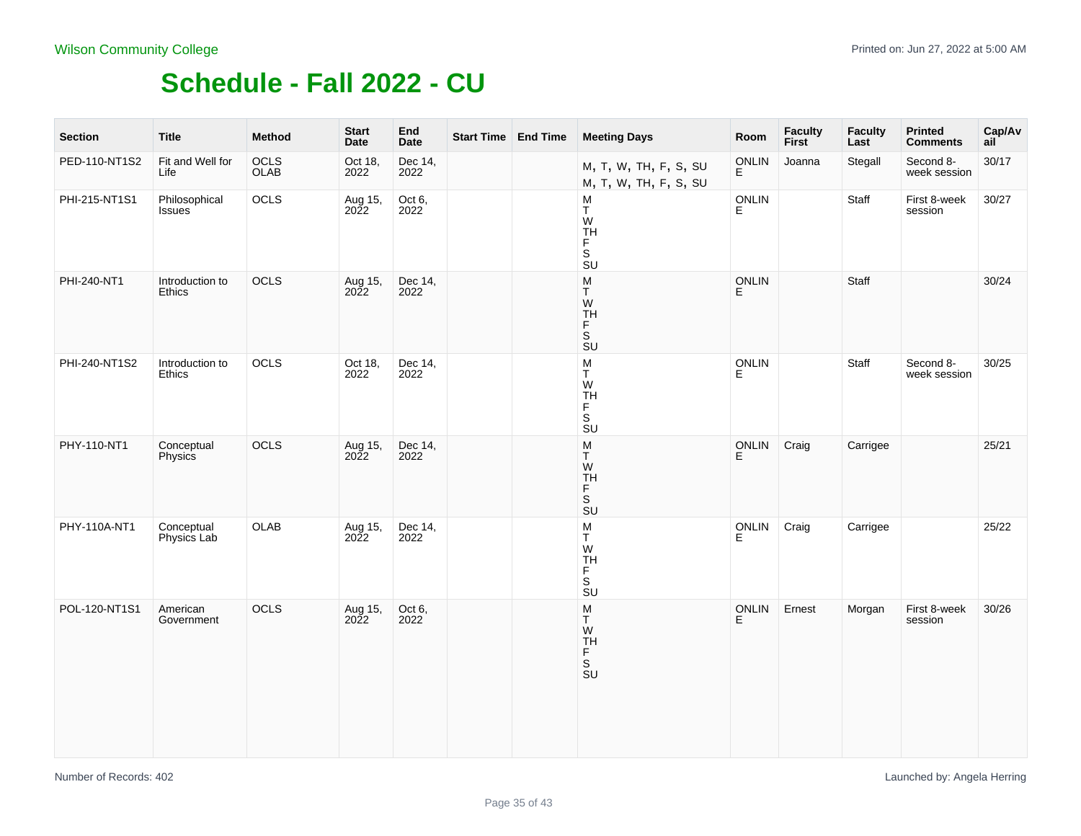| <b>Section</b> | <b>Title</b>                   | Method       | <b>Start</b><br>Date | End<br><b>Date</b> | Start Time End Time | <b>Meeting Days</b>                                    | Room               | <b>Faculty</b><br><b>First</b> | <b>Faculty</b><br>Last | Printed<br><b>Comments</b> | Cap/Av<br>ail |
|----------------|--------------------------------|--------------|----------------------|--------------------|---------------------|--------------------------------------------------------|--------------------|--------------------------------|------------------------|----------------------------|---------------|
| PED-110-NT1S2  | Fit and Well for<br>Life       | OCLS<br>OLAB | Oct 18,<br>2022      | Dec 14,<br>2022    |                     | M, T, W, TH, F, S, SU<br>M, T, W, TH, F, S, SU         | ONLIN<br>E         | Joanna                         | Stegall                | Second 8-<br>week session  | 30/17         |
| PHI-215-NT1S1  | Philosophical<br><b>Issues</b> | OCLS         | Aug 15,<br>2022      | Oct 6,<br>2022     |                     | м<br>T.<br>${\sf W}$<br><b>TH</b><br>F<br>.<br>Su      | ONLIN<br>E.        |                                | Staff                  | First 8-week<br>session    | 30/27         |
| PHI-240-NT1    | Introduction to<br>Ethics      | OCLS         | Aug 15,<br>2022      | Dec 14,<br>2022    |                     | M<br>Τ<br>.<br>ТН<br>$\bar{F}$ SU                      | <b>ONLIN</b><br>E. |                                | Staff                  |                            | 30/24         |
| PHI-240-NT1S2  | Introduction to<br>Ethics      | OCLS         | Oct 18,<br>2022      | Dec 14,<br>2022    |                     | M<br>T<br>W<br>TH<br>F<br>S<br>SU                      | <b>ONLIN</b><br>E  |                                | Staff                  | Second 8-<br>week session  | 30/25         |
| PHY-110-NT1    | Conceptual<br>Physics          | OCLS         | Aug 15,<br>2022      | Dec 14,<br>2022    |                     | $\sf M$<br>T<br>${\sf W}$<br><b>TH</b><br>F<br>s<br>su | ONLIN<br>Е         | Craig                          | Carrigee               |                            | 25/21         |
| PHY-110A-NT1   | Conceptual<br>Physics Lab      | <b>OLAB</b>  | Aug 15,<br>2022      | Dec 14,<br>2022    |                     | M<br>T<br>W<br>TH<br>F<br>S<br>SU                      | ONLIN<br>E         | Craig                          | Carrigee               |                            | 25/22         |
| POL-120-NT1S1  | American<br>Government         | OCLS         | Aug 15,<br>2022      | Oct 6,<br>2022     |                     | M<br>T<br>W<br>TH<br>F<br>S<br>SU                      | ONLIN<br>E         | Ernest                         | Morgan                 | First 8-week<br>session    | 30/26         |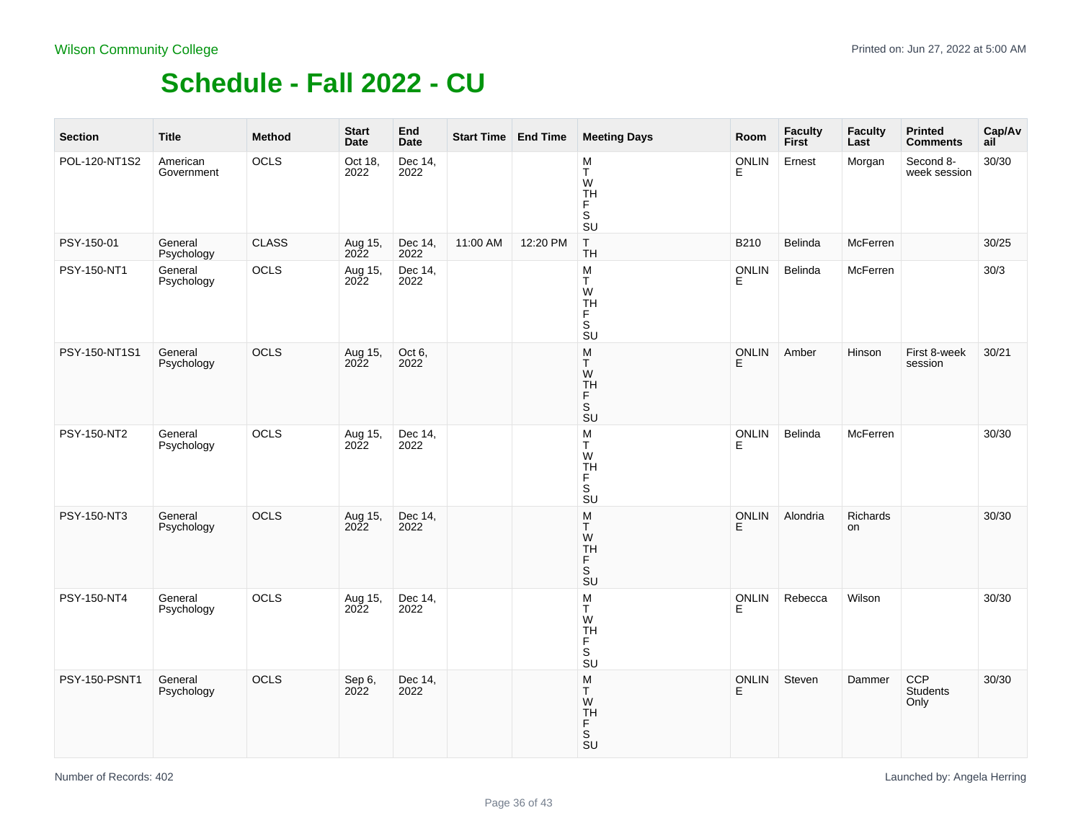| <b>Section</b> | <b>Title</b>           | <b>Method</b> | <b>Start</b><br>Date | End<br>Date     | Start Time   End Time |          | <b>Meeting Days</b>                                                                | Room              | <b>Faculty</b><br>First | <b>Faculty</b><br>Last | <b>Printed</b><br><b>Comments</b> | Cap/Av<br>ail |
|----------------|------------------------|---------------|----------------------|-----------------|-----------------------|----------|------------------------------------------------------------------------------------|-------------------|-------------------------|------------------------|-----------------------------------|---------------|
| POL-120-NT1S2  | American<br>Government | OCLS          | Oct 18,<br>2022      | Dec 14,<br>2022 |                       |          | M<br>T<br>W<br>TH<br>F<br>S<br><b>SU</b>                                           | <b>ONLIN</b><br>Е | Ernest                  | Morgan                 | Second 8-<br>week session         | 30/30         |
| PSY-150-01     | General<br>Psychology  | <b>CLASS</b>  | Aug 15,<br>2022      | Dec 14,<br>2022 | 11:00 AM              | 12:20 PM | $\mathsf T$<br><b>TH</b>                                                           | B210              | Belinda                 | McFerren               |                                   | 30/25         |
| PSY-150-NT1    | General<br>Psychology  | OCLS          | Aug 15,<br>2022      | Dec 14,<br>2022 |                       |          | ${\sf M}$<br>T.<br>W<br><b>TH</b><br>F<br>s<br>su                                  | <b>ONLIN</b><br>E | Belinda                 | McFerren               |                                   | 30/3          |
| PSY-150-NT1S1  | General<br>Psychology  | OCLS          | Aug 15,<br>2022      | Oct 6,<br>2022  |                       |          | ${\sf M}$<br>T<br>W<br><b>TH</b><br>F<br>$\frac{S}{SU}$                            | ONLIN<br>E        | Amber                   | Hinson                 | First 8-week<br>session           | 30/21         |
| PSY-150-NT2    | General<br>Psychology  | OCLS          | Aug 15,<br>2022      | Dec 14,<br>2022 |                       |          | ${\sf M}$<br>T.<br>W<br><b>TH</b><br>F<br>s<br>su                                  | <b>ONLIN</b><br>Е | Belinda                 | McFerren               |                                   | 30/30         |
| PSY-150-NT3    | General<br>Psychology  | <b>OCLS</b>   | Aug 15,<br>2022      | Dec 14,<br>2022 |                       |          | M<br>T<br>W<br>TH<br>F<br>$\frac{S}{SU}$                                           | <b>ONLIN</b><br>E | Alondria                | Richards<br>on         |                                   | 30/30         |
| PSY-150-NT4    | General<br>Psychology  | OCLS          | Aug 15,<br>2022      | Dec 14,<br>2022 |                       |          | M<br>T.<br>W<br><b>TH</b><br>F<br>$\mathsf S$<br>$\overline{\mathsf{S}}\mathsf{U}$ | <b>ONLIN</b><br>E | Rebecca                 | Wilson                 |                                   | 30/30         |
| PSY-150-PSNT1  | General<br>Psychology  | <b>OCLS</b>   | Sep 6,<br>2022       | Dec 14,<br>2022 |                       |          | M<br>Τ<br>W<br>TH<br>F.<br>S<br>$\overline{\mathsf{S}}\mathsf{U}$                  | ONLIN<br>E        | Steven                  | Dammer                 | CCP<br>Students<br>Only           | 30/30         |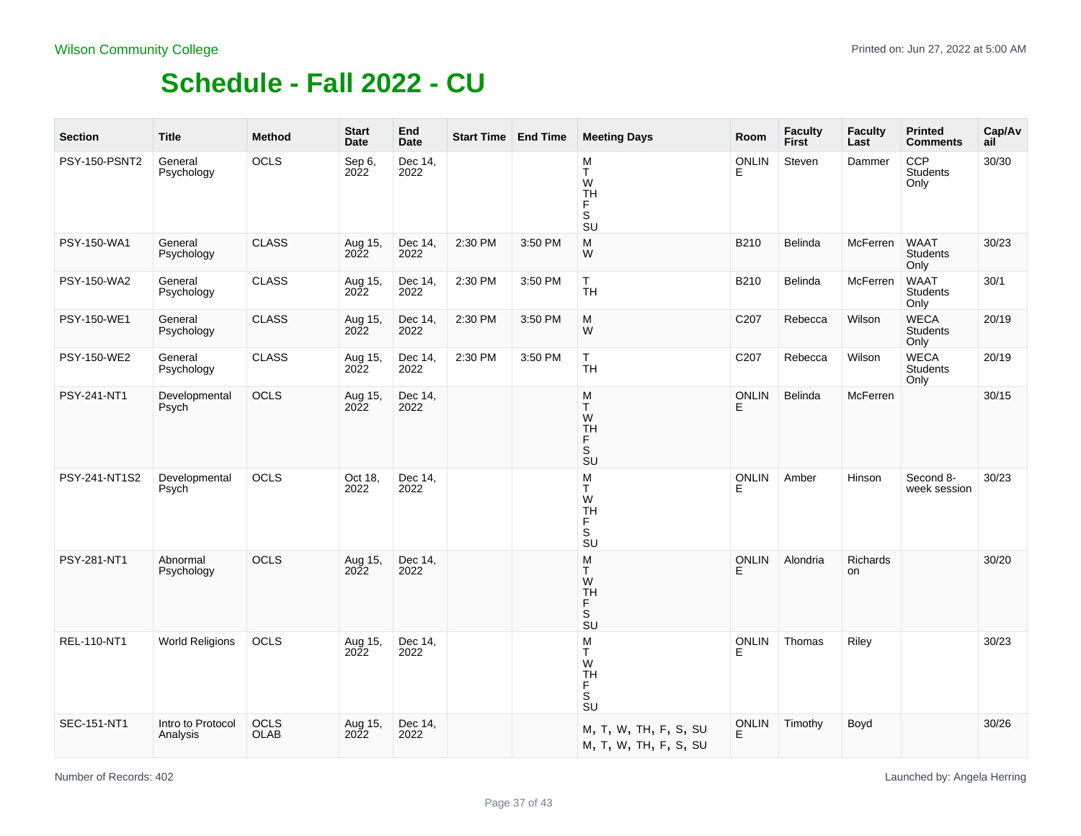| <b>Section</b>     | <b>Title</b>                  | <b>Method</b>              | <b>Start</b><br>Date   | End<br><b>Date</b> | <b>Start Time   End Time</b> |         | <b>Meeting Days</b>                                                                | Room               | <b>Faculty</b><br><b>First</b> | <b>Faculty</b><br>Last | <b>Printed</b><br><b>Comments</b>      | Cap/Av<br>ail |
|--------------------|-------------------------------|----------------------------|------------------------|--------------------|------------------------------|---------|------------------------------------------------------------------------------------|--------------------|--------------------------------|------------------------|----------------------------------------|---------------|
| PSY-150-PSNT2      | General<br>Psychology         | OCLS                       | Sep 6,<br>2022         | Dec 14,<br>2022    |                              |         | M<br>T<br>W<br><b>TH</b><br>F<br>S<br>SU                                           | <b>ONLIN</b><br>Е  | Steven                         | Dammer                 | CCP<br><b>Students</b><br>Only         | 30/30         |
| PSY-150-WA1        | General<br>Psychology         | <b>CLASS</b>               | Aug 15,<br>2022        | Dec 14,<br>2022    | 2:30 PM                      | 3:50 PM | M<br>W                                                                             | B210               | Belinda                        | McFerren               | <b>WAAT</b><br><b>Students</b><br>Only | 30/23         |
| <b>PSY-150-WA2</b> | General<br>Psychology         | <b>CLASS</b>               | Aug 15,<br>2022        | Dec 14,<br>2022    | 2:30 PM                      | 3:50 PM | T.<br><b>TH</b>                                                                    | B210               | Belinda                        | <b>McFerren</b>        | <b>WAAT</b><br><b>Students</b><br>Only | 30/1          |
| PSY-150-WE1        | General<br>Psychology         | <b>CLASS</b>               | Aug 15,<br>2022        | Dec 14,<br>2022    | 2:30 PM                      | 3:50 PM | M<br>W                                                                             | C207               | Rebecca                        | Wilson                 | <b>WECA</b><br><b>Students</b><br>Only | 20/19         |
| PSY-150-WE2        | General<br>Psychology         | <b>CLASS</b>               | Aug 15,<br>2022        | Dec 14,<br>2022    | 2:30 PM                      | 3:50 PM | T.<br><b>TH</b>                                                                    | C207               | Rebecca                        | Wilson                 | <b>WECA</b><br>Students<br>Only        | 20/19         |
| PSY-241-NT1        | Developmental<br>Psych        | OCLS                       | Aug 15,<br>2022        | Dec 14,<br>2022    |                              |         | M<br>T.<br>W<br><b>TH</b><br>F<br>s<br>su                                          | <b>ONLIN</b><br>Е  | Belinda                        | McFerren               |                                        | 30/15         |
| PSY-241-NT1S2      | Developmental<br>Psych        | OCLS                       | Oct 18,<br>2022        | Dec 14,<br>2022    |                              |         | M<br>T.<br>W<br><b>TH</b><br>F<br>$\mathbb S$<br>SU                                | <b>ONLIN</b><br>E  | Amber                          | Hinson                 | Second 8-<br>week session              | 30/23         |
| PSY-281-NT1        | Abnormal<br>Psychology        | <b>OCLS</b>                | Aug 15,<br>2022        | Dec 14,<br>2022    |                              |         | M<br>T.<br>W<br><b>TH</b><br>F<br>$\mathbb S$<br>$\overline{\mathsf{S}}\mathsf{U}$ | <b>ONLIN</b><br>E. | Alondria                       | Richards<br>on         |                                        | 30/20         |
| REL-110-NT1        | <b>World Religions</b>        | <b>OCLS</b>                | Aug 15,<br><b>2022</b> | Dec 14,<br>2022    |                              |         | M<br>Τ<br>W<br><b>TH</b><br>F<br>SU                                                | <b>ONLIN</b><br>E. | Thomas                         | Riley                  |                                        | 30/23         |
| SEC-151-NT1        | Intro to Protocol<br>Analysis | <b>OCLS</b><br><b>OLAB</b> | Aug 15,<br>2022        | Dec 14,<br>2022    |                              |         | M, T, W, TH, F, S, SU<br>M, T, W, TH, F, S, SU                                     | <b>ONLIN</b><br>E  | Timothy                        | Boyd                   |                                        | 30/26         |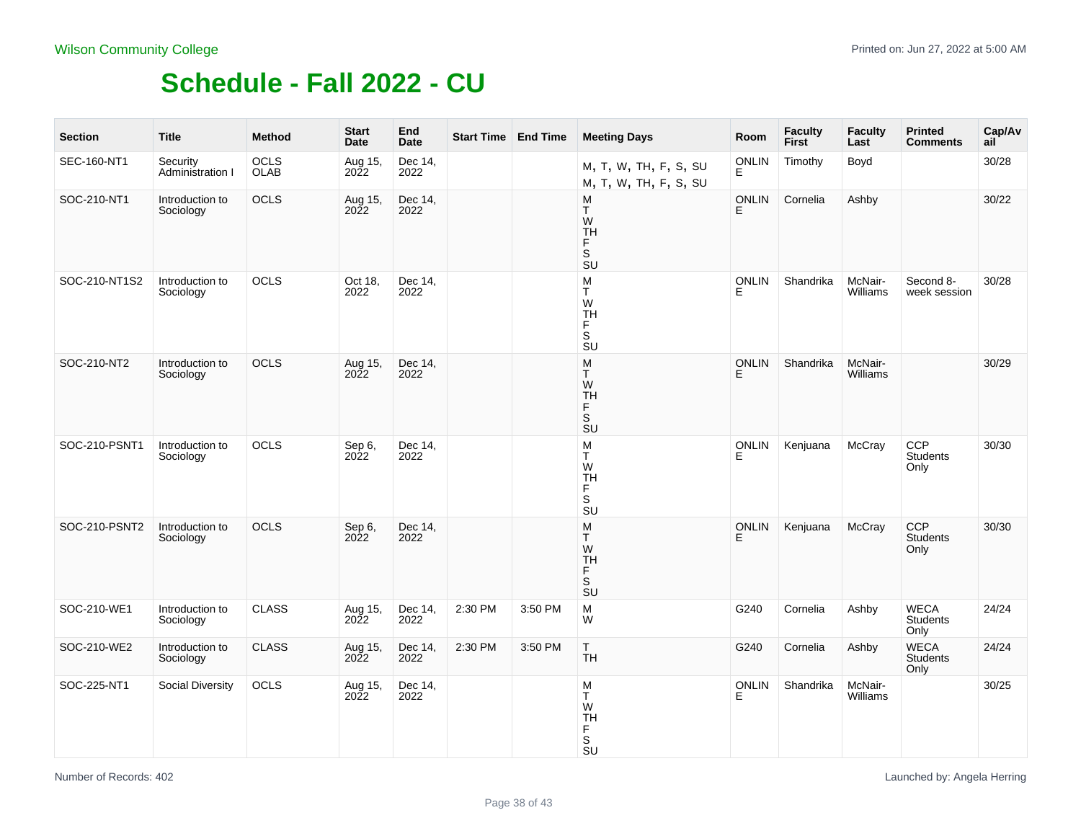| <b>Section</b> | <b>Title</b>                 | <b>Method</b> | <b>Start</b><br>Date | End<br>Date     |         | <b>Start Time   End Time</b> | <b>Meeting Days</b>                                                                 | Room               | <b>Faculty</b><br>First | <b>Faculty</b><br>Last | <b>Printed</b><br><b>Comments</b>      | Cap/Av<br>ail |
|----------------|------------------------------|---------------|----------------------|-----------------|---------|------------------------------|-------------------------------------------------------------------------------------|--------------------|-------------------------|------------------------|----------------------------------------|---------------|
| SEC-160-NT1    | Security<br>Administration I | OCLS<br>OLAB  | Aug 15,<br>2022      | Dec 14,<br>2022 |         |                              | M, T, W, TH, F, S, SU<br>M, T, W, TH, F, S, SU                                      | ONLIN<br>E         | Timothy                 | Boyd                   |                                        | 30/28         |
| SOC-210-NT1    | Introduction to<br>Sociology | OCLS          | Aug 15,<br>2022      | Dec 14,<br>2022 |         |                              | M<br>T.<br>W<br><b>TH</b><br>F<br>s<br>su                                           | ONLIN<br>E         | Cornelia                | Ashby                  |                                        | 30/22         |
| SOC-210-NT1S2  | Introduction to<br>Sociology | <b>OCLS</b>   | Oct 18,<br>2022      | Dec 14.<br>2022 |         |                              | M<br>T.<br>W<br><b>TH</b><br>F<br>$\mathbb S$<br>$\overline{\mathsf{s}}$ U          | <b>ONLIN</b><br>E. | Shandrika               | McNair-<br>Williams    | Second 8-<br>week session              | 30/28         |
| SOC-210-NT2    | Introduction to<br>Sociology | OCLS          | Aug 15,<br>2022      | Dec 14,<br>2022 |         |                              | M<br>T<br>W<br><b>TH</b><br>F<br>.<br>Su                                            | <b>ONLIN</b><br>Е  | Shandrika               | McNair-<br>Williams    |                                        | 30/29         |
| SOC-210-PSNT1  | Introduction to<br>Sociology | OCLS          | Sep 6,<br>2022       | Dec 14,<br>2022 |         |                              | M<br>T.<br>W<br><b>TH</b><br>F<br>$\mathbb S$<br>$\overline{\mathsf{S}}\mathsf{U}$  | <b>ONLIN</b><br>E  | Kenjuana                | McCray                 | CCP<br><b>Students</b><br>Only         | 30/30         |
| SOC-210-PSNT2  | Introduction to<br>Sociology | <b>OCLS</b>   | Sep 6,<br>2022       | Dec 14,<br>2022 |         |                              | M<br>T<br>W<br><b>TH</b><br>F<br>.<br>SU                                            | <b>ONLIN</b><br>E. | Kenjuana                | McCray                 | <b>CCP</b><br>Students<br>Only         | 30/30         |
| SOC-210-WE1    | Introduction to<br>Sociology | <b>CLASS</b>  | Aug 15,<br>2022      | Dec 14,<br>2022 | 2:30 PM | 3:50 PM                      | M<br>W                                                                              | G240               | Cornelia                | Ashby                  | <b>WECA</b><br><b>Students</b><br>Only | 24/24         |
| SOC-210-WE2    | Introduction to<br>Sociology | <b>CLASS</b>  | Aug 15,<br>2022      | Dec 14,<br>2022 | 2:30 PM | 3:50 PM                      | T.<br><b>TH</b>                                                                     | G240               | Cornelia                | Ashby                  | <b>WECA</b><br>Students<br>Only        | 24/24         |
| SOC-225-NT1    | <b>Social Diversity</b>      | OCLS          | Aug 15,<br>2022      | Dec 14,<br>2022 |         |                              | M<br>T<br>W<br><b>TH</b><br>$_{\rm S}^{\rm F}$<br>$\overline{\mathsf{S}}\mathsf{U}$ | ONLIN<br>E         | Shandrika               | McNair-<br>Williams    |                                        | 30/25         |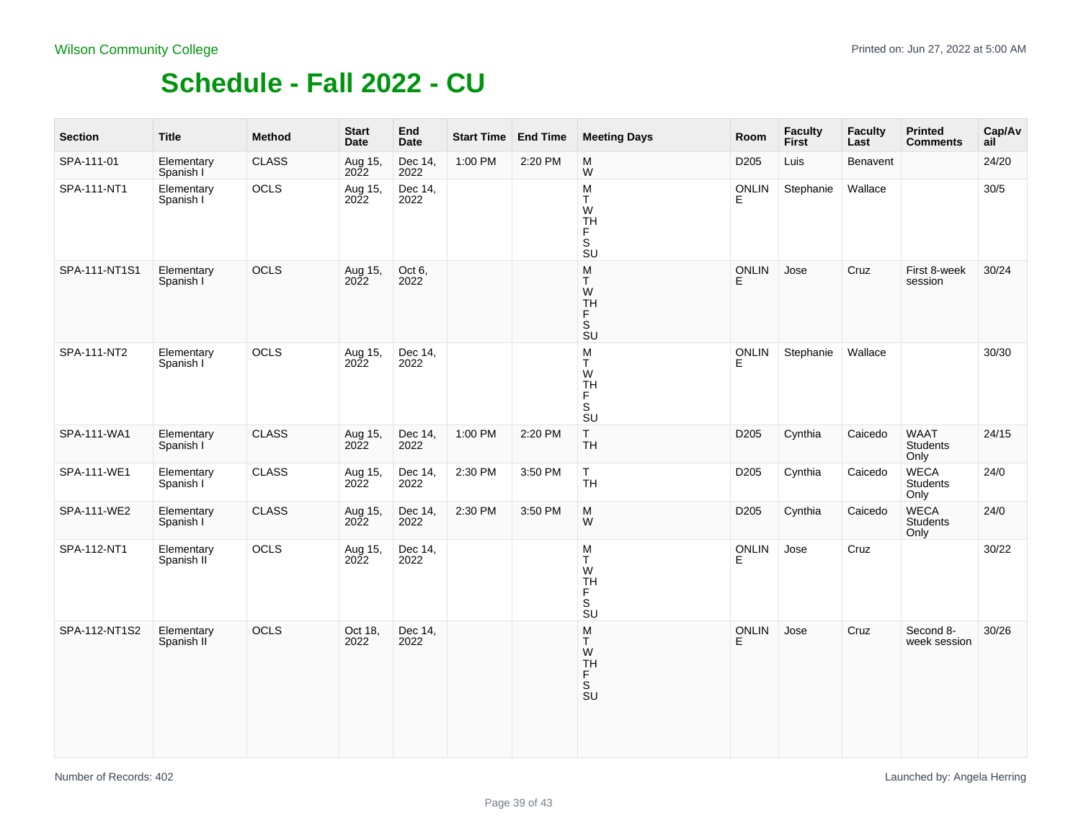| <b>Section</b> | <b>Title</b>             | <b>Method</b> | <b>Start</b><br>Date | End<br><b>Date</b> | Start Time End Time |         | <b>Meeting Days</b>                                                                  | Room         | <b>Faculty</b><br>First | <b>Faculty</b><br>Last | <b>Printed</b><br><b>Comments</b> | Cap/Av<br>ail |
|----------------|--------------------------|---------------|----------------------|--------------------|---------------------|---------|--------------------------------------------------------------------------------------|--------------|-------------------------|------------------------|-----------------------------------|---------------|
| SPA-111-01     | Elementary<br>Spanish I  | <b>CLASS</b>  | Aug 15,<br>2022      | Dec 14,<br>2022    | 1:00 PM             | 2:20 PM | M<br>W                                                                               | D205         | Luis                    | Benavent               |                                   | 24/20         |
| SPA-111-NT1    | Elementary<br>Spanish I  | OCLS          | Aug 15,<br>2022      | Dec 14,<br>2022    |                     |         | ${\sf M}$<br>T<br>W<br>TH<br>F.<br>S<br>$\overline{S}U$                              | <b>ONLIN</b> | Stephanie               | Wallace                |                                   | 30/5          |
| SPA-111-NT1S1  | Elementary<br>Spanish I  | OCLS          | Aug 15,<br>2022      | Oct 6,<br>2022     |                     |         | ${\sf M}$<br>T<br>W<br>TH<br>F<br>S<br>SU                                            | ONLIN<br>E.  | Jose                    | Cruz                   | First 8-week<br>session           | 30/24         |
| SPA-111-NT2    | Elementary<br>Spanish I  | OCLS          | Aug 15,<br>2022      | Dec 14,<br>2022    |                     |         | $\mathsf{M}$<br>T.<br>W<br><b>TH</b><br>F.<br>s<br>su                                | ONLIN<br>E   | Stephanie               | Wallace                |                                   | 30/30         |
| SPA-111-WA1    | Elementary<br>Spanish I  | <b>CLASS</b>  | Aug 15,<br>2022      | Dec 14,<br>2022    | 1:00 PM             | 2:20 PM | $\mathsf T$<br>TΗ                                                                    | D205         | Cynthia                 | Caicedo                | WAAT<br>Students<br>Only          | 24/15         |
| SPA-111-WE1    | Elementary<br>Spanish I  | <b>CLASS</b>  | Aug 15,<br>2022      | Dec 14,<br>2022    | 2:30 PM             | 3:50 PM | T.<br><b>TH</b>                                                                      | D205         | Cynthia                 | Caicedo                | <b>WECA</b><br>Students<br>Only   | 24/0          |
| SPA-111-WE2    | Elementary<br>Spanish I  | <b>CLASS</b>  | Aug 15,<br>2022      | Dec 14,<br>2022    | 2:30 PM             | 3:50 PM | M<br>W                                                                               | D205         | Cynthia                 | Caicedo                | WECA<br>Students<br>Only          | 24/0          |
| SPA-112-NT1    | Elementary<br>Spanish II | OCLS          | Aug 15,<br>2022      | Dec 14,<br>2022    |                     |         | M<br>T<br>W<br>TH<br>F<br>s<br>su                                                    | ONLIN<br>E   | Jose                    | Cruz                   |                                   | 30/22         |
| SPA-112-NT1S2  | Elementary<br>Spanish II | OCLS          | Oct 18,<br>2022      | Dec 14,<br>2022    |                     |         | $_{\rm T}^{\rm M}$<br>${\sf W}$<br>TH<br>F<br>S<br>$\overline{\mathsf{S}}\mathsf{U}$ | ONLIN<br>F   | Jose                    | Cruz                   | Second 8-<br>week session         | 30/26         |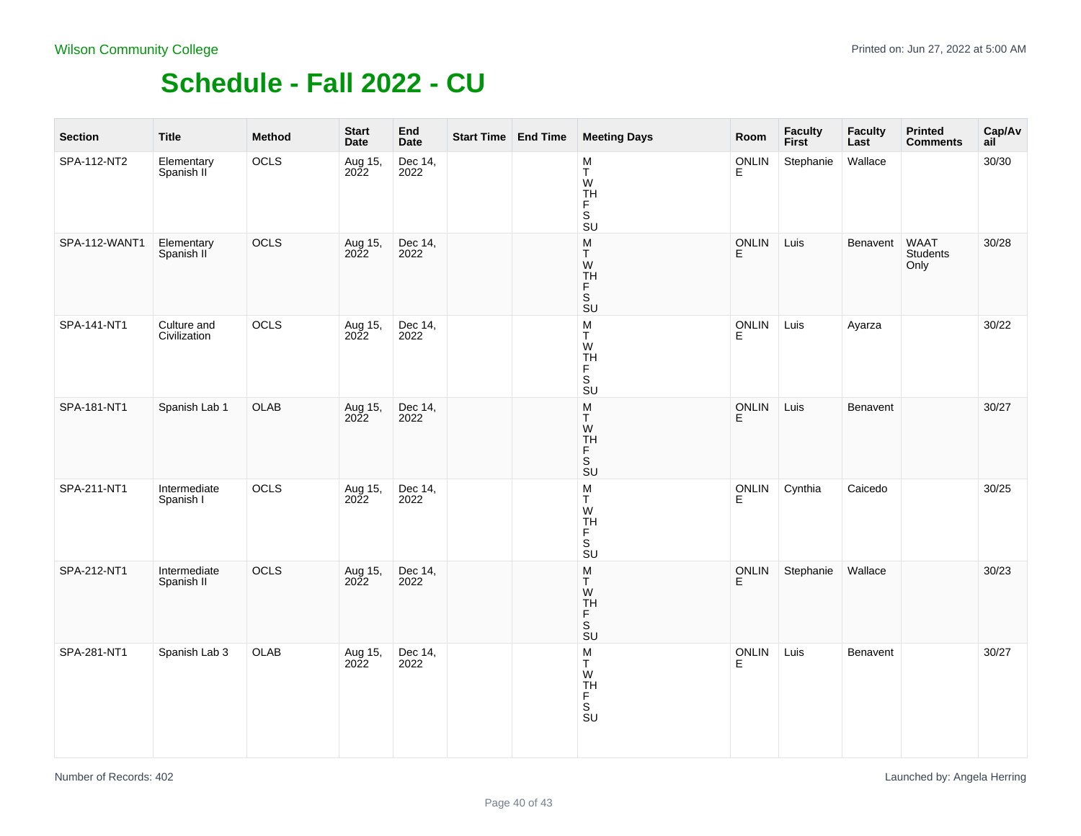| <b>Section</b> | <b>Title</b>                | <b>Method</b> | <b>Start</b><br>Date | End<br><b>Date</b> | Start Time End Time | <b>Meeting Days</b>                                                                                       | Room              | Faculty<br>First | <b>Faculty</b><br>Last | <b>Printed</b><br><b>Comments</b> | Cap/Av<br>ail |
|----------------|-----------------------------|---------------|----------------------|--------------------|---------------------|-----------------------------------------------------------------------------------------------------------|-------------------|------------------|------------------------|-----------------------------------|---------------|
| SPA-112-NT2    | Elementary<br>Spanish II    | OCLS          | Aug 15,<br>2022      | Dec 14,<br>2022    |                     | M<br>T<br>W<br>TH<br>F<br>S<br><b>SU</b>                                                                  | ONLIN<br>E        | Stephanie        | Wallace                |                                   | 30/30         |
| SPA-112-WANT1  | Elementary<br>Spanish II    | OCLS          | Aug 15,<br>2022      | Dec 14,<br>2022    |                     | ${\sf M}$<br>T.<br>W<br>TH<br>F<br>$\overline{\mathsf{s}}$<br><b>SU</b>                                   | ONLIN<br>E        | Luis             | Benavent               | <b>WAAT</b><br>Students<br>Only   | 30/28         |
| SPA-141-NT1    | Culture and<br>Civilization | OCLS          | Aug 15,<br>2022      | Dec 14,<br>2022    |                     | ${\sf M}$<br>T<br>W<br>TH<br>F<br>S<br>$\overline{\mathsf{S}}\mathsf{U}$                                  | ONLIN<br>E        | Luis             | Ayarza                 |                                   | 30/22         |
| SPA-181-NT1    | Spanish Lab 1               | <b>OLAB</b>   | Aug 15,<br>2022      | Dec 14,<br>2022    |                     | ${\sf M}$<br>T<br>W<br>TH<br>F<br>S<br>SU                                                                 | ONLIN<br>E        | Luis             | Benavent               |                                   | 30/27         |
| SPA-211-NT1    | Intermediate<br>Spanish I   | OCLS          | Aug 15,<br>2022      | Dec 14,<br>2022    |                     | $\frac{\mathsf{M}}{\mathsf{T}}$<br>${\sf W}$<br><b>TH</b><br>F.<br>S<br>$\overline{\mathsf{S}}\mathsf{U}$ | ONLIN<br>E        | Cynthia          | Caicedo                |                                   | 30/25         |
| SPA-212-NT1    | Intermediate<br>Spanish II  | OCLS          | Aug 15,<br>2022      | Dec 14,<br>2022    |                     | M<br>T<br>W<br>TH<br>F<br>$\overline{\mathsf{s}}$<br>SU                                                   | <b>ONLIN</b><br>E | Stephanie        | Wallace                |                                   | 30/23         |
| SPA-281-NT1    | Spanish Lab 3               | OLAB          | Aug 15,<br>2022      | Dec 14,<br>2022    |                     | M<br>T<br>W<br>TH<br>F<br>S<br>SU                                                                         | ONLIN<br>E        | Luis             | Benavent               |                                   | 30/27         |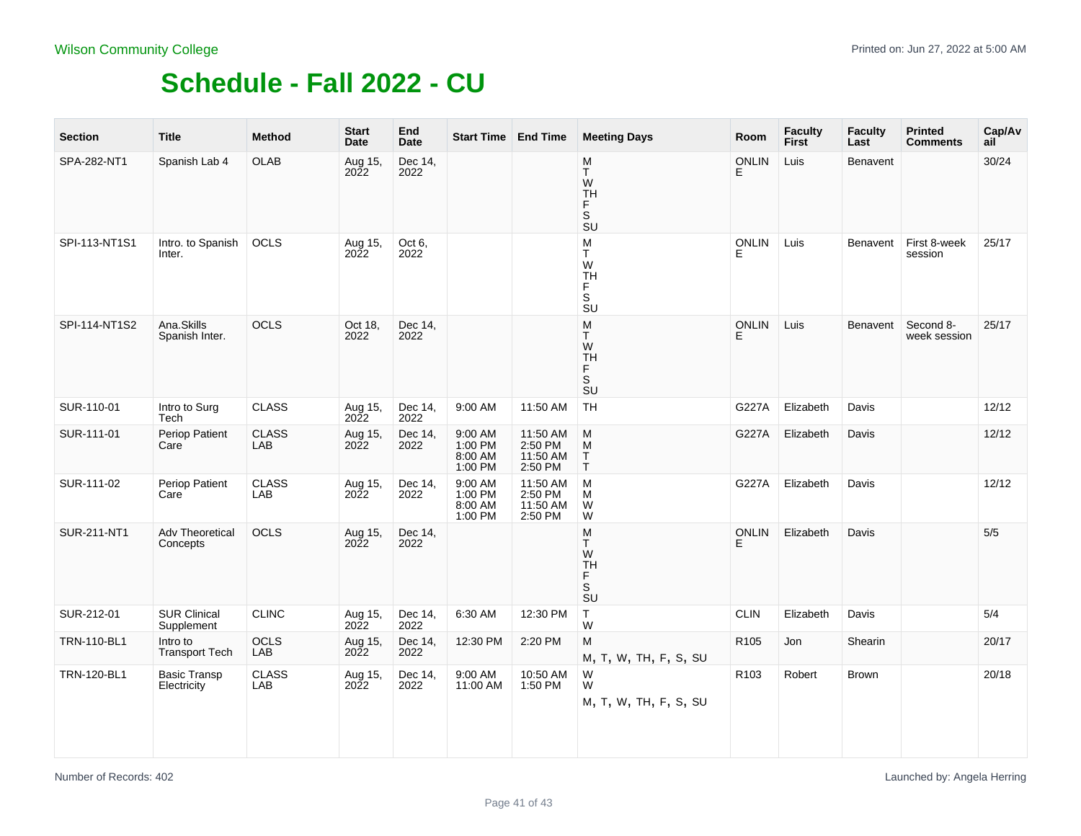| <b>Section</b>     | <b>Title</b>                       | <b>Method</b>       | <b>Start</b><br>Date | End<br><b>Date</b> | <b>Start Time   End Time</b>             |                                            | <b>Meeting Days</b>                                                                                                           | Room              | <b>Faculty</b><br><b>First</b> | <b>Faculty</b><br>Last | <b>Printed</b><br><b>Comments</b> | Cap/Av<br>ail |
|--------------------|------------------------------------|---------------------|----------------------|--------------------|------------------------------------------|--------------------------------------------|-------------------------------------------------------------------------------------------------------------------------------|-------------------|--------------------------------|------------------------|-----------------------------------|---------------|
| SPA-282-NT1        | Spanish Lab 4                      | OLAB                | Aug 15,<br>2022      | Dec 14,<br>2022    |                                          |                                            | M<br>T<br>W<br>TH<br>F<br>S<br><b>SU</b>                                                                                      | <b>ONLIN</b><br>E | Luis                           | Benavent               |                                   | 30/24         |
| SPI-113-NT1S1      | Intro. to Spanish<br>Inter.        | OCLS                | Aug 15,<br>2022      | Oct 6,<br>2022     |                                          |                                            | M<br>T.<br>W<br><b>TH</b><br>F.<br>S<br>$\overline{\mathsf{S}}\mathsf{U}$                                                     | ONLIN<br>E        | Luis                           | Benavent               | First 8-week<br>session           | 25/17         |
| SPI-114-NT1S2      | Ana.Skills<br>Spanish Inter.       | OCLS                | Oct 18,<br>2022      | Dec 14,<br>2022    |                                          |                                            | M<br>T.<br>W<br><b>TH</b><br>F<br>S<br><b>SU</b>                                                                              | <b>ONLIN</b><br>F | Luis                           | Benavent               | Second 8-<br>week session         | 25/17         |
| SUR-110-01         | Intro to Surg<br>Tech              | <b>CLASS</b>        | Aug 15,<br>2022      | Dec 14,<br>2022    | 9:00 AM                                  | 11:50 AM                                   | <b>TH</b>                                                                                                                     | G227A             | Elizabeth                      | Davis                  |                                   | 12/12         |
| SUR-111-01         | Periop Patient<br>Care             | <b>CLASS</b><br>LAB | Aug 15,<br>2022      | Dec 14,<br>2022    | 9:00 AM<br>1:00 PM<br>8:00 AM<br>1:00 PM | 11:50 AM<br>2:50 PM<br>11:50 AM<br>2:50 PM | M<br>$\mathsf{M}% _{T}=\mathsf{M}_{T}\!\left( a,b\right) ,\ \mathsf{M}_{T}=\mathsf{M}_{T}$<br>$\frac{\mathsf{T}}{\mathsf{T}}$ | G227A             | Elizabeth                      | Davis                  |                                   | 12/12         |
| SUR-111-02         | Periop Patient<br>Care             | <b>CLASS</b><br>LAB | Aug 15,<br>2022      | Dec 14,<br>2022    | 9:00 AM<br>1:00 PM<br>8:00 AM<br>1:00 PM | 11:50 AM<br>2:50 PM<br>11:50 AM<br>2:50 PM | M<br>M<br>W<br>W                                                                                                              | G227A             | Elizabeth                      | Davis                  |                                   | 12/12         |
| SUR-211-NT1        | <b>Adv Theoretical</b><br>Concepts | <b>OCLS</b>         | Aug 15,<br>2022      | Dec 14,<br>2022    |                                          |                                            | M<br>T.<br>W<br><b>TH</b><br>F<br>SU                                                                                          | <b>ONLIN</b><br>E | Elizabeth                      | Davis                  |                                   | $5/5$         |
| SUR-212-01         | <b>SUR Clinical</b><br>Supplement  | <b>CLINC</b>        | Aug 15,<br>2022      | Dec 14,<br>2022    | 6:30 AM                                  | 12:30 PM                                   | T<br>W                                                                                                                        | <b>CLIN</b>       | Elizabeth                      | Davis                  |                                   | 5/4           |
| <b>TRN-110-BL1</b> | Intro to<br><b>Transport Tech</b>  | <b>OCLS</b><br>LAB  | Aug 15,<br>2022      | Dec 14,<br>2022    | 12:30 PM                                 | 2:20 PM                                    | M<br>M, T, W, TH, F, S, SU                                                                                                    | R105              | Jon                            | Shearin                |                                   | 20/17         |
| TRN-120-BL1        | <b>Basic Transp</b><br>Electricity | <b>CLASS</b><br>LAB | Aug 15,<br>2022      | Dec 14,<br>2022    | 9:00 AM<br>11:00 AM                      | 10:50 AM<br>1:50 PM                        | W<br>W<br>M, T, W, TH, F, S, SU                                                                                               | R <sub>103</sub>  | Robert                         | <b>Brown</b>           |                                   | 20/18         |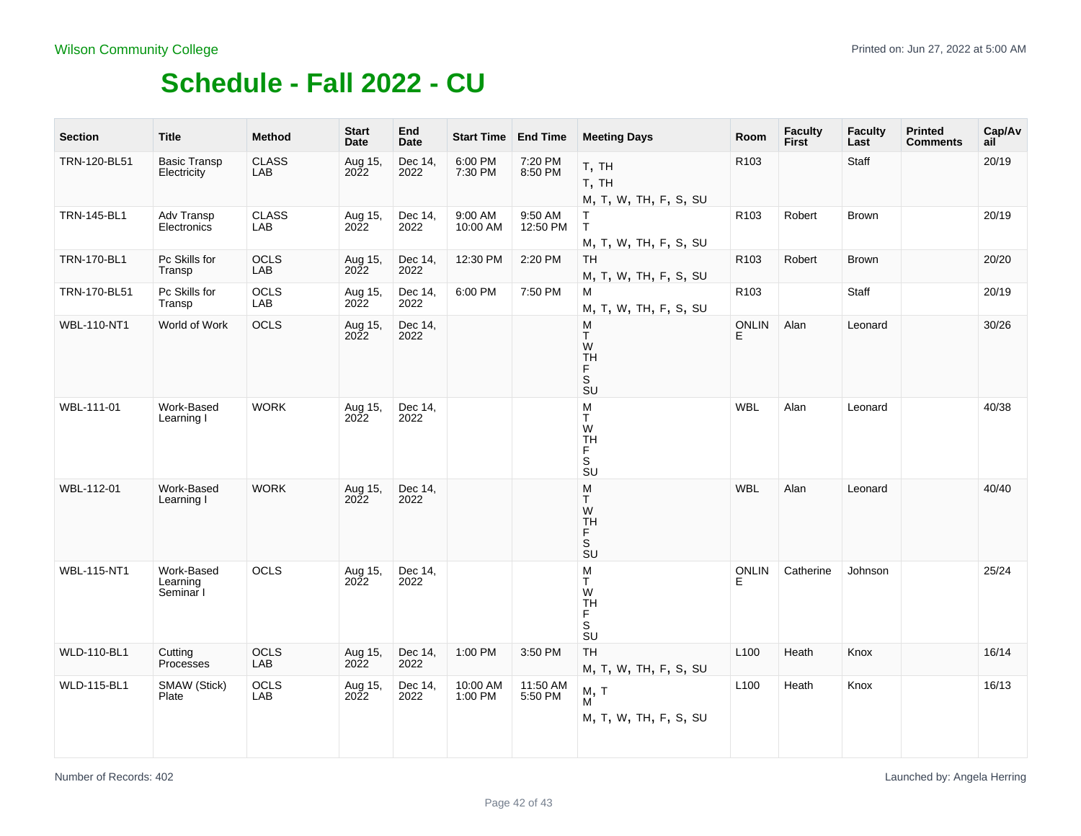the control of the

| <b>Section</b>     | <b>Title</b>                        | <b>Method</b>       | <b>Start</b><br>Date   | End<br><b>Date</b> | Start Time End Time |                     | <b>Meeting Days</b>                                              | Room               | <b>Faculty</b><br><b>First</b> | <b>Faculty</b><br>Last | <b>Printed</b><br><b>Comments</b> | Cap/Av<br>ail |
|--------------------|-------------------------------------|---------------------|------------------------|--------------------|---------------------|---------------------|------------------------------------------------------------------|--------------------|--------------------------------|------------------------|-----------------------------------|---------------|
| TRN-120-BL51       | <b>Basic Transp</b><br>Electricity  | <b>CLASS</b><br>LAB | Aug 15,<br>2022        | Dec 14,<br>2022    | 6:00 PM<br>7:30 PM  | 7:20 PM<br>8:50 PM  | T, TH<br>T, TH<br>M, T, W, TH, F, S, SU                          | R <sub>103</sub>   |                                | Staff                  |                                   | 20/19         |
| <b>TRN-145-BL1</b> | Adv Transp<br>Electronics           | <b>CLASS</b><br>LAB | Aug 15,<br><b>2022</b> | Dec 14,<br>2022    | 9:00 AM<br>10:00 AM | 9:50 AM<br>12:50 PM | T.<br>T<br>M, T, W, TH, F, S, SU                                 | R <sub>103</sub>   | Robert                         | <b>Brown</b>           |                                   | 20/19         |
| TRN-170-BL1        | Pc Skills for<br>Transp             | <b>OCLS</b><br>LAB  | Aug 15,<br>2022        | Dec 14,<br>2022    | 12:30 PM            | 2:20 PM             | TH<br>M, T, W, TH, F, S, SU                                      | R103               | Robert                         | <b>Brown</b>           |                                   | 20/20         |
| TRN-170-BL51       | Pc Skills for<br>Transp             | OCLS<br>LAB         | Aug 15,<br>2022        | Dec 14,<br>2022    | 6:00 PM             | 7:50 PM             | M<br>M, T, W, TH, F, S, SU                                       | R <sub>103</sub>   |                                | Staff                  |                                   | 20/19         |
| <b>WBL-110-NT1</b> | World of Work                       | OCLS                | Aug 15,<br>2022        | Dec 14,<br>2022    |                     |                     | M<br>T.<br>W<br><b>TH</b><br>F.<br>S<br>SU                       | <b>ONLIN</b><br>E  | Alan                           | Leonard                |                                   | 30/26         |
| WBL-111-01         | Work-Based<br>Learning I            | <b>WORK</b>         | Aug 15,<br>2022        | Dec 14,<br>2022    |                     |                     | M<br>T.<br>W<br><b>TH</b><br>F.<br>$\overline{\mathsf{s}}$<br>SU | <b>WBL</b>         | Alan                           | Leonard                |                                   | 40/38         |
| WBL-112-01         | Work-Based<br>Learning I            | <b>WORK</b>         | Aug 15,<br>2022        | Dec 14,<br>2022    |                     |                     | M<br>T.<br>W<br><b>TH</b><br>F.<br>S<br>SU                       | <b>WBL</b>         | Alan                           | Leonard                |                                   | 40/40         |
| <b>WBL-115-NT1</b> | Work-Based<br>Learning<br>Seminar I | OCLS                | Aug 15,<br>2022        | Dec 14,<br>2022    |                     |                     | M<br>T.<br>W<br><b>TH</b><br>F.<br>S<br>SU                       | <b>ONLIN</b><br>E. | Catherine                      | Johnson                |                                   | 25/24         |
| <b>WLD-110-BL1</b> | Cutting<br>Processes                | <b>OCLS</b><br>LAB  | Aug 15,<br>2022        | Dec 14,<br>2022    | 1:00 PM             | 3:50 PM             | <b>TH</b><br>M, T, W, TH, F, S, SU                               | L <sub>100</sub>   | Heath                          | Knox                   |                                   | 16/14         |
| <b>WLD-115-BL1</b> | SMAW (Stick)<br>Plate               | OCLS<br>LAB         | Aug 15,<br>2022        | Dec 14,<br>2022    | 10:00 AM<br>1:00 PM | 11:50 AM<br>5:50 PM | M, T<br>M<br>M, T, W, TH, F, S, SU                               | L <sub>100</sub>   | Heath                          | Knox                   |                                   | 16/13         |